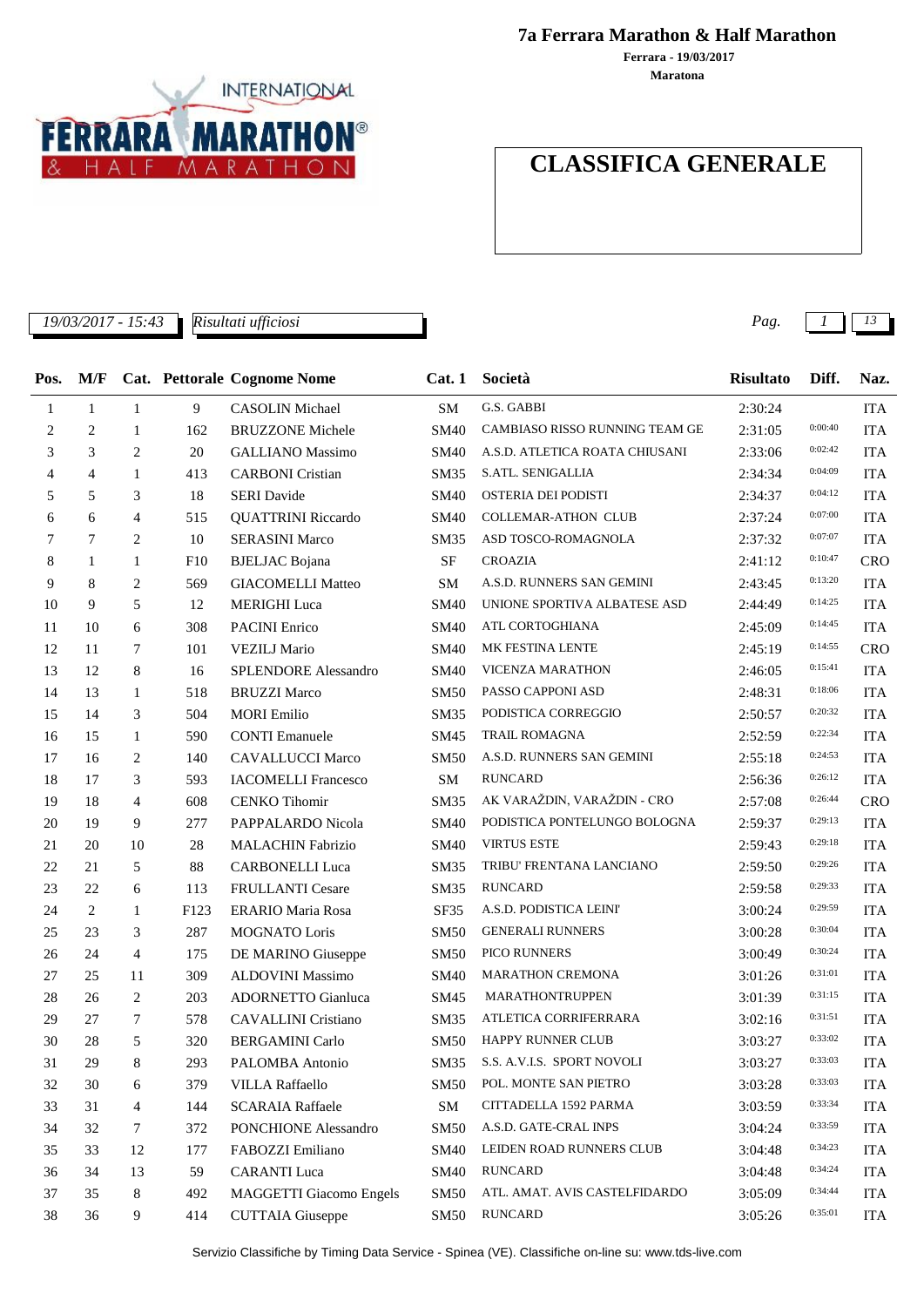

**7a Ferrara Marathon & Half Marathon**

**Maratona Ferrara - 19/03/2017**

# **CLASSIFICA GENERALE**

*19/03/2017 - 15:43 Pag. 1 13*

| Pos. | M/F            |                |      | <b>Cat.</b> Pettorale Cognome Nome | Cat.1       | Società                         | <b>Risultato</b> | Diff.   | Naz.       |
|------|----------------|----------------|------|------------------------------------|-------------|---------------------------------|------------------|---------|------------|
| 1    | $\mathbf{1}$   | $\mathbf{1}$   | 9    | <b>CASOLIN</b> Michael             | SM          | G.S. GABBI                      | 2:30:24          |         | <b>ITA</b> |
| 2    | 2              | 1              | 162  | <b>BRUZZONE Michele</b>            | <b>SM40</b> | CAMBIASO RISSO RUNNING TEAM GE  | 2:31:05          | 0:00:40 | <b>ITA</b> |
| 3    | 3              | 2              | 20   | <b>GALLIANO</b> Massimo            | <b>SM40</b> | A.S.D. ATLETICA ROATA CHIUSANI  | 2:33:06          | 0:02:42 | <b>ITA</b> |
| 4    | $\overline{4}$ | -1             | 413  | <b>CARBONI</b> Cristian            | <b>SM35</b> | S.ATL. SENIGALLIA               | 2:34:34          | 0:04:09 | <b>ITA</b> |
| 5    | 5              | 3              | 18   | <b>SERI</b> Davide                 | <b>SM40</b> | OSTERIA DEI PODISTI             | 2:34:37          | 0:04:12 | <b>ITA</b> |
| 6    | 6              | $\overline{4}$ | 515  | <b>QUATTRINI Riccardo</b>          | <b>SM40</b> | <b>COLLEMAR-ATHON CLUB</b>      | 2:37:24          | 0:07:00 | <b>ITA</b> |
| 7    | 7              | 2              | 10   | <b>SERASINI Marco</b>              | <b>SM35</b> | ASD TOSCO-ROMAGNOLA             | 2:37:32          | 0:07:07 | <b>ITA</b> |
| 8    | 1              | $\mathbf{1}$   | F10  | <b>BJELJAC</b> Bojana              | SF          | <b>CROAZIA</b>                  | 2:41:12          | 0:10:47 | <b>CRO</b> |
| 9    | 8              | 2              | 569  | <b>GIACOMELLI Matteo</b>           | <b>SM</b>   | A.S.D. RUNNERS SAN GEMINI       | 2:43:45          | 0:13:20 | <b>ITA</b> |
| 10   | 9              | 5              | 12   | <b>MERIGHI</b> Luca                | <b>SM40</b> | UNIONE SPORTIVA ALBATESE ASD    | 2:44:49          | 0:14:25 | <b>ITA</b> |
| 11   | 10             | 6              | 308  | <b>PACINI</b> Enrico               | <b>SM40</b> | ATL CORTOGHIANA                 | 2:45:09          | 0:14:45 | <b>ITA</b> |
| 12   | 11             | 7              | 101  | <b>VEZILJ Mario</b>                | <b>SM40</b> | MK FESTINA LENTE                | 2:45:19          | 0:14:55 | <b>CRO</b> |
| 13   | 12             | 8              | 16   | <b>SPLENDORE Alessandro</b>        | <b>SM40</b> | <b>VICENZA MARATHON</b>         | 2:46:05          | 0:15:41 | <b>ITA</b> |
| 14   | 13             | $\mathbf{1}$   | 518  | <b>BRUZZI Marco</b>                | <b>SM50</b> | PASSO CAPPONI ASD               | 2:48:31          | 0:18:06 | <b>ITA</b> |
| 15   | 14             | 3              | 504  | <b>MORI</b> Emilio                 | <b>SM35</b> | PODISTICA CORREGGIO             | 2:50:57          | 0:20:32 | <b>ITA</b> |
| 16   | 15             | $\mathbf{1}$   | 590  | <b>CONTI Emanuele</b>              | SM45        | TRAIL ROMAGNA                   | 2:52:59          | 0:22:34 | <b>ITA</b> |
| 17   | 16             | 2              | 140  | <b>CAVALLUCCI Marco</b>            | <b>SM50</b> | A.S.D. RUNNERS SAN GEMINI       | 2:55:18          | 0:24:53 | <b>ITA</b> |
| 18   | 17             | 3              | 593  | <b>IACOMELLI Francesco</b>         | SM          | <b>RUNCARD</b>                  | 2:56:36          | 0:26:12 | <b>ITA</b> |
| 19   | 18             | $\overline{4}$ | 608  | <b>CENKO</b> Tihomir               | <b>SM35</b> | AK VARAŽDIN, VARAŽDIN - CRO     | 2:57:08          | 0:26:44 | <b>CRO</b> |
| 20   | 19             | 9              | 277  | PAPPALARDO Nicola                  | <b>SM40</b> | PODISTICA PONTELUNGO BOLOGNA    | 2:59:37          | 0:29:13 | <b>ITA</b> |
| 21   | 20             | 10             | 28   | <b>MALACHIN Fabrizio</b>           | <b>SM40</b> | <b>VIRTUS ESTE</b>              | 2:59:43          | 0:29:18 | <b>ITA</b> |
| 22   | 21             | 5              | 88   | <b>CARBONELLI Luca</b>             | <b>SM35</b> | TRIBU' FRENTANA LANCIANO        | 2:59:50          | 0:29:26 | <b>ITA</b> |
| 23   | 22             | 6              | 113  | FRULLANTI Cesare                   | SM35        | <b>RUNCARD</b>                  | 2:59:58          | 0:29:33 | <b>ITA</b> |
| 24   | 2              | $\mathbf{1}$   | F123 | <b>ERARIO Maria Rosa</b>           | SF35        | A.S.D. PODISTICA LEINI'         | 3:00:24          | 0:29:59 | <b>ITA</b> |
| 25   | 23             | 3              | 287  | MOGNATO Loris                      | <b>SM50</b> | <b>GENERALI RUNNERS</b>         | 3:00:28          | 0:30:04 | <b>ITA</b> |
| 26   | 24             | 4              | 175  | DE MARINO Giuseppe                 | <b>SM50</b> | PICO RUNNERS                    | 3:00:49          | 0:30:24 | <b>ITA</b> |
| 27   | 25             | 11             | 309  | <b>ALDOVINI Massimo</b>            | <b>SM40</b> | <b>MARATHON CREMONA</b>         | 3:01:26          | 0:31:01 | <b>ITA</b> |
| 28   | 26             | 2              | 203  | ADORNETTO Gianluca                 | SM45        | MARATHONTRUPPEN                 | 3:01:39          | 0:31:15 | <b>ITA</b> |
| 29   | 27             | 7              | 578  | <b>CAVALLINI</b> Cristiano         | SM35        | ATLETICA CORRIFERRARA           | 3:02:16          | 0:31:51 | <b>ITA</b> |
| 30   | 28             | 5              | 320  | <b>BERGAMINI Carlo</b>             | <b>SM50</b> | HAPPY RUNNER CLUB               | 3:03:27          | 0:33:02 | <b>ITA</b> |
| 31   | 29             | 8              | 293  | PALOMBA Antonio                    |             | SM35 S.S. A.V.I.S. SPORT NOVOLI | 3:03:27          | 0:33:03 | <b>ITA</b> |
| 32   | 30             | 6              | 379  | <b>VILLA Raffaello</b>             | <b>SM50</b> | POL. MONTE SAN PIETRO           | 3:03:28          | 0:33:03 | <b>ITA</b> |
| 33   | 31             | 4              | 144  | <b>SCARAIA Raffaele</b>            | ${\bf SM}$  | CITTADELLA 1592 PARMA           | 3:03:59          | 0:33:34 | <b>ITA</b> |
| 34   | 32             | 7              | 372  | PONCHIONE Alessandro               | <b>SM50</b> | A.S.D. GATE-CRAL INPS           | 3:04:24          | 0:33:59 | <b>ITA</b> |
| 35   | 33             | 12             | 177  | FABOZZI Emiliano                   | <b>SM40</b> | LEIDEN ROAD RUNNERS CLUB        | 3:04:48          | 0:34:23 | <b>ITA</b> |
| 36   | 34             | 13             | 59   | <b>CARANTI Luca</b>                | <b>SM40</b> | <b>RUNCARD</b>                  | 3:04:48          | 0:34:24 | <b>ITA</b> |
| 37   | 35             | 8              | 492  | <b>MAGGETTI Giacomo Engels</b>     | <b>SM50</b> | ATL. AMAT. AVIS CASTELFIDARDO   | 3:05:09          | 0:34:44 | <b>ITA</b> |
| 38   | 36             | 9              | 414  | <b>CUTTAIA</b> Giuseppe            | <b>SM50</b> | <b>RUNCARD</b>                  | 3:05:26          | 0:35:01 | <b>ITA</b> |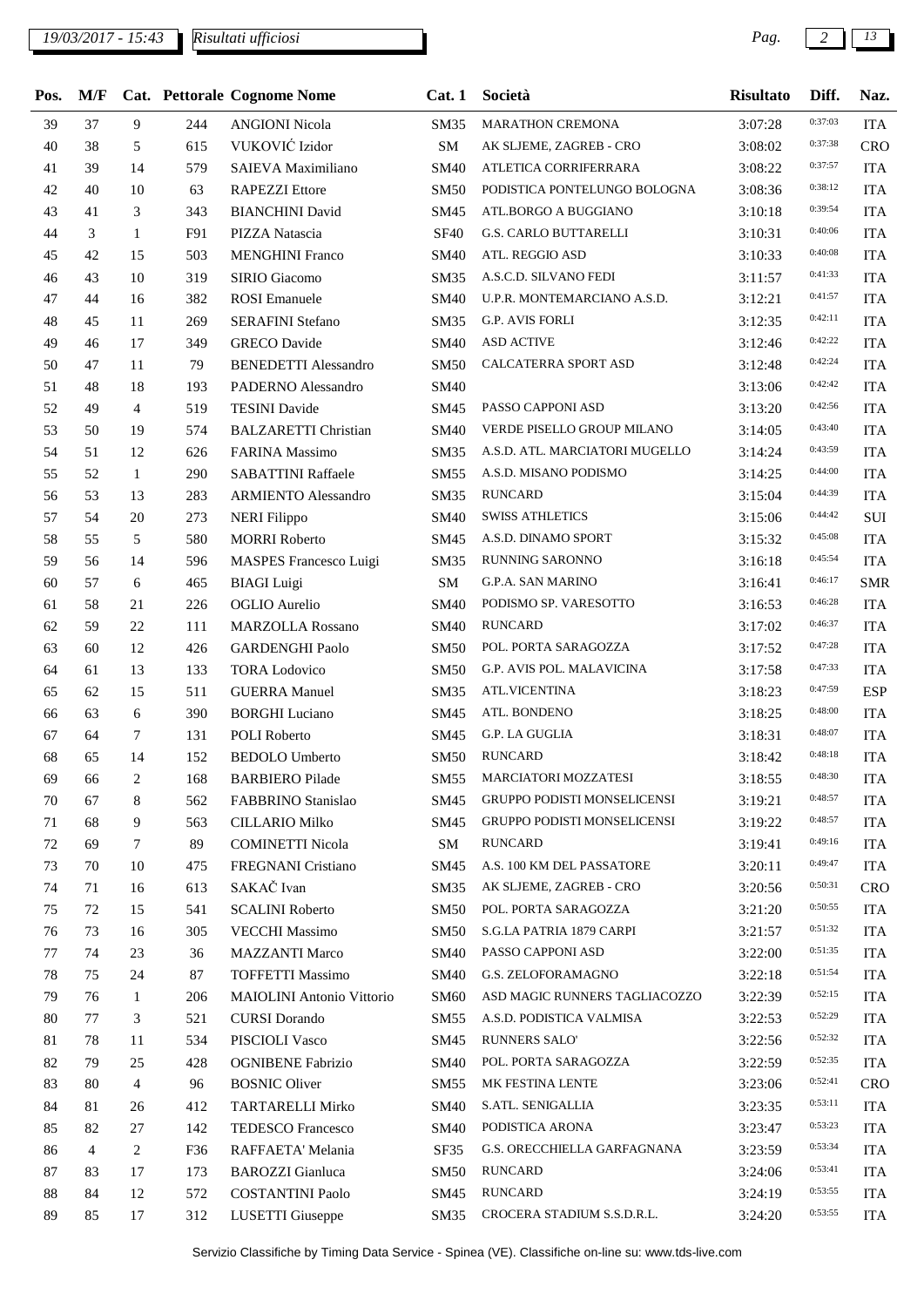| Pos. | M/F            |                |     | Cat. Pettorale Cognome Nome      | Cat.1       | Società                            | <b>Risultato</b> | Diff.   | Naz.       |
|------|----------------|----------------|-----|----------------------------------|-------------|------------------------------------|------------------|---------|------------|
| 39   | 37             | 9              | 244 | <b>ANGIONI Nicola</b>            | <b>SM35</b> | MARATHON CREMONA                   | 3:07:28          | 0:37:03 | <b>ITA</b> |
| 40   | 38             | 5              | 615 | VUKOVIĆ Izidor                   | SM          | AK SLJEME, ZAGREB - CRO            | 3:08:02          | 0:37:38 | CRO        |
| 41   | 39             | 14             | 579 | SAIEVA Maximiliano               | <b>SM40</b> | ATLETICA CORRIFERRARA              | 3:08:22          | 0:37:57 | <b>ITA</b> |
| 42   | 40             | 10             | 63  | <b>RAPEZZI</b> Ettore            | <b>SM50</b> | PODISTICA PONTELUNGO BOLOGNA       | 3:08:36          | 0:38:12 | <b>ITA</b> |
| 43   | 41             | 3              | 343 | <b>BIANCHINI</b> David           | SM45        | ATL.BORGO A BUGGIANO               | 3:10:18          | 0:39:54 | <b>ITA</b> |
| 44   | 3              | $\mathbf{1}$   | F91 | PIZZA Natascia                   | <b>SF40</b> | <b>G.S. CARLO BUTTARELLI</b>       | 3:10:31          | 0:40:06 | <b>ITA</b> |
| 45   | 42             | 15             | 503 | <b>MENGHINI Franco</b>           | <b>SM40</b> | ATL. REGGIO ASD                    | 3:10:33          | 0:40:08 | <b>ITA</b> |
| 46   | 43             | 10             | 319 | SIRIO Giacomo                    | SM35        | A.S.C.D. SILVANO FEDI              | 3:11:57          | 0:41:33 | <b>ITA</b> |
| 47   | 44             | 16             | 382 | <b>ROSI</b> Emanuele             | <b>SM40</b> | U.P.R. MONTEMARCIANO A.S.D.        | 3:12:21          | 0:41:57 | <b>ITA</b> |
| 48   | 45             | 11             | 269 | <b>SERAFINI Stefano</b>          | SM35        | <b>G.P. AVIS FORLI</b>             | 3:12:35          | 0:42:11 | <b>ITA</b> |
| 49   | 46             | 17             | 349 | <b>GRECO</b> Davide              | <b>SM40</b> | <b>ASD ACTIVE</b>                  | 3:12:46          | 0:42:22 | <b>ITA</b> |
| 50   | 47             | 11             | 79  | <b>BENEDETTI Alessandro</b>      | <b>SM50</b> | CALCATERRA SPORT ASD               | 3:12:48          | 0:42:24 | <b>ITA</b> |
| 51   | 48             | 18             | 193 | PADERNO Alessandro               | <b>SM40</b> |                                    | 3:13:06          | 0:42:42 | <b>ITA</b> |
| 52   | 49             | $\overline{4}$ | 519 | <b>TESINI</b> Davide             | SM45        | PASSO CAPPONI ASD                  | 3:13:20          | 0:42:56 | <b>ITA</b> |
| 53   | 50             | 19             | 574 | <b>BALZARETTI Christian</b>      | <b>SM40</b> | VERDE PISELLO GROUP MILANO         | 3:14:05          | 0:43:40 | <b>ITA</b> |
| 54   | 51             | 12             | 626 | FARINA Massimo                   | SM35        | A.S.D. ATL. MARCIATORI MUGELLO     | 3:14:24          | 0:43:59 | <b>ITA</b> |
| 55   | 52             | 1              | 290 | <b>SABATTINI Raffaele</b>        | SM55        | A.S.D. MISANO PODISMO              | 3:14:25          | 0:44:00 | <b>ITA</b> |
| 56   | 53             | 13             | 283 | <b>ARMIENTO Alessandro</b>       | SM35        | <b>RUNCARD</b>                     | 3:15:04          | 0:44:39 | <b>ITA</b> |
| 57   | 54             | 20             | 273 | <b>NERI</b> Filippo              | <b>SM40</b> | <b>SWISS ATHLETICS</b>             | 3:15:06          | 0:44:42 | SUI        |
| 58   | 55             | 5              | 580 | <b>MORRI Roberto</b>             | SM45        | A.S.D. DINAMO SPORT                | 3:15:32          | 0:45:08 | <b>ITA</b> |
| 59   | 56             | 14             | 596 | MASPES Francesco Luigi           | SM35        | RUNNING SARONNO                    | 3:16:18          | 0:45:54 | <b>ITA</b> |
| 60   | 57             | 6              | 465 | <b>BIAGI</b> Luigi               | SM          | G.P.A. SAN MARINO                  | 3:16:41          | 0:46:17 | <b>SMR</b> |
| 61   | 58             | 21             | 226 | <b>OGLIO</b> Aurelio             | <b>SM40</b> | PODISMO SP. VARESOTTO              | 3:16:53          | 0:46:28 | <b>ITA</b> |
| 62   | 59             | 22             | 111 | <b>MARZOLLA Rossano</b>          | <b>SM40</b> | <b>RUNCARD</b>                     | 3:17:02          | 0:46:37 | <b>ITA</b> |
| 63   | 60             | 12             | 426 | <b>GARDENGHI Paolo</b>           | <b>SM50</b> | POL. PORTA SARAGOZZA               | 3:17:52          | 0:47:28 | <b>ITA</b> |
| 64   | 61             | 13             | 133 | <b>TORA Lodovico</b>             | <b>SM50</b> | G.P. AVIS POL. MALAVICINA          | 3:17:58          | 0:47:33 | <b>ITA</b> |
| 65   | 62             | 15             | 511 | <b>GUERRA Manuel</b>             | SM35        | <b>ATL.VICENTINA</b>               | 3:18:23          | 0:47:59 | <b>ESP</b> |
| 66   | 63             | 6              | 390 | <b>BORGHI</b> Luciano            | SM45        | ATL. BONDENO                       | 3:18:25          | 0:48:00 | <b>ITA</b> |
| 67   | 64             | $\tau$         | 131 | POLI Roberto                     | SM45        | G.P. LA GUGLIA                     | 3:18:31          | 0:48:07 | <b>ITA</b> |
| 68   | 65             | 14             | 152 | <b>BEDOLO Umberto</b>            | <b>SM50</b> | <b>RUNCARD</b>                     | 3:18:42          | 0:48:18 | <b>ITA</b> |
| 69   | 66             | 2              | 168 | <b>BARBIERO</b> Pilade           | SM55        | <b>MARCIATORI MOZZATESI</b>        | 3:18:55          | 0:48:30 | <b>ITA</b> |
| 70   | 67             | 8              | 562 | FABBRINO Stanislao               | SM45        | <b>GRUPPO PODISTI MONSELICENSI</b> | 3:19:21          | 0:48:57 | <b>ITA</b> |
| 71   | 68             | 9              | 563 | <b>CILLARIO Milko</b>            | SM45        | <b>GRUPPO PODISTI MONSELICENSI</b> | 3:19:22          | 0:48:57 | <b>ITA</b> |
| 72   | 69             | $\tau$         | 89  | <b>COMINETTI Nicola</b>          | SM          | <b>RUNCARD</b>                     | 3:19:41          | 0:49:16 | <b>ITA</b> |
| 73   | 70             | 10             | 475 | FREGNANI Cristiano               | SM45        | A.S. 100 KM DEL PASSATORE          | 3:20:11          | 0:49:47 | <b>ITA</b> |
| 74   | 71             | 16             | 613 | SAKAČ Ivan                       | SM35        | AK SLJEME, ZAGREB - CRO            | 3:20:56          | 0:50:31 | <b>CRO</b> |
| 75   | 72             | 15             | 541 | <b>SCALINI Roberto</b>           | <b>SM50</b> | POL. PORTA SARAGOZZA               | 3:21:20          | 0:50:55 | <b>ITA</b> |
| 76   | 73             | 16             | 305 | <b>VECCHI Massimo</b>            | <b>SM50</b> | S.G.LA PATRIA 1879 CARPI           | 3:21:57          | 0:51:32 | <b>ITA</b> |
| 77   | 74             | 23             | 36  | <b>MAZZANTI Marco</b>            | SM40        | PASSO CAPPONI ASD                  | 3:22:00          | 0:51:35 | <b>ITA</b> |
| 78   | 75             | 24             | 87  | <b>TOFFETTI Massimo</b>          | <b>SM40</b> | G.S. ZELOFORAMAGNO                 | 3:22:18          | 0:51:54 | <b>ITA</b> |
| 79   | 76             | $\mathbf{1}$   | 206 | <b>MAIOLINI</b> Antonio Vittorio | <b>SM60</b> | ASD MAGIC RUNNERS TAGLIACOZZO      | 3:22:39          | 0:52:15 | <b>ITA</b> |
| 80   | 77             | 3              | 521 | <b>CURSI</b> Dorando             | SM55        | A.S.D. PODISTICA VALMISA           | 3:22:53          | 0:52:29 | <b>ITA</b> |
| 81   | 78             | 11             | 534 | PISCIOLI Vasco                   | SM45        | <b>RUNNERS SALO'</b>               | 3:22:56          | 0:52:32 | <b>ITA</b> |
| 82   | 79             | 25             | 428 | <b>OGNIBENE Fabrizio</b>         | <b>SM40</b> | POL. PORTA SARAGOZZA               | 3:22:59          | 0:52:35 | <b>ITA</b> |
| 83   | 80             | $\overline{4}$ | 96  | <b>BOSNIC Oliver</b>             | SM55        | MK FESTINA LENTE                   | 3:23:06          | 0:52:41 | <b>CRO</b> |
| 84   | 81             | 26             | 412 | TARTARELLI Mirko                 | <b>SM40</b> | S.ATL. SENIGALLIA                  | 3:23:35          | 0:53:11 | <b>ITA</b> |
| 85   | 82             | 27             | 142 | TEDESCO Francesco                | <b>SM40</b> | PODISTICA ARONA                    | 3:23:47          | 0:53:23 | <b>ITA</b> |
| 86   | $\overline{4}$ | 2              | F36 | RAFFAETA' Melania                | SF35        | G.S. ORECCHIELLA GARFAGNANA        | 3:23:59          | 0:53:34 | <b>ITA</b> |
| 87   | 83             | 17             | 173 | <b>BAROZZI</b> Gianluca          | <b>SM50</b> | <b>RUNCARD</b>                     | 3:24:06          | 0:53:41 | <b>ITA</b> |
| 88   | 84             | 12             | 572 | <b>COSTANTINI Paolo</b>          | SM45        | <b>RUNCARD</b>                     | 3:24:19          | 0:53:55 | <b>ITA</b> |
| 89   | 85             | 17             | 312 | LUSETTI Giuseppe                 | SM35        | CROCERA STADIUM S.S.D.R.L.         | 3:24:20          | 0:53:55 | <b>ITA</b> |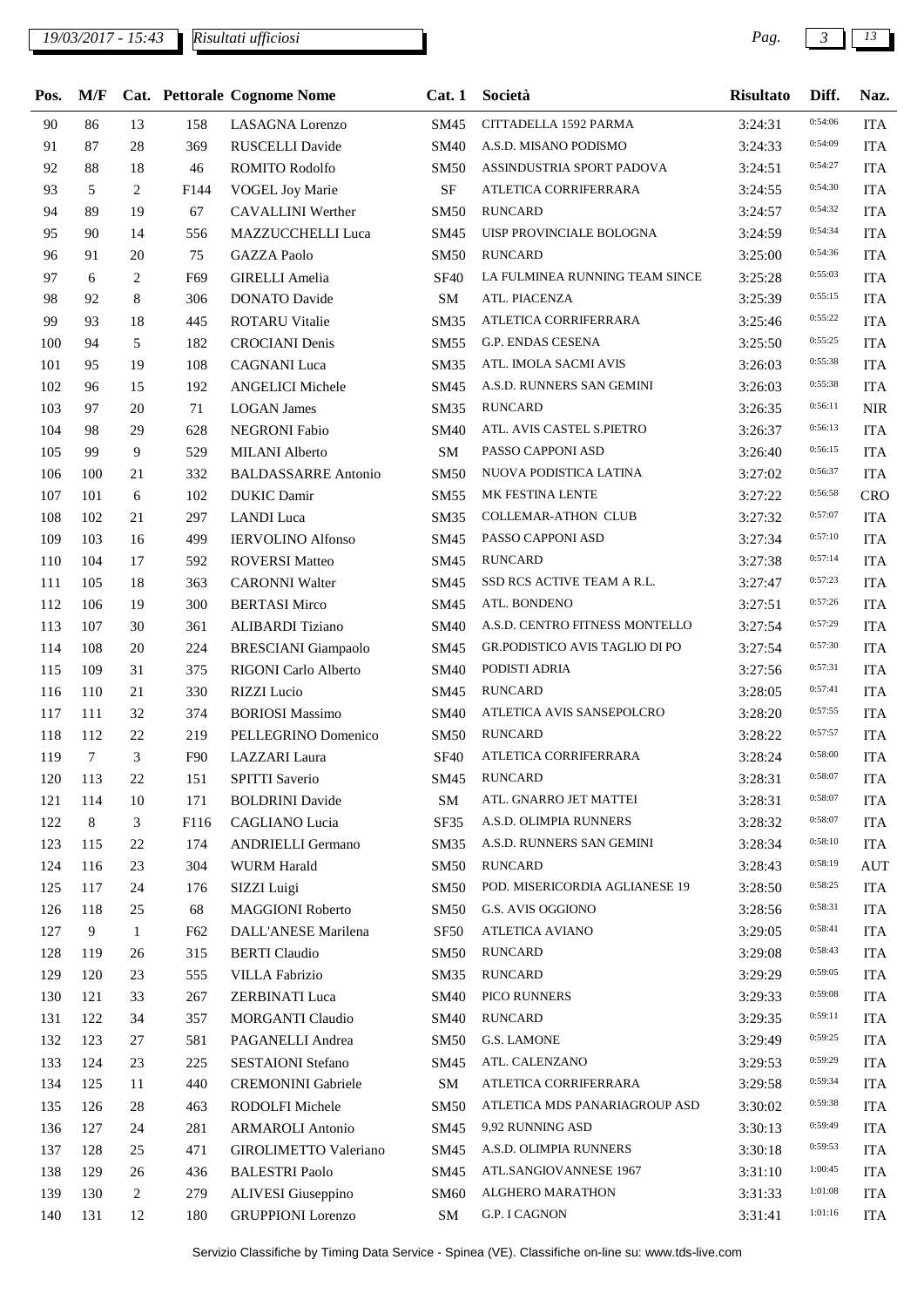## *19/03/2017 - 15:43 Pag. 3 13*

| Pos. | M/F    |                |      | Cat. Pettorale Cognome Nome | Cat.1            | Società                        | <b>Risultato</b> | Diff.   | Naz.       |
|------|--------|----------------|------|-----------------------------|------------------|--------------------------------|------------------|---------|------------|
| 90   | 86     | 13             | 158  | <b>LASAGNA</b> Lorenzo      | SM45             | CITTADELLA 1592 PARMA          | 3:24:31          | 0:54:06 | <b>ITA</b> |
| 91   | 87     | 28             | 369  | RUSCELLI Davide             | <b>SM40</b>      | A.S.D. MISANO PODISMO          | 3:24:33          | 0:54:09 | <b>ITA</b> |
| 92   | 88     | 18             | 46   | ROMITO Rodolfo              | <b>SM50</b>      | ASSINDUSTRIA SPORT PADOVA      | 3:24:51          | 0:54:27 | <b>ITA</b> |
| 93   | 5      | 2              | F144 | <b>VOGEL Joy Marie</b>      | SF               | ATLETICA CORRIFERRARA          | 3:24:55          | 0:54:30 | <b>ITA</b> |
| 94   | 89     | 19             | 67   | CAVALLINI Werther           | <b>SM50</b>      | <b>RUNCARD</b>                 | 3:24:57          | 0:54:32 | <b>ITA</b> |
| 95   | 90     | 14             | 556  | MAZZUCCHELLI Luca           | SM45             | UISP PROVINCIALE BOLOGNA       | 3:24:59          | 0:54:34 | <b>ITA</b> |
| 96   | 91     | 20             | 75   | <b>GAZZA Paolo</b>          | <b>SM50</b>      | <b>RUNCARD</b>                 | 3:25:00          | 0:54:36 | <b>ITA</b> |
| 97   | 6      | $\mathfrak{2}$ | F69  | <b>GIRELLI</b> Amelia       | <b>SF40</b>      | LA FULMINEA RUNNING TEAM SINCE | 3:25:28          | 0:55:03 | <b>ITA</b> |
| 98   | 92     | 8              | 306  | <b>DONATO Davide</b>        | <b>SM</b>        | ATL. PIACENZA                  | 3:25:39          | 0:55:15 | <b>ITA</b> |
| 99   | 93     | 18             | 445  | <b>ROTARU Vitalie</b>       | <b>SM35</b>      | ATLETICA CORRIFERRARA          | 3:25:46          | 0:55:22 | <b>ITA</b> |
| 100  | 94     | 5              | 182  | <b>CROCIANI</b> Denis       | <b>SM55</b>      | G.P. ENDAS CESENA              | 3:25:50          | 0:55:25 | <b>ITA</b> |
| 101  | 95     | 19             | 108  | <b>CAGNANI</b> Luca         | SM35             | ATL. IMOLA SACMI AVIS          | 3:26:03          | 0:55:38 | <b>ITA</b> |
| 102  | 96     | 15             | 192  | <b>ANGELICI Michele</b>     | SM45             | A.S.D. RUNNERS SAN GEMINI      | 3:26:03          | 0:55:38 | <b>ITA</b> |
| 103  | 97     | 20             | 71   | <b>LOGAN</b> James          | <b>SM35</b>      | <b>RUNCARD</b>                 | 3:26:35          | 0:56:11 | <b>NIR</b> |
| 104  | 98     | 29             | 628  | NEGRONI Fabio               | <b>SM40</b>      | ATL. AVIS CASTEL S.PIETRO      | 3:26:37          | 0:56:13 | <b>ITA</b> |
| 105  | 99     | 9              | 529  | MILANI Alberto              | ${\bf SM}$       | PASSO CAPPONI ASD              | 3:26:40          | 0:56:15 | <b>ITA</b> |
| 106  | 100    | 21             | 332  | <b>BALDASSARRE Antonio</b>  | <b>SM50</b>      | NUOVA PODISTICA LATINA         | 3:27:02          | 0:56:37 | <b>ITA</b> |
| 107  | 101    | 6              | 102  | <b>DUKIC</b> Damir          | SM55             | MK FESTINA LENTE               | 3:27:22          | 0:56:58 | CRO        |
| 108  | 102    | 21             | 297  | LANDI Luca                  | <b>SM35</b>      | <b>COLLEMAR-ATHON CLUB</b>     | 3:27:32          | 0:57:07 | <b>ITA</b> |
| 109  | 103    | 16             | 499  | <b>IERVOLINO Alfonso</b>    | SM45             | PASSO CAPPONI ASD              | 3:27:34          | 0:57:10 | <b>ITA</b> |
| 110  | 104    | 17             | 592  | <b>ROVERSI Matteo</b>       | SM45             | <b>RUNCARD</b>                 | 3:27:38          | 0:57:14 | <b>ITA</b> |
| 111  | 105    | 18             | 363  | <b>CARONNI Walter</b>       | SM45             | SSD RCS ACTIVE TEAM A R.L.     | 3:27:47          | 0:57:23 | <b>ITA</b> |
| 112  | 106    | 19             | 300  | <b>BERTASI Mirco</b>        | SM45             | ATL. BONDENO                   | 3:27:51          | 0:57:26 | <b>ITA</b> |
| 113  | 107    | 30             | 361  | ALIBARDI Tiziano            | <b>SM40</b>      | A.S.D. CENTRO FITNESS MONTELLO | 3:27:54          | 0:57:29 | <b>ITA</b> |
| 114  | 108    | 20             | 224  | <b>BRESCIANI</b> Giampaolo  | SM45             | GR.PODISTICO AVIS TAGLIO DI PO | 3:27:54          | 0:57:30 | <b>ITA</b> |
| 115  | 109    | 31             | 375  | RIGONI Carlo Alberto        | <b>SM40</b>      | PODISTI ADRIA                  | 3:27:56          | 0:57:31 | <b>ITA</b> |
| 116  | 110    | 21             | 330  | RIZZI Lucio                 | SM45             | <b>RUNCARD</b>                 | 3:28:05          | 0:57:41 | <b>ITA</b> |
| 117  | 111    | 32             | 374  | <b>BORIOSI</b> Massimo      | <b>SM40</b>      | ATLETICA AVIS SANSEPOLCRO      | 3:28:20          | 0:57:55 | <b>ITA</b> |
| 118  | 112    | 22             | 219  | PELLEGRINO Domenico         | <b>SM50</b>      | <b>RUNCARD</b>                 | 3:28:22          | 0:57:57 | <b>ITA</b> |
| 119  | $\tau$ | 3              | F90  | LAZZARI Laura               | <b>SF40</b>      | ATLETICA CORRIFERRARA          | 3:28:24          | 0:58:00 | <b>ITA</b> |
| 120  | 113    | 22             | 151  | <b>SPITTI Saverio</b>       | SM45             | RUNCARD                        | 3:28:31          | 0:58:07 | <b>ITA</b> |
| 121  | 114    | 10             | 171  | <b>BOLDRINI</b> Davide      | SM               | ATL. GNARRO JET MATTEI         | 3:28:31          | 0:58:07 | <b>ITA</b> |
| 122  | 8      | 3              | F116 | CAGLIANO Lucia              | SF35             | A.S.D. OLIMPIA RUNNERS         | 3:28:32          | 0:58:07 | <b>ITA</b> |
| 123  | 115    | 22             | 174  | <b>ANDRIELLI Germano</b>    | <b>SM35</b>      | A.S.D. RUNNERS SAN GEMINI      | 3:28:34          | 0:58:10 | <b>ITA</b> |
| 124  | 116    | 23             | 304  | <b>WURM Harald</b>          | <b>SM50</b>      | <b>RUNCARD</b>                 | 3:28:43          | 0:58:19 | <b>AUT</b> |
| 125  | 117    | 24             | 176  | SIZZI Luigi                 | <b>SM50</b>      | POD. MISERICORDIA AGLIANESE 19 | 3:28:50          | 0:58:25 | <b>ITA</b> |
| 126  | 118    | 25             | 68   | <b>MAGGIONI Roberto</b>     | <b>SM50</b>      | G.S. AVIS OGGIONO              | 3:28:56          | 0:58:31 | <b>ITA</b> |
| 127  | 9      | $\mathbf{1}$   | F62  | DALL'ANESE Marilena         | SF <sub>50</sub> | ATLETICA AVIANO                | 3:29:05          | 0:58:41 | <b>ITA</b> |
| 128  | 119    | 26             | 315  | <b>BERTI</b> Claudio        | <b>SM50</b>      | <b>RUNCARD</b>                 | 3:29:08          | 0:58:43 | <b>ITA</b> |
| 129  | 120    | 23             | 555  | <b>VILLA Fabrizio</b>       | SM35             | <b>RUNCARD</b>                 | 3:29:29          | 0:59:05 | <b>ITA</b> |
| 130  | 121    | 33             | 267  | ZERBINATI Luca              | <b>SM40</b>      | PICO RUNNERS                   | 3:29:33          | 0:59:08 | <b>ITA</b> |
| 131  | 122    | 34             | 357  | <b>MORGANTI Claudio</b>     | <b>SM40</b>      | <b>RUNCARD</b>                 | 3:29:35          | 0:59:11 | <b>ITA</b> |
| 132  | 123    | 27             | 581  | PAGANELLI Andrea            | <b>SM50</b>      | G.S. LAMONE                    | 3:29:49          | 0:59:25 | <b>ITA</b> |
| 133  | 124    | 23             | 225  | SESTAIONI Stefano           | SM45             | ATL. CALENZANO                 | 3:29:53          | 0:59:29 | <b>ITA</b> |
| 134  | 125    | 11             | 440  | <b>CREMONINI</b> Gabriele   | SM               | ATLETICA CORRIFERRARA          | 3:29:58          | 0:59:34 | <b>ITA</b> |
| 135  | 126    | 28             | 463  | RODOLFI Michele             | <b>SM50</b>      | ATLETICA MDS PANARIAGROUP ASD  | 3:30:02          | 0:59:38 | <b>ITA</b> |
| 136  | 127    | 24             | 281  | <b>ARMAROLI</b> Antonio     | SM45             | 9,92 RUNNING ASD               | 3:30:13          | 0:59:49 | <b>ITA</b> |
| 137  | 128    | 25             | 471  | GIROLIMETTO Valeriano       | SM45             | A.S.D. OLIMPIA RUNNERS         | 3:30:18          | 0:59:53 | <b>ITA</b> |
| 138  | 129    | 26             | 436  | <b>BALESTRI Paolo</b>       | SM45             | ATL.SANGIOVANNESE 1967         | 3:31:10          | 1:00:45 | <b>ITA</b> |
| 139  | 130    | $\overline{c}$ | 279  | ALIVESI Giuseppino          | SM60             | ALGHERO MARATHON               | 3:31:33          | 1:01:08 | <b>ITA</b> |
| 140  | 131    | 12             | 180  | <b>GRUPPIONI</b> Lorenzo    | SM               | <b>G.P. I CAGNON</b>           | 3:31:41          | 1:01:16 | <b>ITA</b> |
|      |        |                |      |                             |                  |                                |                  |         |            |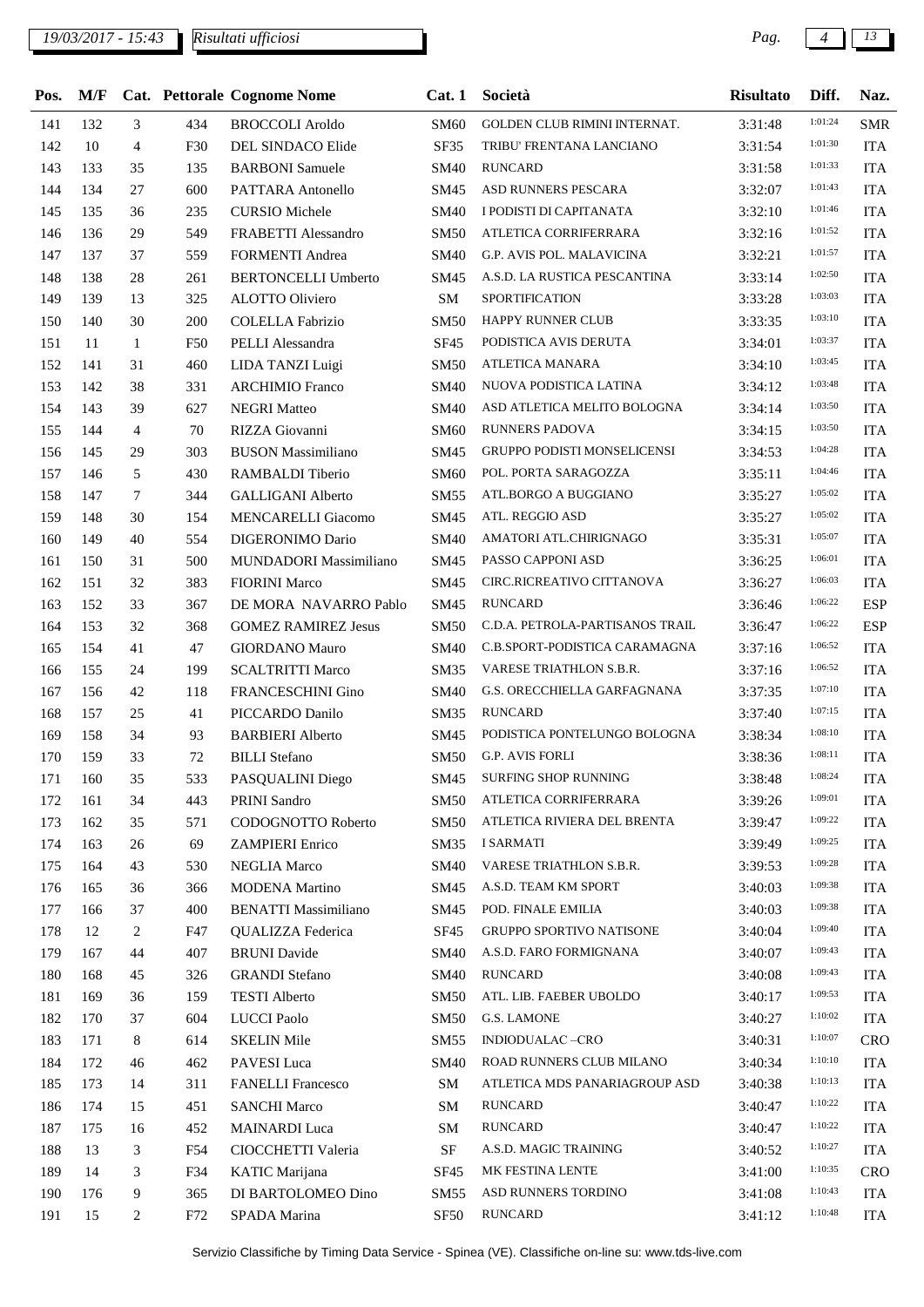## *19/03/2017 - 15:43 Pag. 4 13*

| Pos. |     |                |     | M/F Cat. Pettorale Cognome Nome | Cat.1            | Società                             | <b>Risultato</b> | Diff.   | Naz.       |
|------|-----|----------------|-----|---------------------------------|------------------|-------------------------------------|------------------|---------|------------|
| 141  | 132 | 3              | 434 | <b>BROCCOLI Aroldo</b>          | SM60             | <b>GOLDEN CLUB RIMINI INTERNAT.</b> | 3:31:48          | 1:01:24 | <b>SMR</b> |
| 142  | 10  | $\overline{4}$ | F30 | DEL SINDACO Elide               | <b>SF35</b>      | TRIBU' FRENTANA LANCIANO            | 3:31:54          | 1:01:30 | <b>ITA</b> |
| 143  | 133 | 35             | 135 | <b>BARBONI</b> Samuele          | SM40             | <b>RUNCARD</b>                      | 3:31:58          | 1:01:33 | <b>ITA</b> |
| 144  | 134 | 27             | 600 | PATTARA Antonello               | SM45             | ASD RUNNERS PESCARA                 | 3:32:07          | 1:01:43 | <b>ITA</b> |
| 145  | 135 | 36             | 235 | <b>CURSIO</b> Michele           | <b>SM40</b>      | I PODISTI DI CAPITANATA             | 3:32:10          | 1:01:46 | <b>ITA</b> |
| 146  | 136 | 29             | 549 | FRABETTI Alessandro             | <b>SM50</b>      | ATLETICA CORRIFERRARA               | 3:32:16          | 1:01:52 | <b>ITA</b> |
| 147  | 137 | 37             | 559 | <b>FORMENTI Andrea</b>          | <b>SM40</b>      | G.P. AVIS POL. MALAVICINA           | 3:32:21          | 1:01:57 | <b>ITA</b> |
| 148  | 138 | 28             | 261 | <b>BERTONCELLI Umberto</b>      | SM45             | A.S.D. LA RUSTICA PESCANTINA        | 3:33:14          | 1:02:50 | <b>ITA</b> |
| 149  | 139 | 13             | 325 | <b>ALOTTO Oliviero</b>          | ${\bf SM}$       | SPORTIFICATION                      | 3:33:28          | 1:03:03 | <b>ITA</b> |
| 150  | 140 | 30             | 200 | <b>COLELLA Fabrizio</b>         | <b>SM50</b>      | HAPPY RUNNER CLUB                   | 3:33:35          | 1:03:10 | <b>ITA</b> |
| 151  | 11  | -1             | F50 | PELLI Alessandra                | SF <sub>45</sub> | PODISTICA AVIS DERUTA               | 3:34:01          | 1:03:37 | <b>ITA</b> |
| 152  | 141 | 31             | 460 | LIDA TANZI Luigi                | <b>SM50</b>      | ATLETICA MANARA                     | 3:34:10          | 1:03:45 | <b>ITA</b> |
| 153  | 142 | 38             | 331 | <b>ARCHIMIO</b> Franco          | <b>SM40</b>      | NUOVA PODISTICA LATINA              | 3:34:12          | 1:03:48 | <b>ITA</b> |
| 154  | 143 | 39             | 627 | <b>NEGRI Matteo</b>             | <b>SM40</b>      | ASD ATLETICA MELITO BOLOGNA         | 3:34:14          | 1:03:50 | <b>ITA</b> |
| 155  | 144 | $\overline{4}$ | 70  | RIZZA Giovanni                  | SM60             | <b>RUNNERS PADOVA</b>               | 3:34:15          | 1:03:50 | <b>ITA</b> |
| 156  | 145 | 29             | 303 | <b>BUSON Massimiliano</b>       | SM45             | <b>GRUPPO PODISTI MONSELICENSI</b>  | 3:34:53          | 1:04:28 | <b>ITA</b> |
| 157  | 146 | 5              | 430 | RAMBALDI Tiberio                | SM60             | POL. PORTA SARAGOZZA                | 3:35:11          | 1:04:46 | <b>ITA</b> |
| 158  | 147 | $\tau$         | 344 | <b>GALLIGANI Alberto</b>        | <b>SM55</b>      | ATL.BORGO A BUGGIANO                | 3:35:27          | 1:05:02 | <b>ITA</b> |
| 159  | 148 | 30             | 154 | MENCARELLI Giacomo              | SM45             | ATL. REGGIO ASD                     | 3:35:27          | 1:05:02 | <b>ITA</b> |
| 160  | 149 | 40             | 554 | DIGERONIMO Dario                | <b>SM40</b>      | AMATORI ATL.CHIRIGNAGO              | 3:35:31          | 1:05:07 | <b>ITA</b> |
| 161  | 150 | 31             | 500 | MUNDADORI Massimiliano          | SM45             | PASSO CAPPONI ASD                   | 3:36:25          | 1:06:01 | <b>ITA</b> |
| 162  | 151 | 32             | 383 | <b>FIORINI Marco</b>            | SM45             | CIRC.RICREATIVO CITTANOVA           | 3:36:27          | 1:06:03 | <b>ITA</b> |
| 163  | 152 | 33             | 367 | DE MORA NAVARRO Pablo           | SM45             | <b>RUNCARD</b>                      | 3:36:46          | 1:06:22 | <b>ESP</b> |
| 164  | 153 | 32             | 368 | <b>GOMEZ RAMIREZ Jesus</b>      | <b>SM50</b>      | C.D.A. PETROLA-PARTISANOS TRAIL     | 3:36:47          | 1:06:22 | <b>ESP</b> |
| 165  | 154 | 41             | 47  | <b>GIORDANO Mauro</b>           | <b>SM40</b>      | C.B.SPORT-PODISTICA CARAMAGNA       | 3:37:16          | 1:06:52 | <b>ITA</b> |
| 166  | 155 | 24             | 199 |                                 | <b>SM35</b>      | VARESE TRIATHLON S.B.R.             | 3:37:16          | 1:06:52 | <b>ITA</b> |
|      |     |                |     | <b>SCALTRITTI Marco</b>         |                  | G.S. ORECCHIELLA GARFAGNANA         |                  | 1:07:10 |            |
| 167  | 156 | 42             | 118 | FRANCESCHINI Gino               | <b>SM40</b>      |                                     | 3:37:35          | 1:07:15 | <b>ITA</b> |
| 168  | 157 | 25             | 41  | PICCARDO Danilo                 | SM35             | RUNCARD                             | 3:37:40          | 1:08:10 | <b>ITA</b> |
| 169  | 158 | 34             | 93  | <b>BARBIERI</b> Alberto         | SM45             | PODISTICA PONTELUNGO BOLOGNA        | 3:38:34          | 1:08:11 | <b>ITA</b> |
| 170  | 159 | 33             | 72  | <b>BILLI</b> Stefano            | <b>SM50</b>      | <b>G.P. AVIS FORLI</b>              | 3:38:36          | 1:08:24 | <b>ITA</b> |
| 171  | 160 | 35             | 533 | PASQUALINI Diego                |                  | SM45 SURFING SHOP RUNNING           | 3:38:48          |         | $\rm ITA$  |
| 172  | 161 | 34             | 443 | PRINI Sandro                    | SM50             | ATLETICA CORRIFERRARA               | 3:39:26          | 1:09:01 | <b>ITA</b> |
| 173  | 162 | 35             | 571 | CODOGNOTTO Roberto              | <b>SM50</b>      | ATLETICA RIVIERA DEL BRENTA         | 3:39:47          | 1:09:22 | <b>ITA</b> |
| 174  | 163 | 26             | 69  | <b>ZAMPIERI</b> Enrico          | SM35             | <b>I SARMATI</b>                    | 3:39:49          | 1:09:25 | <b>ITA</b> |
| 175  | 164 | 43             | 530 | <b>NEGLIA Marco</b>             | SM40             | VARESE TRIATHLON S.B.R.             | 3:39:53          | 1:09:28 | <b>ITA</b> |
| 176  | 165 | 36             | 366 | <b>MODENA</b> Martino           | SM45             | A.S.D. TEAM KM SPORT                | 3:40:03          | 1:09:38 | <b>ITA</b> |
| 177  | 166 | 37             | 400 | <b>BENATTI Massimiliano</b>     | SM45             | POD. FINALE EMILIA                  | 3:40:03          | 1:09:38 | <b>ITA</b> |
| 178  | 12  | 2              | F47 | QUALIZZA Federica               | SF <sub>45</sub> | <b>GRUPPO SPORTIVO NATISONE</b>     | 3:40:04          | 1:09:40 | <b>ITA</b> |
| 179  | 167 | 44             | 407 | <b>BRUNI</b> Davide             | <b>SM40</b>      | A.S.D. FARO FORMIGNANA              | 3:40:07          | 1:09:43 | <b>ITA</b> |
| 180  | 168 | 45             | 326 | <b>GRANDI</b> Stefano           | SM40             | <b>RUNCARD</b>                      | 3:40:08          | 1:09:43 | <b>ITA</b> |
| 181  | 169 | 36             | 159 | <b>TESTI</b> Alberto            | <b>SM50</b>      | ATL. LIB. FAEBER UBOLDO             | 3:40:17          | 1:09:53 | <b>ITA</b> |
| 182  | 170 | 37             | 604 | <b>LUCCI Paolo</b>              | <b>SM50</b>      | G.S. LAMONE                         | 3:40:27          | 1:10:02 | <b>ITA</b> |
| 183  | 171 | 8              | 614 | <b>SKELIN Mile</b>              | SM55             | INDIODUALAC-CRO                     | 3:40:31          | 1:10:07 | <b>CRO</b> |
| 184  | 172 | 46             | 462 | PAVESI Luca                     | <b>SM40</b>      | ROAD RUNNERS CLUB MILANO            | 3:40:34          | 1:10:10 | <b>ITA</b> |
| 185  | 173 | 14             | 311 | <b>FANELLI</b> Francesco        | SM               | ATLETICA MDS PANARIAGROUP ASD       | 3:40:38          | 1:10:13 | <b>ITA</b> |
| 186  | 174 | 15             | 451 | <b>SANCHI Marco</b>             | SM               | <b>RUNCARD</b>                      | 3:40:47          | 1:10:22 | <b>ITA</b> |
| 187  | 175 | 16             | 452 | <b>MAINARDI</b> Luca            | <b>SM</b>        | <b>RUNCARD</b>                      | 3:40:47          | 1:10:22 | <b>ITA</b> |
| 188  | 13  | 3              | F54 | CIOCCHETTI Valeria              | SF               | A.S.D. MAGIC TRAINING               | 3:40:52          | 1:10:27 | <b>ITA</b> |
| 189  | 14  | 3              | F34 | KATIC Marijana                  | SF <sub>45</sub> | MK FESTINA LENTE                    | 3:41:00          | 1:10:35 | <b>CRO</b> |
| 190  | 176 | 9              | 365 | DI BARTOLOMEO Dino              | SM55             | ASD RUNNERS TORDINO                 | 3:41:08          | 1:10:43 | <b>ITA</b> |
| 191  | 15  | 2              | F72 | SPADA Marina                    | SF <sub>50</sub> | <b>RUNCARD</b>                      | 3:41:12          | 1:10:48 | <b>ITA</b> |
|      |     |                |     |                                 |                  |                                     |                  |         |            |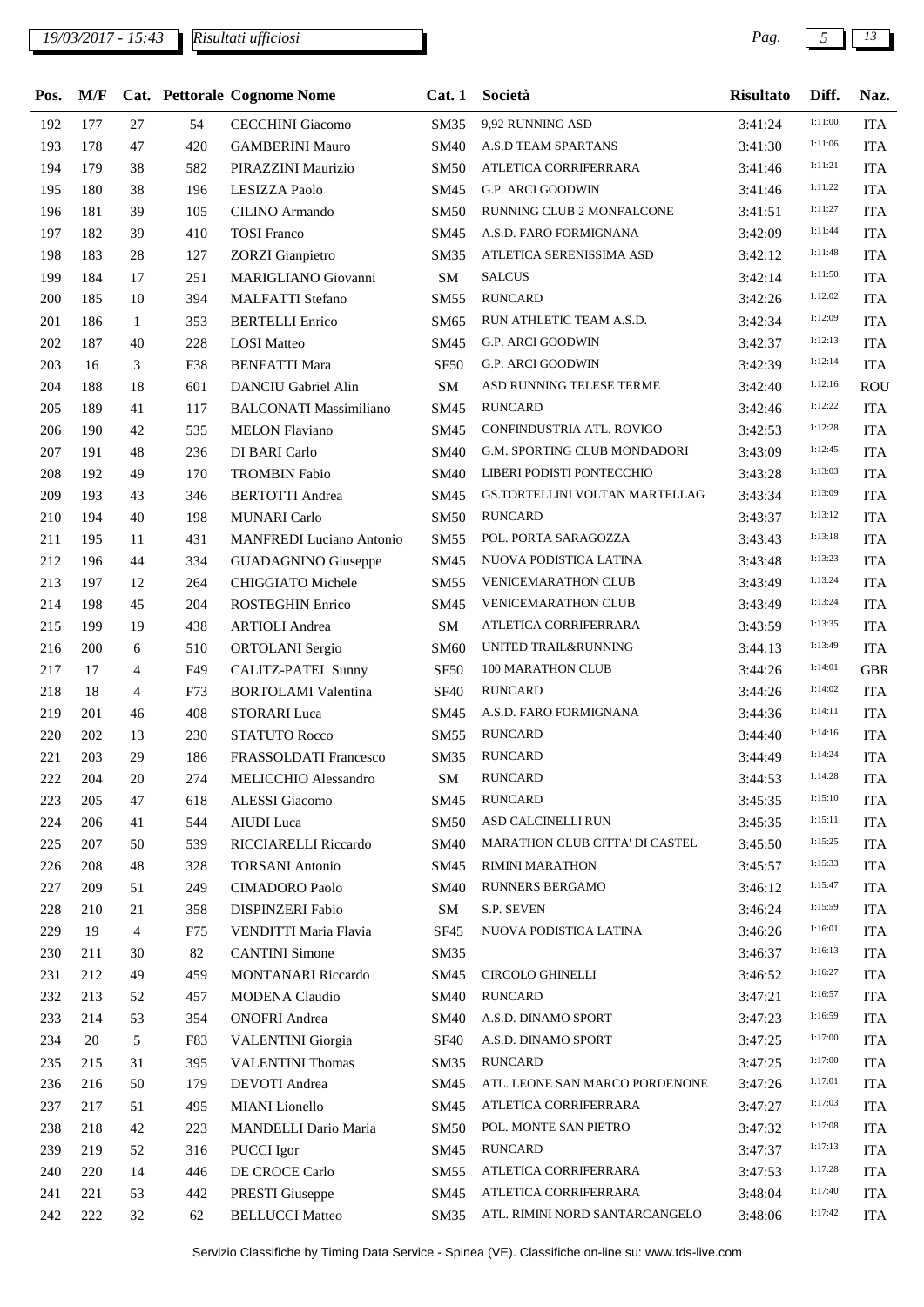## *19/03/2017 - 15:43 Pag. 5 13*

| Pos. | M/F |                |     | Cat. Pettorale Cognome Nome     | Cat.1            | Società                        | <b>Risultato</b> | Diff.   | Naz.       |
|------|-----|----------------|-----|---------------------------------|------------------|--------------------------------|------------------|---------|------------|
| 192  | 177 | 27             | 54  | <b>CECCHINI</b> Giacomo         | SM35             | 9,92 RUNNING ASD               | 3:41:24          | 1:11:00 | <b>ITA</b> |
| 193  | 178 | 47             | 420 | <b>GAMBERINI Mauro</b>          | <b>SM40</b>      | A.S.D TEAM SPARTANS            | 3:41:30          | 1:11:06 | <b>ITA</b> |
| 194  | 179 | 38             | 582 | PIRAZZINI Maurizio              | <b>SM50</b>      | ATLETICA CORRIFERRARA          | 3:41:46          | 1:11:21 | <b>ITA</b> |
| 195  | 180 | 38             | 196 | <b>LESIZZA Paolo</b>            | SM45             | <b>G.P. ARCI GOODWIN</b>       | 3:41:46          | 1:11:22 | <b>ITA</b> |
| 196  | 181 | 39             | 105 | CILINO Armando                  | <b>SM50</b>      | RUNNING CLUB 2 MONFALCONE      | 3:41:51          | 1:11:27 | <b>ITA</b> |
| 197  | 182 | 39             | 410 | <b>TOSI</b> Franco              | SM45             | A.S.D. FARO FORMIGNANA         | 3:42:09          | 1:11:44 | <b>ITA</b> |
| 198  | 183 | 28             | 127 | <b>ZORZI</b> Gianpietro         | SM35             | ATLETICA SERENISSIMA ASD       | 3:42:12          | 1:11:48 | <b>ITA</b> |
| 199  | 184 | 17             | 251 | MARIGLIANO Giovanni             | SM               | <b>SALCUS</b>                  | 3:42:14          | 1:11:50 | <b>ITA</b> |
| 200  | 185 | 10             | 394 | <b>MALFATTI</b> Stefano         | <b>SM55</b>      | <b>RUNCARD</b>                 | 3:42:26          | 1:12:02 | <b>ITA</b> |
| 201  | 186 | $\mathbf{1}$   | 353 | <b>BERTELLI</b> Enrico          | SM65             | RUN ATHLETIC TEAM A.S.D.       | 3:42:34          | 1:12:09 | <b>ITA</b> |
| 202  | 187 | 40             | 228 | <b>LOSI</b> Matteo              | SM45             | <b>G.P. ARCI GOODWIN</b>       | 3:42:37          | 1:12:13 | <b>ITA</b> |
| 203  | 16  | 3              | F38 | <b>BENFATTI Mara</b>            | <b>SF50</b>      | <b>G.P. ARCI GOODWIN</b>       | 3:42:39          | 1:12:14 | <b>ITA</b> |
| 204  | 188 | 18             | 601 | <b>DANCIU Gabriel Alin</b>      | SM               | ASD RUNNING TELESE TERME       | 3:42:40          | 1:12:16 | ROU        |
| 205  | 189 | 41             | 117 | <b>BALCONATI Massimiliano</b>   | SM45             | <b>RUNCARD</b>                 | 3:42:46          | 1:12:22 | <b>ITA</b> |
| 206  | 190 | 42             | 535 | <b>MELON Flaviano</b>           | SM45             | CONFINDUSTRIA ATL. ROVIGO      | 3:42:53          | 1:12:28 | <b>ITA</b> |
| 207  | 191 | 48             | 236 | DI BARI Carlo                   | <b>SM40</b>      | G.M. SPORTING CLUB MONDADORI   | 3:43:09          | 1:12:45 | <b>ITA</b> |
| 208  | 192 | 49             | 170 | <b>TROMBIN Fabio</b>            | <b>SM40</b>      | LIBERI PODISTI PONTECCHIO      | 3:43:28          | 1:13:03 | <b>ITA</b> |
| 209  | 193 | 43             | 346 | <b>BERTOTTI</b> Andrea          | SM45             | GS.TORTELLINI VOLTAN MARTELLAG | 3:43:34          | 1:13:09 | <b>ITA</b> |
| 210  | 194 | 40             | 198 | <b>MUNARI</b> Carlo             | <b>SM50</b>      | <b>RUNCARD</b>                 | 3:43:37          | 1:13:12 | <b>ITA</b> |
| 211  | 195 | 11             | 431 | <b>MANFREDI</b> Luciano Antonio | <b>SM55</b>      | POL. PORTA SARAGOZZA           | 3:43:43          | 1:13:18 | <b>ITA</b> |
| 212  | 196 | 44             | 334 | <b>GUADAGNINO</b> Giuseppe      | SM45             | NUOVA PODISTICA LATINA         | 3:43:48          | 1:13:23 | <b>ITA</b> |
| 213  | 197 | 12             | 264 | CHIGGIATO Michele               | SM55             | <b>VENICEMARATHON CLUB</b>     | 3:43:49          | 1:13:24 | <b>ITA</b> |
| 214  | 198 | 45             | 204 | <b>ROSTEGHIN Enrico</b>         | SM45             | <b>VENICEMARATHON CLUB</b>     | 3:43:49          | 1:13:24 | <b>ITA</b> |
| 215  | 199 | 19             | 438 | <b>ARTIOLI</b> Andrea           | SM               | ATLETICA CORRIFERRARA          | 3:43:59          | 1:13:35 | <b>ITA</b> |
| 216  | 200 | 6              | 510 | ORTOLANI Sergio                 | <b>SM60</b>      | UNITED TRAIL&RUNNING           | 3:44:13          | 1:13:49 | <b>ITA</b> |
| 217  | 17  | $\overline{4}$ | F49 | <b>CALITZ-PATEL Sunny</b>       | SF <sub>50</sub> | 100 MARATHON CLUB              | 3:44:26          | 1:14:01 | <b>GBR</b> |
| 218  | 18  | $\overline{4}$ | F73 | <b>BORTOLAMI</b> Valentina      | <b>SF40</b>      | <b>RUNCARD</b>                 | 3:44:26          | 1:14:02 | <b>ITA</b> |
| 219  | 201 | 46             | 408 | <b>STORARI</b> Luca             | SM45             | A.S.D. FARO FORMIGNANA         | 3:44:36          | 1:14:11 | <b>ITA</b> |
| 220  | 202 | 13             | 230 | <b>STATUTO Rocco</b>            | SM55             | <b>RUNCARD</b>                 | 3:44:40          | 1:14:16 | <b>ITA</b> |
| 221  | 203 | 29             | 186 | FRASSOLDATI Francesco           | <b>SM35</b>      | <b>RUNCARD</b>                 | 3:44:49          | 1:14:24 | <b>ITA</b> |
| 222  | 204 | 20             | 274 | MELICCHIO Alessandro            | SМ               | <b>RUNCARD</b>                 | 3:44:53          | 1:14:28 | <b>ITA</b> |
| 223  | 205 | 47             | 618 | ALESSI Giacomo                  | SM45             | <b>RUNCARD</b>                 | 3:45:35          | 1:15:10 | <b>ITA</b> |
| 224  | 206 | 41             | 544 | AIUDI Luca                      | <b>SM50</b>      | ASD CALCINELLI RUN             | 3:45:35          | 1:15:11 | <b>ITA</b> |
| 225  | 207 | 50             | 539 | RICCIARELLI Riccardo            | <b>SM40</b>      | MARATHON CLUB CITTA' DI CASTEL | 3:45:50          | 1:15:25 | <b>ITA</b> |
| 226  | 208 | 48             | 328 | <b>TORSANI</b> Antonio          | SM45             | RIMINI MARATHON                | 3:45:57          | 1:15:33 | <b>ITA</b> |
| 227  | 209 | 51             | 249 | <b>CIMADORO</b> Paolo           | <b>SM40</b>      | RUNNERS BERGAMO                | 3:46:12          | 1:15:47 | <b>ITA</b> |
| 228  | 210 | 21             | 358 | <b>DISPINZERI Fabio</b>         | SM               | S.P. SEVEN                     | 3:46:24          | 1:15:59 | <b>ITA</b> |
| 229  | 19  | $\overline{4}$ | F75 | VENDITTI Maria Flavia           | <b>SF45</b>      | NUOVA PODISTICA LATINA         | 3:46:26          | 1:16:01 | <b>ITA</b> |
| 230  | 211 | 30             | 82  | <b>CANTINI</b> Simone           | SM35             |                                | 3:46:37          | 1:16:13 | <b>ITA</b> |
| 231  | 212 | 49             | 459 | MONTANARI Riccardo              | SM45             | CIRCOLO GHINELLI               | 3:46:52          | 1:16:27 | <b>ITA</b> |
| 232  | 213 | 52             | 457 | <b>MODENA</b> Claudio           | <b>SM40</b>      | <b>RUNCARD</b>                 | 3:47:21          | 1:16:57 | <b>ITA</b> |
| 233  | 214 | 53             | 354 | <b>ONOFRI</b> Andrea            | SM40             | A.S.D. DINAMO SPORT            | 3:47:23          | 1:16:59 | <b>ITA</b> |
| 234  | 20  | 5              | F83 | <b>VALENTINI</b> Giorgia        | <b>SF40</b>      | A.S.D. DINAMO SPORT            | 3:47:25          | 1:17:00 | <b>ITA</b> |
| 235  | 215 | 31             | 395 | <b>VALENTINI Thomas</b>         | SM35             | <b>RUNCARD</b>                 | 3:47:25          | 1:17:00 | <b>ITA</b> |
| 236  | 216 | 50             | 179 | DEVOTI Andrea                   | SM45             | ATL. LEONE SAN MARCO PORDENONE | 3:47:26          | 1:17:01 | <b>ITA</b> |
| 237  | 217 | 51             | 495 | MIANI Lionello                  | SM45             | ATLETICA CORRIFERRARA          | 3:47:27          | 1:17:03 | <b>ITA</b> |
| 238  | 218 | 42             | 223 | MANDELLI Dario Maria            | <b>SM50</b>      | POL. MONTE SAN PIETRO          | 3:47:32          | 1:17:08 | <b>ITA</b> |
| 239  | 219 | 52             | 316 | PUCCI Igor                      | SM45             | <b>RUNCARD</b>                 | 3:47:37          | 1:17:13 | <b>ITA</b> |
| 240  | 220 | 14             | 446 | DE CROCE Carlo                  | SM55             | ATLETICA CORRIFERRARA          | 3:47:53          | 1:17:28 | <b>ITA</b> |
| 241  | 221 | 53             | 442 | PRESTI Giuseppe                 | SM45             | ATLETICA CORRIFERRARA          | 3:48:04          | 1:17:40 | <b>ITA</b> |
| 242  | 222 | 32             | 62  | <b>BELLUCCI</b> Matteo          | SM35             | ATL. RIMINI NORD SANTARCANGELO | 3:48:06          | 1:17:42 | <b>ITA</b> |
|      |     |                |     |                                 |                  |                                |                  |         |            |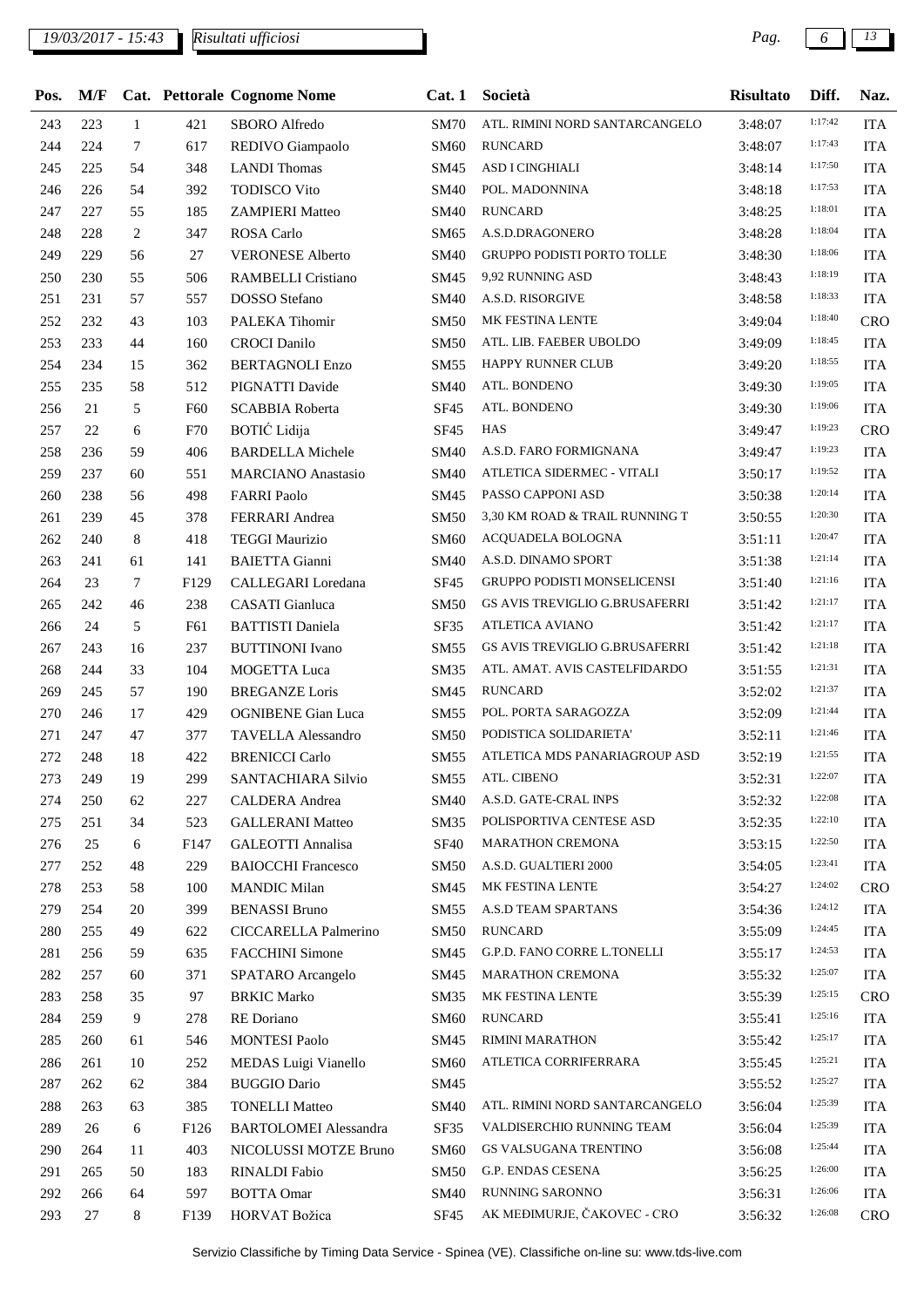## *19/03/2017 - 15:43 Pag. 6 13*

| 1:17:42<br>243<br><b>SM70</b><br>ATL. RIMINI NORD SANTARCANGELO<br>223<br>$\mathbf{1}$<br>421<br>SBORO Alfredo<br>3:48:07<br>1:17:43<br>244<br>224<br><b>RUNCARD</b><br>7<br>617<br>REDIVO Giampaolo<br><b>SM60</b><br>3:48:07<br>1:17:50<br>ASD I CINGHIALI<br>245<br>225<br>54<br>348<br><b>LANDI</b> Thomas<br>SM45<br>3:48:14<br>1:17:53<br>246<br>226<br>54<br>392<br><b>TODISCO Vito</b><br>SM40<br>POL. MADONNINA<br>3:48:18<br>1:18:01<br>247<br><b>RUNCARD</b><br>227<br>55<br>185<br><b>SM40</b><br><b>ZAMPIERI Matteo</b><br>3:48:25<br>1:18:04<br>248<br>$\mathfrak{2}$<br>A.S.D.DRAGONERO<br>228<br>347<br><b>ROSA Carlo</b><br>SM65<br>3:48:28<br>1:18:06<br><b>GRUPPO PODISTI PORTO TOLLE</b><br>249<br>SM40<br>229<br>56<br>27<br><b>VERONESE Alberto</b><br>3:48:30<br>1:18:19<br>250<br>9,92 RUNNING ASD<br>230<br>55<br>506<br>RAMBELLI Cristiano<br>SM45<br>3:48:43<br>1:18:33<br>251<br>DOSSO Stefano<br>A.S.D. RISORGIVE<br>231<br>57<br>557<br>SM40<br>3:48:58<br>MK FESTINA LENTE<br>1:18:40<br>252<br>232<br>43<br>103<br>PALEKA Tihomir<br><b>SM50</b><br>3:49:04<br>1:18:45<br>ATL. LIB. FAEBER UBOLDO<br>253<br>233<br>44<br><b>CROCI</b> Danilo<br>160<br>SM50<br>3:49:09<br>1:18:55<br>254<br>HAPPY RUNNER CLUB<br>234<br>15<br>362<br><b>BERTAGNOLI Enzo</b><br>SM55<br>3:49:20<br>1:19:05<br>ATL. BONDENO<br>255<br>PIGNATTI Davide<br>235<br>58<br>512<br>SM40<br>3:49:30<br>1:19:06<br>5<br><b>SF45</b><br>ATL. BONDENO<br>256<br>21<br><b>SCABBIA Roberta</b><br>F60<br>3:49:30<br>BOTIĆ Lidija<br>1:19:23<br>257<br>6<br>SF45<br><b>HAS</b><br>22<br>F70<br>3:49:47<br>1:19:23<br>A.S.D. FARO FORMIGNANA<br>258<br>406<br>SM40<br>236<br>59<br><b>BARDELLA</b> Michele<br>3:49:47<br>1:19:52<br>259<br>ATLETICA SIDERMEC - VITALI<br>237<br>60<br>551<br><b>MARCIANO</b> Anastasio<br>SM40<br>3:50:17<br>1:20:14<br>260<br>238<br>PASSO CAPPONI ASD<br>498<br><b>FARRI Paolo</b><br>SM45<br>3:50:38<br>56<br>1:20:30<br>261<br>239<br>45<br>378<br>FERRARI Andrea<br><b>SM50</b><br>3,30 KM ROAD & TRAIL RUNNING T<br>3:50:55<br>1:20:47<br>8<br>262<br>240<br>418<br><b>TEGGI Maurizio</b><br><b>SM60</b><br>ACQUADELA BOLOGNA<br>3:51:11<br>1:21:14<br>263<br>241<br>141<br><b>BAIETTA Gianni</b><br>SM40<br>A.S.D. DINAMO SPORT<br>3:51:38<br>61<br>1:21:16<br>264<br>23<br>$\tau$<br><b>SF45</b><br><b>GRUPPO PODISTI MONSELICENSI</b><br>F129<br>CALLEGARI Loredana<br>3:51:40<br>1:21:17<br>265<br>242<br>46<br>238<br><b>CASATI</b> Gianluca<br><b>GS AVIS TREVIGLIO G.BRUSAFERRI</b><br><b>SM50</b><br>3:51:42<br>1:21:17<br><b>ATLETICA AVIANO</b><br>266<br>24<br>5<br><b>BATTISTI Daniela</b><br>SF35<br>F61<br>3:51:42<br>1:21:18<br>GS AVIS TREVIGLIO G.BRUSAFERRI<br>267<br>243<br>16<br>237<br><b>BUTTINONI</b> Ivano<br>SM55<br>3:51:42<br>1:21:31<br>268<br>ATL. AMAT. AVIS CASTELFIDARDO<br>244<br>33<br>104<br>MOGETTA Luca<br>SM35<br>3:51:55<br>1:21:37<br>269<br><b>RUNCARD</b><br>245<br>57<br>190<br><b>BREGANZE</b> Loris<br>SM45<br>3:52:02<br>1:21:44<br>POL. PORTA SARAGOZZA<br>270<br>246<br>17<br>429<br><b>OGNIBENE</b> Gian Luca<br><b>SM55</b><br>3:52:09<br>1:21:46<br>271<br>247<br>47<br>377<br><b>TAVELLA Alessandro</b><br><b>SM50</b><br>PODISTICA SOLIDARIETA'<br>3:52:11<br>1:21:55<br>ATLETICA MDS PANARIAGROUP ASD<br>272<br>248<br>18<br>422<br><b>BRENICCI Carlo</b><br>SM55<br>3:52:19<br>1:22:07<br>SM55 ATL. CIBENO<br>273<br>249<br>19<br>299<br>SANTACHIARA Silvio<br>3:52:31<br>1:22:08<br>A.S.D. GATE-CRAL INPS<br>250<br>274<br>62<br>227<br>CALDERA Andrea<br>SM40<br>3:52:32<br>1:22:10<br>POLISPORTIVA CENTESE ASD<br>275<br>251<br>34<br>523<br><b>GALLERANI Matteo</b><br>SM35<br>3:52:35<br>1:22:50<br>276<br>25<br>6<br>F147<br><b>GALEOTTI Annalisa</b><br><b>SF40</b><br><b>MARATHON CREMONA</b><br>3:53:15<br>1:23:41<br>A.S.D. GUALTIERI 2000<br>277<br>252<br>48<br>229<br><b>BAIOCCHI Francesco</b><br><b>SM50</b><br>3:54:05<br>1:24:02<br>MK FESTINA LENTE<br>278<br><b>MANDIC Milan</b><br>SM45<br>253<br>58<br>100<br>3:54:27<br>1:24:12<br>A.S.D TEAM SPARTANS<br>279<br>254<br>20<br>399<br><b>BENASSI Bruno</b><br>SM55<br>3:54:36<br>1:24:45<br>280<br>255<br>49<br>622<br>CICCARELLA Palmerino<br><b>SM50</b><br><b>RUNCARD</b><br>3:55:09<br>G.P.D. FANO CORRE L.TONELLI<br>1:24:53<br>281<br>256<br>59<br>635<br><b>FACCHINI</b> Simone<br>SM45<br>3:55:17<br>1:25:07<br>MARATHON CREMONA<br>282<br>371<br>SPATARO Arcangelo<br>257<br>60<br>SM45<br>3:55:32<br>1:25:15<br>MK FESTINA LENTE<br>97<br><b>BRKIC Marko</b><br>283<br>258<br>SM35<br>35<br>3:55:39<br>9<br>1:25:16<br>284<br>259<br>278<br>RE Doriano<br><b>SM60</b><br><b>RUNCARD</b><br>3:55:41<br>1:25:17<br>RIMINI MARATHON<br>285<br>546<br><b>MONTESI Paolo</b><br>SM45<br>260<br>61<br>3:55:42<br>1:25:21<br>286<br>261<br>10<br>252<br>MEDAS Luigi Vianello<br><b>SM60</b><br>ATLETICA CORRIFERRARA<br>3:55:45<br>1:25:27<br>287<br><b>BUGGIO Dario</b><br>262<br>384<br>SM45<br>62<br>3:55:52<br>1:25:39<br>288<br>385<br><b>TONELLI Matteo</b><br><b>SM40</b><br>ATL. RIMINI NORD SANTARCANGELO<br>263<br>63<br>3:56:04<br>1:25:39<br>SF35<br>VALDISERCHIO RUNNING TEAM<br>289<br>26<br>F126<br><b>BARTOLOMEI</b> Alessandra<br>3:56:04<br>6<br>1:25:44<br>GS VALSUGANA TRENTINO<br>290<br>403<br>NICOLUSSI MOTZE Bruno<br><b>SM60</b><br>264<br>11<br>3:56:08<br>1:26:00<br>G.P. ENDAS CESENA<br>291<br>265<br>50<br>183<br>RINALDI Fabio<br><b>SM50</b><br>3:56:25<br>1:26:06<br>292<br>RUNNING SARONNO<br>266<br>597<br><b>BOTTA Omar</b><br>SM40<br>64<br>3:56:31<br>AK MEĐIMURJE, ČAKOVEC - CRO<br>1:26:08<br>293<br>HORVAT Božica<br>27<br>8<br>F139<br>SF <sub>45</sub><br>3:56:32 | Pos. | M/F |  | Cat. Pettorale Cognome Nome | Cat.1 | Società | <b>Risultato</b> | Diff. | Naz.       |
|----------------------------------------------------------------------------------------------------------------------------------------------------------------------------------------------------------------------------------------------------------------------------------------------------------------------------------------------------------------------------------------------------------------------------------------------------------------------------------------------------------------------------------------------------------------------------------------------------------------------------------------------------------------------------------------------------------------------------------------------------------------------------------------------------------------------------------------------------------------------------------------------------------------------------------------------------------------------------------------------------------------------------------------------------------------------------------------------------------------------------------------------------------------------------------------------------------------------------------------------------------------------------------------------------------------------------------------------------------------------------------------------------------------------------------------------------------------------------------------------------------------------------------------------------------------------------------------------------------------------------------------------------------------------------------------------------------------------------------------------------------------------------------------------------------------------------------------------------------------------------------------------------------------------------------------------------------------------------------------------------------------------------------------------------------------------------------------------------------------------------------------------------------------------------------------------------------------------------------------------------------------------------------------------------------------------------------------------------------------------------------------------------------------------------------------------------------------------------------------------------------------------------------------------------------------------------------------------------------------------------------------------------------------------------------------------------------------------------------------------------------------------------------------------------------------------------------------------------------------------------------------------------------------------------------------------------------------------------------------------------------------------------------------------------------------------------------------------------------------------------------------------------------------------------------------------------------------------------------------------------------------------------------------------------------------------------------------------------------------------------------------------------------------------------------------------------------------------------------------------------------------------------------------------------------------------------------------------------------------------------------------------------------------------------------------------------------------------------------------------------------------------------------------------------------------------------------------------------------------------------------------------------------------------------------------------------------------------------------------------------------------------------------------------------------------------------------------------------------------------------------------------------------------------------------------------------------------------------------------------------------------------------------------------------------------------------------------------------------------------------------------------------------------------------------------------------------------------------------------------------------------------------------------------------------------------------------------------------------------------------------------------------------------------------------------------------------------------------------------------------------------------------------------------------------------------------------------------------------------------------------------------------------------------------------------------------------------------------------------------------------------------------------------------------------------------------------------------------------------------------------------------------------------------------------------------------------------------------------------------------------------------------------------------------------------------------------------------------------------------------------------------------------------------------------------------------------------------------------------------------------------------------------------------------------------------------------------------------------------------------------------------------------------------------------|------|-----|--|-----------------------------|-------|---------|------------------|-------|------------|
|                                                                                                                                                                                                                                                                                                                                                                                                                                                                                                                                                                                                                                                                                                                                                                                                                                                                                                                                                                                                                                                                                                                                                                                                                                                                                                                                                                                                                                                                                                                                                                                                                                                                                                                                                                                                                                                                                                                                                                                                                                                                                                                                                                                                                                                                                                                                                                                                                                                                                                                                                                                                                                                                                                                                                                                                                                                                                                                                                                                                                                                                                                                                                                                                                                                                                                                                                                                                                                                                                                                                                                                                                                                                                                                                                                                                                                                                                                                                                                                                                                                                                                                                                                                                                                                                                                                                                                                                                                                                                                                                                                                                                                                                                                                                                                                                                                                                                                                                                                                                                                                                                                                                                                                                                                                                                                                                                                                                                                                                                                                                                                                                                                                                                  |      |     |  |                             |       |         |                  |       | <b>ITA</b> |
|                                                                                                                                                                                                                                                                                                                                                                                                                                                                                                                                                                                                                                                                                                                                                                                                                                                                                                                                                                                                                                                                                                                                                                                                                                                                                                                                                                                                                                                                                                                                                                                                                                                                                                                                                                                                                                                                                                                                                                                                                                                                                                                                                                                                                                                                                                                                                                                                                                                                                                                                                                                                                                                                                                                                                                                                                                                                                                                                                                                                                                                                                                                                                                                                                                                                                                                                                                                                                                                                                                                                                                                                                                                                                                                                                                                                                                                                                                                                                                                                                                                                                                                                                                                                                                                                                                                                                                                                                                                                                                                                                                                                                                                                                                                                                                                                                                                                                                                                                                                                                                                                                                                                                                                                                                                                                                                                                                                                                                                                                                                                                                                                                                                                                  |      |     |  |                             |       |         |                  |       | <b>ITA</b> |
|                                                                                                                                                                                                                                                                                                                                                                                                                                                                                                                                                                                                                                                                                                                                                                                                                                                                                                                                                                                                                                                                                                                                                                                                                                                                                                                                                                                                                                                                                                                                                                                                                                                                                                                                                                                                                                                                                                                                                                                                                                                                                                                                                                                                                                                                                                                                                                                                                                                                                                                                                                                                                                                                                                                                                                                                                                                                                                                                                                                                                                                                                                                                                                                                                                                                                                                                                                                                                                                                                                                                                                                                                                                                                                                                                                                                                                                                                                                                                                                                                                                                                                                                                                                                                                                                                                                                                                                                                                                                                                                                                                                                                                                                                                                                                                                                                                                                                                                                                                                                                                                                                                                                                                                                                                                                                                                                                                                                                                                                                                                                                                                                                                                                                  |      |     |  |                             |       |         |                  |       | <b>ITA</b> |
|                                                                                                                                                                                                                                                                                                                                                                                                                                                                                                                                                                                                                                                                                                                                                                                                                                                                                                                                                                                                                                                                                                                                                                                                                                                                                                                                                                                                                                                                                                                                                                                                                                                                                                                                                                                                                                                                                                                                                                                                                                                                                                                                                                                                                                                                                                                                                                                                                                                                                                                                                                                                                                                                                                                                                                                                                                                                                                                                                                                                                                                                                                                                                                                                                                                                                                                                                                                                                                                                                                                                                                                                                                                                                                                                                                                                                                                                                                                                                                                                                                                                                                                                                                                                                                                                                                                                                                                                                                                                                                                                                                                                                                                                                                                                                                                                                                                                                                                                                                                                                                                                                                                                                                                                                                                                                                                                                                                                                                                                                                                                                                                                                                                                                  |      |     |  |                             |       |         |                  |       | <b>ITA</b> |
|                                                                                                                                                                                                                                                                                                                                                                                                                                                                                                                                                                                                                                                                                                                                                                                                                                                                                                                                                                                                                                                                                                                                                                                                                                                                                                                                                                                                                                                                                                                                                                                                                                                                                                                                                                                                                                                                                                                                                                                                                                                                                                                                                                                                                                                                                                                                                                                                                                                                                                                                                                                                                                                                                                                                                                                                                                                                                                                                                                                                                                                                                                                                                                                                                                                                                                                                                                                                                                                                                                                                                                                                                                                                                                                                                                                                                                                                                                                                                                                                                                                                                                                                                                                                                                                                                                                                                                                                                                                                                                                                                                                                                                                                                                                                                                                                                                                                                                                                                                                                                                                                                                                                                                                                                                                                                                                                                                                                                                                                                                                                                                                                                                                                                  |      |     |  |                             |       |         |                  |       | <b>ITA</b> |
|                                                                                                                                                                                                                                                                                                                                                                                                                                                                                                                                                                                                                                                                                                                                                                                                                                                                                                                                                                                                                                                                                                                                                                                                                                                                                                                                                                                                                                                                                                                                                                                                                                                                                                                                                                                                                                                                                                                                                                                                                                                                                                                                                                                                                                                                                                                                                                                                                                                                                                                                                                                                                                                                                                                                                                                                                                                                                                                                                                                                                                                                                                                                                                                                                                                                                                                                                                                                                                                                                                                                                                                                                                                                                                                                                                                                                                                                                                                                                                                                                                                                                                                                                                                                                                                                                                                                                                                                                                                                                                                                                                                                                                                                                                                                                                                                                                                                                                                                                                                                                                                                                                                                                                                                                                                                                                                                                                                                                                                                                                                                                                                                                                                                                  |      |     |  |                             |       |         |                  |       | <b>ITA</b> |
|                                                                                                                                                                                                                                                                                                                                                                                                                                                                                                                                                                                                                                                                                                                                                                                                                                                                                                                                                                                                                                                                                                                                                                                                                                                                                                                                                                                                                                                                                                                                                                                                                                                                                                                                                                                                                                                                                                                                                                                                                                                                                                                                                                                                                                                                                                                                                                                                                                                                                                                                                                                                                                                                                                                                                                                                                                                                                                                                                                                                                                                                                                                                                                                                                                                                                                                                                                                                                                                                                                                                                                                                                                                                                                                                                                                                                                                                                                                                                                                                                                                                                                                                                                                                                                                                                                                                                                                                                                                                                                                                                                                                                                                                                                                                                                                                                                                                                                                                                                                                                                                                                                                                                                                                                                                                                                                                                                                                                                                                                                                                                                                                                                                                                  |      |     |  |                             |       |         |                  |       | <b>ITA</b> |
|                                                                                                                                                                                                                                                                                                                                                                                                                                                                                                                                                                                                                                                                                                                                                                                                                                                                                                                                                                                                                                                                                                                                                                                                                                                                                                                                                                                                                                                                                                                                                                                                                                                                                                                                                                                                                                                                                                                                                                                                                                                                                                                                                                                                                                                                                                                                                                                                                                                                                                                                                                                                                                                                                                                                                                                                                                                                                                                                                                                                                                                                                                                                                                                                                                                                                                                                                                                                                                                                                                                                                                                                                                                                                                                                                                                                                                                                                                                                                                                                                                                                                                                                                                                                                                                                                                                                                                                                                                                                                                                                                                                                                                                                                                                                                                                                                                                                                                                                                                                                                                                                                                                                                                                                                                                                                                                                                                                                                                                                                                                                                                                                                                                                                  |      |     |  |                             |       |         |                  |       | <b>ITA</b> |
|                                                                                                                                                                                                                                                                                                                                                                                                                                                                                                                                                                                                                                                                                                                                                                                                                                                                                                                                                                                                                                                                                                                                                                                                                                                                                                                                                                                                                                                                                                                                                                                                                                                                                                                                                                                                                                                                                                                                                                                                                                                                                                                                                                                                                                                                                                                                                                                                                                                                                                                                                                                                                                                                                                                                                                                                                                                                                                                                                                                                                                                                                                                                                                                                                                                                                                                                                                                                                                                                                                                                                                                                                                                                                                                                                                                                                                                                                                                                                                                                                                                                                                                                                                                                                                                                                                                                                                                                                                                                                                                                                                                                                                                                                                                                                                                                                                                                                                                                                                                                                                                                                                                                                                                                                                                                                                                                                                                                                                                                                                                                                                                                                                                                                  |      |     |  |                             |       |         |                  |       | <b>ITA</b> |
|                                                                                                                                                                                                                                                                                                                                                                                                                                                                                                                                                                                                                                                                                                                                                                                                                                                                                                                                                                                                                                                                                                                                                                                                                                                                                                                                                                                                                                                                                                                                                                                                                                                                                                                                                                                                                                                                                                                                                                                                                                                                                                                                                                                                                                                                                                                                                                                                                                                                                                                                                                                                                                                                                                                                                                                                                                                                                                                                                                                                                                                                                                                                                                                                                                                                                                                                                                                                                                                                                                                                                                                                                                                                                                                                                                                                                                                                                                                                                                                                                                                                                                                                                                                                                                                                                                                                                                                                                                                                                                                                                                                                                                                                                                                                                                                                                                                                                                                                                                                                                                                                                                                                                                                                                                                                                                                                                                                                                                                                                                                                                                                                                                                                                  |      |     |  |                             |       |         |                  |       | CRO        |
|                                                                                                                                                                                                                                                                                                                                                                                                                                                                                                                                                                                                                                                                                                                                                                                                                                                                                                                                                                                                                                                                                                                                                                                                                                                                                                                                                                                                                                                                                                                                                                                                                                                                                                                                                                                                                                                                                                                                                                                                                                                                                                                                                                                                                                                                                                                                                                                                                                                                                                                                                                                                                                                                                                                                                                                                                                                                                                                                                                                                                                                                                                                                                                                                                                                                                                                                                                                                                                                                                                                                                                                                                                                                                                                                                                                                                                                                                                                                                                                                                                                                                                                                                                                                                                                                                                                                                                                                                                                                                                                                                                                                                                                                                                                                                                                                                                                                                                                                                                                                                                                                                                                                                                                                                                                                                                                                                                                                                                                                                                                                                                                                                                                                                  |      |     |  |                             |       |         |                  |       | <b>ITA</b> |
|                                                                                                                                                                                                                                                                                                                                                                                                                                                                                                                                                                                                                                                                                                                                                                                                                                                                                                                                                                                                                                                                                                                                                                                                                                                                                                                                                                                                                                                                                                                                                                                                                                                                                                                                                                                                                                                                                                                                                                                                                                                                                                                                                                                                                                                                                                                                                                                                                                                                                                                                                                                                                                                                                                                                                                                                                                                                                                                                                                                                                                                                                                                                                                                                                                                                                                                                                                                                                                                                                                                                                                                                                                                                                                                                                                                                                                                                                                                                                                                                                                                                                                                                                                                                                                                                                                                                                                                                                                                                                                                                                                                                                                                                                                                                                                                                                                                                                                                                                                                                                                                                                                                                                                                                                                                                                                                                                                                                                                                                                                                                                                                                                                                                                  |      |     |  |                             |       |         |                  |       | <b>ITA</b> |
|                                                                                                                                                                                                                                                                                                                                                                                                                                                                                                                                                                                                                                                                                                                                                                                                                                                                                                                                                                                                                                                                                                                                                                                                                                                                                                                                                                                                                                                                                                                                                                                                                                                                                                                                                                                                                                                                                                                                                                                                                                                                                                                                                                                                                                                                                                                                                                                                                                                                                                                                                                                                                                                                                                                                                                                                                                                                                                                                                                                                                                                                                                                                                                                                                                                                                                                                                                                                                                                                                                                                                                                                                                                                                                                                                                                                                                                                                                                                                                                                                                                                                                                                                                                                                                                                                                                                                                                                                                                                                                                                                                                                                                                                                                                                                                                                                                                                                                                                                                                                                                                                                                                                                                                                                                                                                                                                                                                                                                                                                                                                                                                                                                                                                  |      |     |  |                             |       |         |                  |       | <b>ITA</b> |
|                                                                                                                                                                                                                                                                                                                                                                                                                                                                                                                                                                                                                                                                                                                                                                                                                                                                                                                                                                                                                                                                                                                                                                                                                                                                                                                                                                                                                                                                                                                                                                                                                                                                                                                                                                                                                                                                                                                                                                                                                                                                                                                                                                                                                                                                                                                                                                                                                                                                                                                                                                                                                                                                                                                                                                                                                                                                                                                                                                                                                                                                                                                                                                                                                                                                                                                                                                                                                                                                                                                                                                                                                                                                                                                                                                                                                                                                                                                                                                                                                                                                                                                                                                                                                                                                                                                                                                                                                                                                                                                                                                                                                                                                                                                                                                                                                                                                                                                                                                                                                                                                                                                                                                                                                                                                                                                                                                                                                                                                                                                                                                                                                                                                                  |      |     |  |                             |       |         |                  |       | <b>ITA</b> |
|                                                                                                                                                                                                                                                                                                                                                                                                                                                                                                                                                                                                                                                                                                                                                                                                                                                                                                                                                                                                                                                                                                                                                                                                                                                                                                                                                                                                                                                                                                                                                                                                                                                                                                                                                                                                                                                                                                                                                                                                                                                                                                                                                                                                                                                                                                                                                                                                                                                                                                                                                                                                                                                                                                                                                                                                                                                                                                                                                                                                                                                                                                                                                                                                                                                                                                                                                                                                                                                                                                                                                                                                                                                                                                                                                                                                                                                                                                                                                                                                                                                                                                                                                                                                                                                                                                                                                                                                                                                                                                                                                                                                                                                                                                                                                                                                                                                                                                                                                                                                                                                                                                                                                                                                                                                                                                                                                                                                                                                                                                                                                                                                                                                                                  |      |     |  |                             |       |         |                  |       | <b>CRO</b> |
|                                                                                                                                                                                                                                                                                                                                                                                                                                                                                                                                                                                                                                                                                                                                                                                                                                                                                                                                                                                                                                                                                                                                                                                                                                                                                                                                                                                                                                                                                                                                                                                                                                                                                                                                                                                                                                                                                                                                                                                                                                                                                                                                                                                                                                                                                                                                                                                                                                                                                                                                                                                                                                                                                                                                                                                                                                                                                                                                                                                                                                                                                                                                                                                                                                                                                                                                                                                                                                                                                                                                                                                                                                                                                                                                                                                                                                                                                                                                                                                                                                                                                                                                                                                                                                                                                                                                                                                                                                                                                                                                                                                                                                                                                                                                                                                                                                                                                                                                                                                                                                                                                                                                                                                                                                                                                                                                                                                                                                                                                                                                                                                                                                                                                  |      |     |  |                             |       |         |                  |       | <b>ITA</b> |
|                                                                                                                                                                                                                                                                                                                                                                                                                                                                                                                                                                                                                                                                                                                                                                                                                                                                                                                                                                                                                                                                                                                                                                                                                                                                                                                                                                                                                                                                                                                                                                                                                                                                                                                                                                                                                                                                                                                                                                                                                                                                                                                                                                                                                                                                                                                                                                                                                                                                                                                                                                                                                                                                                                                                                                                                                                                                                                                                                                                                                                                                                                                                                                                                                                                                                                                                                                                                                                                                                                                                                                                                                                                                                                                                                                                                                                                                                                                                                                                                                                                                                                                                                                                                                                                                                                                                                                                                                                                                                                                                                                                                                                                                                                                                                                                                                                                                                                                                                                                                                                                                                                                                                                                                                                                                                                                                                                                                                                                                                                                                                                                                                                                                                  |      |     |  |                             |       |         |                  |       | <b>ITA</b> |
|                                                                                                                                                                                                                                                                                                                                                                                                                                                                                                                                                                                                                                                                                                                                                                                                                                                                                                                                                                                                                                                                                                                                                                                                                                                                                                                                                                                                                                                                                                                                                                                                                                                                                                                                                                                                                                                                                                                                                                                                                                                                                                                                                                                                                                                                                                                                                                                                                                                                                                                                                                                                                                                                                                                                                                                                                                                                                                                                                                                                                                                                                                                                                                                                                                                                                                                                                                                                                                                                                                                                                                                                                                                                                                                                                                                                                                                                                                                                                                                                                                                                                                                                                                                                                                                                                                                                                                                                                                                                                                                                                                                                                                                                                                                                                                                                                                                                                                                                                                                                                                                                                                                                                                                                                                                                                                                                                                                                                                                                                                                                                                                                                                                                                  |      |     |  |                             |       |         |                  |       | <b>ITA</b> |
|                                                                                                                                                                                                                                                                                                                                                                                                                                                                                                                                                                                                                                                                                                                                                                                                                                                                                                                                                                                                                                                                                                                                                                                                                                                                                                                                                                                                                                                                                                                                                                                                                                                                                                                                                                                                                                                                                                                                                                                                                                                                                                                                                                                                                                                                                                                                                                                                                                                                                                                                                                                                                                                                                                                                                                                                                                                                                                                                                                                                                                                                                                                                                                                                                                                                                                                                                                                                                                                                                                                                                                                                                                                                                                                                                                                                                                                                                                                                                                                                                                                                                                                                                                                                                                                                                                                                                                                                                                                                                                                                                                                                                                                                                                                                                                                                                                                                                                                                                                                                                                                                                                                                                                                                                                                                                                                                                                                                                                                                                                                                                                                                                                                                                  |      |     |  |                             |       |         |                  |       | <b>ITA</b> |
|                                                                                                                                                                                                                                                                                                                                                                                                                                                                                                                                                                                                                                                                                                                                                                                                                                                                                                                                                                                                                                                                                                                                                                                                                                                                                                                                                                                                                                                                                                                                                                                                                                                                                                                                                                                                                                                                                                                                                                                                                                                                                                                                                                                                                                                                                                                                                                                                                                                                                                                                                                                                                                                                                                                                                                                                                                                                                                                                                                                                                                                                                                                                                                                                                                                                                                                                                                                                                                                                                                                                                                                                                                                                                                                                                                                                                                                                                                                                                                                                                                                                                                                                                                                                                                                                                                                                                                                                                                                                                                                                                                                                                                                                                                                                                                                                                                                                                                                                                                                                                                                                                                                                                                                                                                                                                                                                                                                                                                                                                                                                                                                                                                                                                  |      |     |  |                             |       |         |                  |       | <b>ITA</b> |
|                                                                                                                                                                                                                                                                                                                                                                                                                                                                                                                                                                                                                                                                                                                                                                                                                                                                                                                                                                                                                                                                                                                                                                                                                                                                                                                                                                                                                                                                                                                                                                                                                                                                                                                                                                                                                                                                                                                                                                                                                                                                                                                                                                                                                                                                                                                                                                                                                                                                                                                                                                                                                                                                                                                                                                                                                                                                                                                                                                                                                                                                                                                                                                                                                                                                                                                                                                                                                                                                                                                                                                                                                                                                                                                                                                                                                                                                                                                                                                                                                                                                                                                                                                                                                                                                                                                                                                                                                                                                                                                                                                                                                                                                                                                                                                                                                                                                                                                                                                                                                                                                                                                                                                                                                                                                                                                                                                                                                                                                                                                                                                                                                                                                                  |      |     |  |                             |       |         |                  |       | <b>ITA</b> |
|                                                                                                                                                                                                                                                                                                                                                                                                                                                                                                                                                                                                                                                                                                                                                                                                                                                                                                                                                                                                                                                                                                                                                                                                                                                                                                                                                                                                                                                                                                                                                                                                                                                                                                                                                                                                                                                                                                                                                                                                                                                                                                                                                                                                                                                                                                                                                                                                                                                                                                                                                                                                                                                                                                                                                                                                                                                                                                                                                                                                                                                                                                                                                                                                                                                                                                                                                                                                                                                                                                                                                                                                                                                                                                                                                                                                                                                                                                                                                                                                                                                                                                                                                                                                                                                                                                                                                                                                                                                                                                                                                                                                                                                                                                                                                                                                                                                                                                                                                                                                                                                                                                                                                                                                                                                                                                                                                                                                                                                                                                                                                                                                                                                                                  |      |     |  |                             |       |         |                  |       | <b>ITA</b> |
|                                                                                                                                                                                                                                                                                                                                                                                                                                                                                                                                                                                                                                                                                                                                                                                                                                                                                                                                                                                                                                                                                                                                                                                                                                                                                                                                                                                                                                                                                                                                                                                                                                                                                                                                                                                                                                                                                                                                                                                                                                                                                                                                                                                                                                                                                                                                                                                                                                                                                                                                                                                                                                                                                                                                                                                                                                                                                                                                                                                                                                                                                                                                                                                                                                                                                                                                                                                                                                                                                                                                                                                                                                                                                                                                                                                                                                                                                                                                                                                                                                                                                                                                                                                                                                                                                                                                                                                                                                                                                                                                                                                                                                                                                                                                                                                                                                                                                                                                                                                                                                                                                                                                                                                                                                                                                                                                                                                                                                                                                                                                                                                                                                                                                  |      |     |  |                             |       |         |                  |       | <b>ITA</b> |
|                                                                                                                                                                                                                                                                                                                                                                                                                                                                                                                                                                                                                                                                                                                                                                                                                                                                                                                                                                                                                                                                                                                                                                                                                                                                                                                                                                                                                                                                                                                                                                                                                                                                                                                                                                                                                                                                                                                                                                                                                                                                                                                                                                                                                                                                                                                                                                                                                                                                                                                                                                                                                                                                                                                                                                                                                                                                                                                                                                                                                                                                                                                                                                                                                                                                                                                                                                                                                                                                                                                                                                                                                                                                                                                                                                                                                                                                                                                                                                                                                                                                                                                                                                                                                                                                                                                                                                                                                                                                                                                                                                                                                                                                                                                                                                                                                                                                                                                                                                                                                                                                                                                                                                                                                                                                                                                                                                                                                                                                                                                                                                                                                                                                                  |      |     |  |                             |       |         |                  |       | <b>ITA</b> |
|                                                                                                                                                                                                                                                                                                                                                                                                                                                                                                                                                                                                                                                                                                                                                                                                                                                                                                                                                                                                                                                                                                                                                                                                                                                                                                                                                                                                                                                                                                                                                                                                                                                                                                                                                                                                                                                                                                                                                                                                                                                                                                                                                                                                                                                                                                                                                                                                                                                                                                                                                                                                                                                                                                                                                                                                                                                                                                                                                                                                                                                                                                                                                                                                                                                                                                                                                                                                                                                                                                                                                                                                                                                                                                                                                                                                                                                                                                                                                                                                                                                                                                                                                                                                                                                                                                                                                                                                                                                                                                                                                                                                                                                                                                                                                                                                                                                                                                                                                                                                                                                                                                                                                                                                                                                                                                                                                                                                                                                                                                                                                                                                                                                                                  |      |     |  |                             |       |         |                  |       | <b>ITA</b> |
|                                                                                                                                                                                                                                                                                                                                                                                                                                                                                                                                                                                                                                                                                                                                                                                                                                                                                                                                                                                                                                                                                                                                                                                                                                                                                                                                                                                                                                                                                                                                                                                                                                                                                                                                                                                                                                                                                                                                                                                                                                                                                                                                                                                                                                                                                                                                                                                                                                                                                                                                                                                                                                                                                                                                                                                                                                                                                                                                                                                                                                                                                                                                                                                                                                                                                                                                                                                                                                                                                                                                                                                                                                                                                                                                                                                                                                                                                                                                                                                                                                                                                                                                                                                                                                                                                                                                                                                                                                                                                                                                                                                                                                                                                                                                                                                                                                                                                                                                                                                                                                                                                                                                                                                                                                                                                                                                                                                                                                                                                                                                                                                                                                                                                  |      |     |  |                             |       |         |                  |       | <b>ITA</b> |
|                                                                                                                                                                                                                                                                                                                                                                                                                                                                                                                                                                                                                                                                                                                                                                                                                                                                                                                                                                                                                                                                                                                                                                                                                                                                                                                                                                                                                                                                                                                                                                                                                                                                                                                                                                                                                                                                                                                                                                                                                                                                                                                                                                                                                                                                                                                                                                                                                                                                                                                                                                                                                                                                                                                                                                                                                                                                                                                                                                                                                                                                                                                                                                                                                                                                                                                                                                                                                                                                                                                                                                                                                                                                                                                                                                                                                                                                                                                                                                                                                                                                                                                                                                                                                                                                                                                                                                                                                                                                                                                                                                                                                                                                                                                                                                                                                                                                                                                                                                                                                                                                                                                                                                                                                                                                                                                                                                                                                                                                                                                                                                                                                                                                                  |      |     |  |                             |       |         |                  |       | <b>ITA</b> |
|                                                                                                                                                                                                                                                                                                                                                                                                                                                                                                                                                                                                                                                                                                                                                                                                                                                                                                                                                                                                                                                                                                                                                                                                                                                                                                                                                                                                                                                                                                                                                                                                                                                                                                                                                                                                                                                                                                                                                                                                                                                                                                                                                                                                                                                                                                                                                                                                                                                                                                                                                                                                                                                                                                                                                                                                                                                                                                                                                                                                                                                                                                                                                                                                                                                                                                                                                                                                                                                                                                                                                                                                                                                                                                                                                                                                                                                                                                                                                                                                                                                                                                                                                                                                                                                                                                                                                                                                                                                                                                                                                                                                                                                                                                                                                                                                                                                                                                                                                                                                                                                                                                                                                                                                                                                                                                                                                                                                                                                                                                                                                                                                                                                                                  |      |     |  |                             |       |         |                  |       | <b>ITA</b> |
|                                                                                                                                                                                                                                                                                                                                                                                                                                                                                                                                                                                                                                                                                                                                                                                                                                                                                                                                                                                                                                                                                                                                                                                                                                                                                                                                                                                                                                                                                                                                                                                                                                                                                                                                                                                                                                                                                                                                                                                                                                                                                                                                                                                                                                                                                                                                                                                                                                                                                                                                                                                                                                                                                                                                                                                                                                                                                                                                                                                                                                                                                                                                                                                                                                                                                                                                                                                                                                                                                                                                                                                                                                                                                                                                                                                                                                                                                                                                                                                                                                                                                                                                                                                                                                                                                                                                                                                                                                                                                                                                                                                                                                                                                                                                                                                                                                                                                                                                                                                                                                                                                                                                                                                                                                                                                                                                                                                                                                                                                                                                                                                                                                                                                  |      |     |  |                             |       |         |                  |       | <b>ITA</b> |
|                                                                                                                                                                                                                                                                                                                                                                                                                                                                                                                                                                                                                                                                                                                                                                                                                                                                                                                                                                                                                                                                                                                                                                                                                                                                                                                                                                                                                                                                                                                                                                                                                                                                                                                                                                                                                                                                                                                                                                                                                                                                                                                                                                                                                                                                                                                                                                                                                                                                                                                                                                                                                                                                                                                                                                                                                                                                                                                                                                                                                                                                                                                                                                                                                                                                                                                                                                                                                                                                                                                                                                                                                                                                                                                                                                                                                                                                                                                                                                                                                                                                                                                                                                                                                                                                                                                                                                                                                                                                                                                                                                                                                                                                                                                                                                                                                                                                                                                                                                                                                                                                                                                                                                                                                                                                                                                                                                                                                                                                                                                                                                                                                                                                                  |      |     |  |                             |       |         |                  |       | <b>ITA</b> |
|                                                                                                                                                                                                                                                                                                                                                                                                                                                                                                                                                                                                                                                                                                                                                                                                                                                                                                                                                                                                                                                                                                                                                                                                                                                                                                                                                                                                                                                                                                                                                                                                                                                                                                                                                                                                                                                                                                                                                                                                                                                                                                                                                                                                                                                                                                                                                                                                                                                                                                                                                                                                                                                                                                                                                                                                                                                                                                                                                                                                                                                                                                                                                                                                                                                                                                                                                                                                                                                                                                                                                                                                                                                                                                                                                                                                                                                                                                                                                                                                                                                                                                                                                                                                                                                                                                                                                                                                                                                                                                                                                                                                                                                                                                                                                                                                                                                                                                                                                                                                                                                                                                                                                                                                                                                                                                                                                                                                                                                                                                                                                                                                                                                                                  |      |     |  |                             |       |         |                  |       | <b>ITA</b> |
|                                                                                                                                                                                                                                                                                                                                                                                                                                                                                                                                                                                                                                                                                                                                                                                                                                                                                                                                                                                                                                                                                                                                                                                                                                                                                                                                                                                                                                                                                                                                                                                                                                                                                                                                                                                                                                                                                                                                                                                                                                                                                                                                                                                                                                                                                                                                                                                                                                                                                                                                                                                                                                                                                                                                                                                                                                                                                                                                                                                                                                                                                                                                                                                                                                                                                                                                                                                                                                                                                                                                                                                                                                                                                                                                                                                                                                                                                                                                                                                                                                                                                                                                                                                                                                                                                                                                                                                                                                                                                                                                                                                                                                                                                                                                                                                                                                                                                                                                                                                                                                                                                                                                                                                                                                                                                                                                                                                                                                                                                                                                                                                                                                                                                  |      |     |  |                             |       |         |                  |       | <b>ITA</b> |
|                                                                                                                                                                                                                                                                                                                                                                                                                                                                                                                                                                                                                                                                                                                                                                                                                                                                                                                                                                                                                                                                                                                                                                                                                                                                                                                                                                                                                                                                                                                                                                                                                                                                                                                                                                                                                                                                                                                                                                                                                                                                                                                                                                                                                                                                                                                                                                                                                                                                                                                                                                                                                                                                                                                                                                                                                                                                                                                                                                                                                                                                                                                                                                                                                                                                                                                                                                                                                                                                                                                                                                                                                                                                                                                                                                                                                                                                                                                                                                                                                                                                                                                                                                                                                                                                                                                                                                                                                                                                                                                                                                                                                                                                                                                                                                                                                                                                                                                                                                                                                                                                                                                                                                                                                                                                                                                                                                                                                                                                                                                                                                                                                                                                                  |      |     |  |                             |       |         |                  |       | <b>ITA</b> |
|                                                                                                                                                                                                                                                                                                                                                                                                                                                                                                                                                                                                                                                                                                                                                                                                                                                                                                                                                                                                                                                                                                                                                                                                                                                                                                                                                                                                                                                                                                                                                                                                                                                                                                                                                                                                                                                                                                                                                                                                                                                                                                                                                                                                                                                                                                                                                                                                                                                                                                                                                                                                                                                                                                                                                                                                                                                                                                                                                                                                                                                                                                                                                                                                                                                                                                                                                                                                                                                                                                                                                                                                                                                                                                                                                                                                                                                                                                                                                                                                                                                                                                                                                                                                                                                                                                                                                                                                                                                                                                                                                                                                                                                                                                                                                                                                                                                                                                                                                                                                                                                                                                                                                                                                                                                                                                                                                                                                                                                                                                                                                                                                                                                                                  |      |     |  |                             |       |         |                  |       | <b>ITA</b> |
|                                                                                                                                                                                                                                                                                                                                                                                                                                                                                                                                                                                                                                                                                                                                                                                                                                                                                                                                                                                                                                                                                                                                                                                                                                                                                                                                                                                                                                                                                                                                                                                                                                                                                                                                                                                                                                                                                                                                                                                                                                                                                                                                                                                                                                                                                                                                                                                                                                                                                                                                                                                                                                                                                                                                                                                                                                                                                                                                                                                                                                                                                                                                                                                                                                                                                                                                                                                                                                                                                                                                                                                                                                                                                                                                                                                                                                                                                                                                                                                                                                                                                                                                                                                                                                                                                                                                                                                                                                                                                                                                                                                                                                                                                                                                                                                                                                                                                                                                                                                                                                                                                                                                                                                                                                                                                                                                                                                                                                                                                                                                                                                                                                                                                  |      |     |  |                             |       |         |                  |       | <b>ITA</b> |
|                                                                                                                                                                                                                                                                                                                                                                                                                                                                                                                                                                                                                                                                                                                                                                                                                                                                                                                                                                                                                                                                                                                                                                                                                                                                                                                                                                                                                                                                                                                                                                                                                                                                                                                                                                                                                                                                                                                                                                                                                                                                                                                                                                                                                                                                                                                                                                                                                                                                                                                                                                                                                                                                                                                                                                                                                                                                                                                                                                                                                                                                                                                                                                                                                                                                                                                                                                                                                                                                                                                                                                                                                                                                                                                                                                                                                                                                                                                                                                                                                                                                                                                                                                                                                                                                                                                                                                                                                                                                                                                                                                                                                                                                                                                                                                                                                                                                                                                                                                                                                                                                                                                                                                                                                                                                                                                                                                                                                                                                                                                                                                                                                                                                                  |      |     |  |                             |       |         |                  |       | <b>CRO</b> |
|                                                                                                                                                                                                                                                                                                                                                                                                                                                                                                                                                                                                                                                                                                                                                                                                                                                                                                                                                                                                                                                                                                                                                                                                                                                                                                                                                                                                                                                                                                                                                                                                                                                                                                                                                                                                                                                                                                                                                                                                                                                                                                                                                                                                                                                                                                                                                                                                                                                                                                                                                                                                                                                                                                                                                                                                                                                                                                                                                                                                                                                                                                                                                                                                                                                                                                                                                                                                                                                                                                                                                                                                                                                                                                                                                                                                                                                                                                                                                                                                                                                                                                                                                                                                                                                                                                                                                                                                                                                                                                                                                                                                                                                                                                                                                                                                                                                                                                                                                                                                                                                                                                                                                                                                                                                                                                                                                                                                                                                                                                                                                                                                                                                                                  |      |     |  |                             |       |         |                  |       | <b>ITA</b> |
|                                                                                                                                                                                                                                                                                                                                                                                                                                                                                                                                                                                                                                                                                                                                                                                                                                                                                                                                                                                                                                                                                                                                                                                                                                                                                                                                                                                                                                                                                                                                                                                                                                                                                                                                                                                                                                                                                                                                                                                                                                                                                                                                                                                                                                                                                                                                                                                                                                                                                                                                                                                                                                                                                                                                                                                                                                                                                                                                                                                                                                                                                                                                                                                                                                                                                                                                                                                                                                                                                                                                                                                                                                                                                                                                                                                                                                                                                                                                                                                                                                                                                                                                                                                                                                                                                                                                                                                                                                                                                                                                                                                                                                                                                                                                                                                                                                                                                                                                                                                                                                                                                                                                                                                                                                                                                                                                                                                                                                                                                                                                                                                                                                                                                  |      |     |  |                             |       |         |                  |       | <b>ITA</b> |
|                                                                                                                                                                                                                                                                                                                                                                                                                                                                                                                                                                                                                                                                                                                                                                                                                                                                                                                                                                                                                                                                                                                                                                                                                                                                                                                                                                                                                                                                                                                                                                                                                                                                                                                                                                                                                                                                                                                                                                                                                                                                                                                                                                                                                                                                                                                                                                                                                                                                                                                                                                                                                                                                                                                                                                                                                                                                                                                                                                                                                                                                                                                                                                                                                                                                                                                                                                                                                                                                                                                                                                                                                                                                                                                                                                                                                                                                                                                                                                                                                                                                                                                                                                                                                                                                                                                                                                                                                                                                                                                                                                                                                                                                                                                                                                                                                                                                                                                                                                                                                                                                                                                                                                                                                                                                                                                                                                                                                                                                                                                                                                                                                                                                                  |      |     |  |                             |       |         |                  |       | <b>ITA</b> |
|                                                                                                                                                                                                                                                                                                                                                                                                                                                                                                                                                                                                                                                                                                                                                                                                                                                                                                                                                                                                                                                                                                                                                                                                                                                                                                                                                                                                                                                                                                                                                                                                                                                                                                                                                                                                                                                                                                                                                                                                                                                                                                                                                                                                                                                                                                                                                                                                                                                                                                                                                                                                                                                                                                                                                                                                                                                                                                                                                                                                                                                                                                                                                                                                                                                                                                                                                                                                                                                                                                                                                                                                                                                                                                                                                                                                                                                                                                                                                                                                                                                                                                                                                                                                                                                                                                                                                                                                                                                                                                                                                                                                                                                                                                                                                                                                                                                                                                                                                                                                                                                                                                                                                                                                                                                                                                                                                                                                                                                                                                                                                                                                                                                                                  |      |     |  |                             |       |         |                  |       | <b>ITA</b> |
|                                                                                                                                                                                                                                                                                                                                                                                                                                                                                                                                                                                                                                                                                                                                                                                                                                                                                                                                                                                                                                                                                                                                                                                                                                                                                                                                                                                                                                                                                                                                                                                                                                                                                                                                                                                                                                                                                                                                                                                                                                                                                                                                                                                                                                                                                                                                                                                                                                                                                                                                                                                                                                                                                                                                                                                                                                                                                                                                                                                                                                                                                                                                                                                                                                                                                                                                                                                                                                                                                                                                                                                                                                                                                                                                                                                                                                                                                                                                                                                                                                                                                                                                                                                                                                                                                                                                                                                                                                                                                                                                                                                                                                                                                                                                                                                                                                                                                                                                                                                                                                                                                                                                                                                                                                                                                                                                                                                                                                                                                                                                                                                                                                                                                  |      |     |  |                             |       |         |                  |       | <b>CRO</b> |
|                                                                                                                                                                                                                                                                                                                                                                                                                                                                                                                                                                                                                                                                                                                                                                                                                                                                                                                                                                                                                                                                                                                                                                                                                                                                                                                                                                                                                                                                                                                                                                                                                                                                                                                                                                                                                                                                                                                                                                                                                                                                                                                                                                                                                                                                                                                                                                                                                                                                                                                                                                                                                                                                                                                                                                                                                                                                                                                                                                                                                                                                                                                                                                                                                                                                                                                                                                                                                                                                                                                                                                                                                                                                                                                                                                                                                                                                                                                                                                                                                                                                                                                                                                                                                                                                                                                                                                                                                                                                                                                                                                                                                                                                                                                                                                                                                                                                                                                                                                                                                                                                                                                                                                                                                                                                                                                                                                                                                                                                                                                                                                                                                                                                                  |      |     |  |                             |       |         |                  |       | <b>ITA</b> |
|                                                                                                                                                                                                                                                                                                                                                                                                                                                                                                                                                                                                                                                                                                                                                                                                                                                                                                                                                                                                                                                                                                                                                                                                                                                                                                                                                                                                                                                                                                                                                                                                                                                                                                                                                                                                                                                                                                                                                                                                                                                                                                                                                                                                                                                                                                                                                                                                                                                                                                                                                                                                                                                                                                                                                                                                                                                                                                                                                                                                                                                                                                                                                                                                                                                                                                                                                                                                                                                                                                                                                                                                                                                                                                                                                                                                                                                                                                                                                                                                                                                                                                                                                                                                                                                                                                                                                                                                                                                                                                                                                                                                                                                                                                                                                                                                                                                                                                                                                                                                                                                                                                                                                                                                                                                                                                                                                                                                                                                                                                                                                                                                                                                                                  |      |     |  |                             |       |         |                  |       | <b>ITA</b> |
|                                                                                                                                                                                                                                                                                                                                                                                                                                                                                                                                                                                                                                                                                                                                                                                                                                                                                                                                                                                                                                                                                                                                                                                                                                                                                                                                                                                                                                                                                                                                                                                                                                                                                                                                                                                                                                                                                                                                                                                                                                                                                                                                                                                                                                                                                                                                                                                                                                                                                                                                                                                                                                                                                                                                                                                                                                                                                                                                                                                                                                                                                                                                                                                                                                                                                                                                                                                                                                                                                                                                                                                                                                                                                                                                                                                                                                                                                                                                                                                                                                                                                                                                                                                                                                                                                                                                                                                                                                                                                                                                                                                                                                                                                                                                                                                                                                                                                                                                                                                                                                                                                                                                                                                                                                                                                                                                                                                                                                                                                                                                                                                                                                                                                  |      |     |  |                             |       |         |                  |       | <b>ITA</b> |
|                                                                                                                                                                                                                                                                                                                                                                                                                                                                                                                                                                                                                                                                                                                                                                                                                                                                                                                                                                                                                                                                                                                                                                                                                                                                                                                                                                                                                                                                                                                                                                                                                                                                                                                                                                                                                                                                                                                                                                                                                                                                                                                                                                                                                                                                                                                                                                                                                                                                                                                                                                                                                                                                                                                                                                                                                                                                                                                                                                                                                                                                                                                                                                                                                                                                                                                                                                                                                                                                                                                                                                                                                                                                                                                                                                                                                                                                                                                                                                                                                                                                                                                                                                                                                                                                                                                                                                                                                                                                                                                                                                                                                                                                                                                                                                                                                                                                                                                                                                                                                                                                                                                                                                                                                                                                                                                                                                                                                                                                                                                                                                                                                                                                                  |      |     |  |                             |       |         |                  |       | <b>ITA</b> |
|                                                                                                                                                                                                                                                                                                                                                                                                                                                                                                                                                                                                                                                                                                                                                                                                                                                                                                                                                                                                                                                                                                                                                                                                                                                                                                                                                                                                                                                                                                                                                                                                                                                                                                                                                                                                                                                                                                                                                                                                                                                                                                                                                                                                                                                                                                                                                                                                                                                                                                                                                                                                                                                                                                                                                                                                                                                                                                                                                                                                                                                                                                                                                                                                                                                                                                                                                                                                                                                                                                                                                                                                                                                                                                                                                                                                                                                                                                                                                                                                                                                                                                                                                                                                                                                                                                                                                                                                                                                                                                                                                                                                                                                                                                                                                                                                                                                                                                                                                                                                                                                                                                                                                                                                                                                                                                                                                                                                                                                                                                                                                                                                                                                                                  |      |     |  |                             |       |         |                  |       | <b>ITA</b> |
|                                                                                                                                                                                                                                                                                                                                                                                                                                                                                                                                                                                                                                                                                                                                                                                                                                                                                                                                                                                                                                                                                                                                                                                                                                                                                                                                                                                                                                                                                                                                                                                                                                                                                                                                                                                                                                                                                                                                                                                                                                                                                                                                                                                                                                                                                                                                                                                                                                                                                                                                                                                                                                                                                                                                                                                                                                                                                                                                                                                                                                                                                                                                                                                                                                                                                                                                                                                                                                                                                                                                                                                                                                                                                                                                                                                                                                                                                                                                                                                                                                                                                                                                                                                                                                                                                                                                                                                                                                                                                                                                                                                                                                                                                                                                                                                                                                                                                                                                                                                                                                                                                                                                                                                                                                                                                                                                                                                                                                                                                                                                                                                                                                                                                  |      |     |  |                             |       |         |                  |       | <b>ITA</b> |
|                                                                                                                                                                                                                                                                                                                                                                                                                                                                                                                                                                                                                                                                                                                                                                                                                                                                                                                                                                                                                                                                                                                                                                                                                                                                                                                                                                                                                                                                                                                                                                                                                                                                                                                                                                                                                                                                                                                                                                                                                                                                                                                                                                                                                                                                                                                                                                                                                                                                                                                                                                                                                                                                                                                                                                                                                                                                                                                                                                                                                                                                                                                                                                                                                                                                                                                                                                                                                                                                                                                                                                                                                                                                                                                                                                                                                                                                                                                                                                                                                                                                                                                                                                                                                                                                                                                                                                                                                                                                                                                                                                                                                                                                                                                                                                                                                                                                                                                                                                                                                                                                                                                                                                                                                                                                                                                                                                                                                                                                                                                                                                                                                                                                                  |      |     |  |                             |       |         |                  |       | <b>ITA</b> |
|                                                                                                                                                                                                                                                                                                                                                                                                                                                                                                                                                                                                                                                                                                                                                                                                                                                                                                                                                                                                                                                                                                                                                                                                                                                                                                                                                                                                                                                                                                                                                                                                                                                                                                                                                                                                                                                                                                                                                                                                                                                                                                                                                                                                                                                                                                                                                                                                                                                                                                                                                                                                                                                                                                                                                                                                                                                                                                                                                                                                                                                                                                                                                                                                                                                                                                                                                                                                                                                                                                                                                                                                                                                                                                                                                                                                                                                                                                                                                                                                                                                                                                                                                                                                                                                                                                                                                                                                                                                                                                                                                                                                                                                                                                                                                                                                                                                                                                                                                                                                                                                                                                                                                                                                                                                                                                                                                                                                                                                                                                                                                                                                                                                                                  |      |     |  |                             |       |         |                  |       | <b>ITA</b> |
|                                                                                                                                                                                                                                                                                                                                                                                                                                                                                                                                                                                                                                                                                                                                                                                                                                                                                                                                                                                                                                                                                                                                                                                                                                                                                                                                                                                                                                                                                                                                                                                                                                                                                                                                                                                                                                                                                                                                                                                                                                                                                                                                                                                                                                                                                                                                                                                                                                                                                                                                                                                                                                                                                                                                                                                                                                                                                                                                                                                                                                                                                                                                                                                                                                                                                                                                                                                                                                                                                                                                                                                                                                                                                                                                                                                                                                                                                                                                                                                                                                                                                                                                                                                                                                                                                                                                                                                                                                                                                                                                                                                                                                                                                                                                                                                                                                                                                                                                                                                                                                                                                                                                                                                                                                                                                                                                                                                                                                                                                                                                                                                                                                                                                  |      |     |  |                             |       |         |                  |       | <b>ITA</b> |
|                                                                                                                                                                                                                                                                                                                                                                                                                                                                                                                                                                                                                                                                                                                                                                                                                                                                                                                                                                                                                                                                                                                                                                                                                                                                                                                                                                                                                                                                                                                                                                                                                                                                                                                                                                                                                                                                                                                                                                                                                                                                                                                                                                                                                                                                                                                                                                                                                                                                                                                                                                                                                                                                                                                                                                                                                                                                                                                                                                                                                                                                                                                                                                                                                                                                                                                                                                                                                                                                                                                                                                                                                                                                                                                                                                                                                                                                                                                                                                                                                                                                                                                                                                                                                                                                                                                                                                                                                                                                                                                                                                                                                                                                                                                                                                                                                                                                                                                                                                                                                                                                                                                                                                                                                                                                                                                                                                                                                                                                                                                                                                                                                                                                                  |      |     |  |                             |       |         |                  |       | <b>CRO</b> |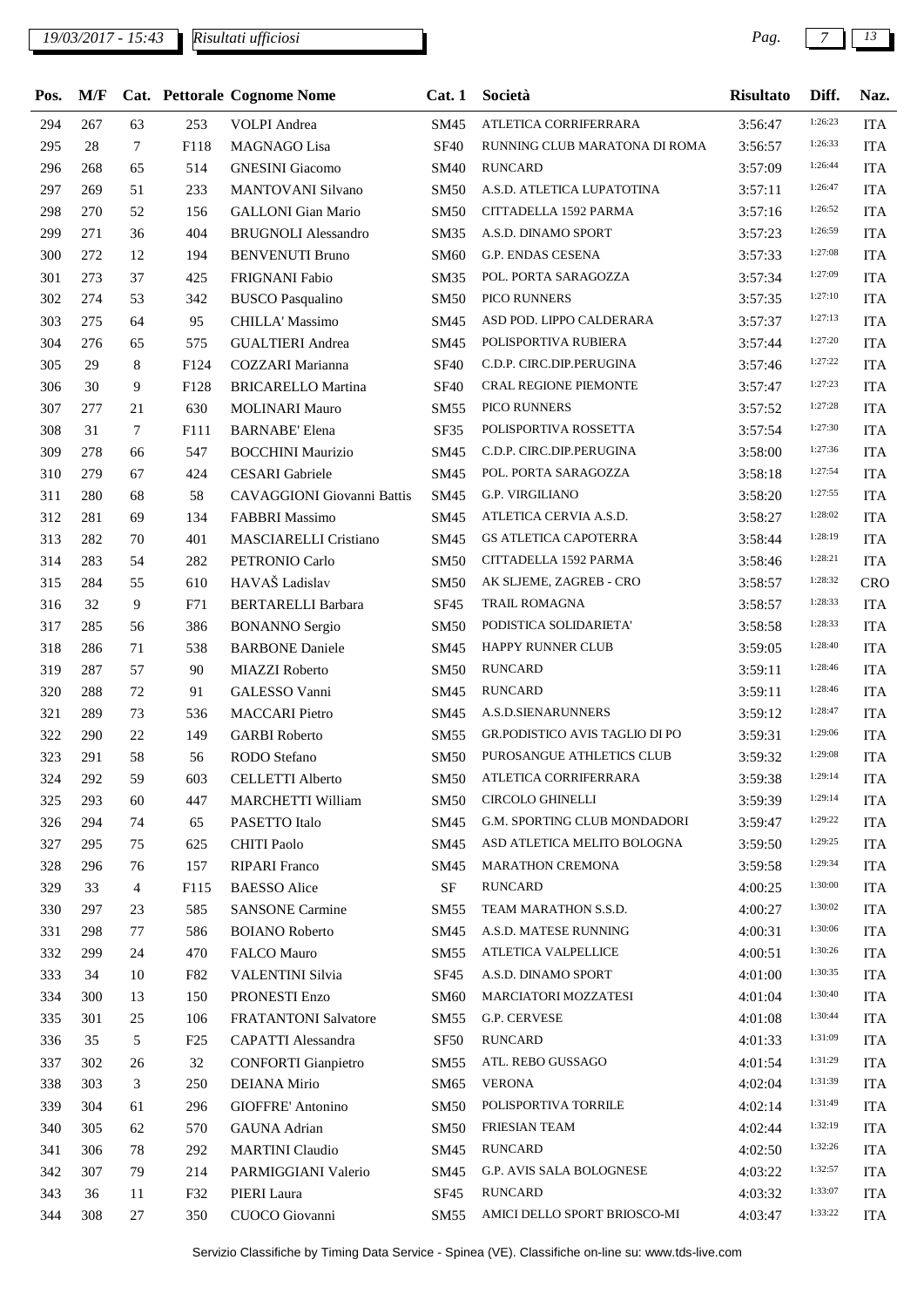| Pos. | M/F |                |      | <b>Cat. Pettorale Cognome Nome</b> | Cat.1            | Società                        | <b>Risultato</b> | Diff.   | Naz.         |
|------|-----|----------------|------|------------------------------------|------------------|--------------------------------|------------------|---------|--------------|
| 294  | 267 | 63             | 253  | <b>VOLPI</b> Andrea                | <b>SM45</b>      | ATLETICA CORRIFERRARA          | 3:56:47          | 1:26:23 | <b>ITA</b>   |
| 295  | 28  | $\tau$         | F118 | MAGNAGO Lisa                       | <b>SF40</b>      | RUNNING CLUB MARATONA DI ROMA  | 3:56:57          | 1:26:33 | <b>ITA</b>   |
| 296  | 268 | 65             | 514  | <b>GNESINI</b> Giacomo             | <b>SM40</b>      | <b>RUNCARD</b>                 | 3:57:09          | 1:26:44 | <b>ITA</b>   |
| 297  | 269 | 51             | 233  | <b>MANTOVANI Silvano</b>           | <b>SM50</b>      | A.S.D. ATLETICA LUPATOTINA     | 3:57:11          | 1:26:47 | <b>ITA</b>   |
| 298  | 270 | 52             | 156  | <b>GALLONI</b> Gian Mario          | <b>SM50</b>      | CITTADELLA 1592 PARMA          | 3:57:16          | 1:26:52 | <b>ITA</b>   |
| 299  | 271 | 36             | 404  | <b>BRUGNOLI Alessandro</b>         | SM <sub>35</sub> | A.S.D. DINAMO SPORT            | 3:57:23          | 1:26:59 | <b>ITA</b>   |
| 300  | 272 | 12             | 194  | <b>BENVENUTI Bruno</b>             | <b>SM60</b>      | G.P. ENDAS CESENA              | 3:57:33          | 1:27:08 | <b>ITA</b>   |
| 301  | 273 | 37             | 425  | FRIGNANI Fabio                     | <b>SM35</b>      | POL. PORTA SARAGOZZA           | 3:57:34          | 1:27:09 | <b>ITA</b>   |
| 302  | 274 | 53             | 342  | <b>BUSCO Pasqualino</b>            | <b>SM50</b>      | PICO RUNNERS                   | 3:57:35          | 1:27:10 | <b>ITA</b>   |
| 303  | 275 | 64             | 95   | CHILLA' Massimo                    | <b>SM45</b>      | ASD POD. LIPPO CALDERARA       | 3:57:37          | 1:27:13 | <b>ITA</b>   |
| 304  | 276 | 65             | 575  | <b>GUALTIERI</b> Andrea            | SM45             | POLISPORTIVA RUBIERA           | 3:57:44          | 1:27:20 | <b>ITA</b>   |
| 305  | 29  | 8              | F124 | COZZARI Marianna                   | <b>SF40</b>      | C.D.P. CIRC.DIP.PERUGINA       | 3:57:46          | 1:27:22 | <b>ITA</b>   |
| 306  | 30  | 9              | F128 | <b>BRICARELLO Martina</b>          | <b>SF40</b>      | <b>CRAL REGIONE PIEMONTE</b>   | 3:57:47          | 1:27:23 | <b>ITA</b>   |
| 307  | 277 | 21             | 630  | <b>MOLINARI Mauro</b>              | <b>SM55</b>      | PICO RUNNERS                   | 3:57:52          | 1:27:28 | <b>ITA</b>   |
| 308  | 31  | 7              | F111 | <b>BARNABE' Elena</b>              | SF35             | POLISPORTIVA ROSSETTA          | 3:57:54          | 1:27:30 | <b>ITA</b>   |
| 309  | 278 | 66             | 547  | <b>BOCCHINI Maurizio</b>           | SM45             | C.D.P. CIRC.DIP.PERUGINA       | 3:58:00          | 1:27:36 | <b>ITA</b>   |
| 310  | 279 | 67             | 424  | <b>CESARI</b> Gabriele             | SM45             | POL. PORTA SARAGOZZA           | 3:58:18          | 1:27:54 | <b>ITA</b>   |
| 311  | 280 | 68             | 58   | CAVAGGIONI Giovanni Battis         | SM45             | <b>G.P. VIRGILIANO</b>         | 3:58:20          | 1:27:55 | <b>ITA</b>   |
| 312  | 281 | 69             | 134  | <b>FABBRI Massimo</b>              | SM45             | ATLETICA CERVIA A.S.D.         | 3:58:27          | 1:28:02 | <b>ITA</b>   |
| 313  | 282 | 70             | 401  | MASCIARELLI Cristiano              | SM45             | <b>GS ATLETICA CAPOTERRA</b>   | 3:58:44          | 1:28:19 | <b>ITA</b>   |
| 314  | 283 | 54             | 282  | PETRONIO Carlo                     | <b>SM50</b>      | CITTADELLA 1592 PARMA          | 3:58:46          | 1:28:21 | <b>ITA</b>   |
| 315  | 284 | 55             | 610  | HAVAŠ Ladislav                     | <b>SM50</b>      | AK SLJEME, ZAGREB - CRO        | 3:58:57          | 1:28:32 | CRO          |
| 316  | 32  | 9              | F71  | <b>BERTARELLI Barbara</b>          | SF <sub>45</sub> | <b>TRAIL ROMAGNA</b>           | 3:58:57          | 1:28:33 | <b>ITA</b>   |
| 317  | 285 | 56             | 386  | <b>BONANNO</b> Sergio              | <b>SM50</b>      | PODISTICA SOLIDARIETA'         | 3:58:58          | 1:28:33 | <b>ITA</b>   |
| 318  | 286 | 71             | 538  | <b>BARBONE Daniele</b>             | <b>SM45</b>      | HAPPY RUNNER CLUB              | 3:59:05          | 1:28:40 | <b>ITA</b>   |
| 319  | 287 | 57             | 90   | MIAZZI Roberto                     | <b>SM50</b>      | <b>RUNCARD</b>                 | 3:59:11          | 1:28:46 | <b>ITA</b>   |
| 320  | 288 | 72             | 91   | GALESSO Vanni                      | SM45             | <b>RUNCARD</b>                 | 3:59:11          | 1:28:46 | <b>ITA</b>   |
| 321  | 289 | 73             | 536  | <b>MACCARI</b> Pietro              | SM45             | A.S.D.SIENARUNNERS             | 3:59:12          | 1:28:47 | <b>ITA</b>   |
| 322  | 290 | 22             | 149  | <b>GARBI</b> Roberto               | SM55             | GR.PODISTICO AVIS TAGLIO DI PO | 3:59:31          | 1:29:06 | <b>ITA</b>   |
| 323  | 291 | 58             | 56   | <b>RODO</b> Stefano                | <b>SM50</b>      | PUROSANGUE ATHLETICS CLUB      | 3:59:32          | 1:29:08 | <b>ITA</b>   |
| 324  | 292 | 59             | 603  | CELLETTI Alberto                   |                  | SM50 ATLETICA CORRIFERRARA     | 3:59:38          | 1:29:14 | $_{\rm ITA}$ |
| 325  | 293 | 60             | 447  | <b>MARCHETTI William</b>           | <b>SM50</b>      | CIRCOLO GHINELLI               | 3:59:39          | 1:29:14 | <b>ITA</b>   |
| 326  | 294 | 74             | 65   | PASETTO Italo                      | SM45             | G.M. SPORTING CLUB MONDADORI   | 3:59:47          | 1:29:22 | <b>ITA</b>   |
| 327  | 295 | 75             | 625  | <b>CHITI Paolo</b>                 | SM45             | ASD ATLETICA MELITO BOLOGNA    | 3:59:50          | 1:29:25 | <b>ITA</b>   |
| 328  | 296 | 76             | 157  | <b>RIPARI</b> Franco               | SM45             | MARATHON CREMONA               | 3:59:58          | 1:29:34 | <b>ITA</b>   |
| 329  | 33  | $\overline{4}$ | F115 | <b>BAESSO</b> Alice                | $\rm{SF}$        | <b>RUNCARD</b>                 | 4:00:25          | 1:30:00 | <b>ITA</b>   |
| 330  | 297 | 23             | 585  | <b>SANSONE Carmine</b>             | SM55             | TEAM MARATHON S.S.D.           | 4:00:27          | 1:30:02 | <b>ITA</b>   |
| 331  | 298 | 77             | 586  | <b>BOIANO</b> Roberto              | SM45             | A.S.D. MATESE RUNNING          | 4:00:31          | 1:30:06 | <b>ITA</b>   |
| 332  | 299 | 24             | 470  | FALCO Mauro                        | <b>SM55</b>      | ATLETICA VALPELLICE            | 4:00:51          | 1:30:26 | <b>ITA</b>   |
| 333  | 34  | 10             | F82  | VALENTINI Silvia                   | SF45             | A.S.D. DINAMO SPORT            | 4:01:00          | 1:30:35 | <b>ITA</b>   |
| 334  | 300 | 13             | 150  | PRONESTI Enzo                      | <b>SM60</b>      | MARCIATORI MOZZATESI           | 4:01:04          | 1:30:40 | <b>ITA</b>   |
| 335  | 301 | 25             | 106  | FRATANTONI Salvatore               | SM55             | G.P. CERVESE                   | 4:01:08          | 1:30:44 | <b>ITA</b>   |
| 336  | 35  | 5              | F25  | CAPATTI Alessandra                 | SF <sub>50</sub> | <b>RUNCARD</b>                 | 4:01:33          | 1:31:09 | <b>ITA</b>   |
| 337  | 302 | 26             | 32   | <b>CONFORTI</b> Gianpietro         | SM55             | ATL. REBO GUSSAGO              | 4:01:54          | 1:31:29 | <b>ITA</b>   |
| 338  | 303 | 3              | 250  | DEIANA Mirio                       | SM65             | <b>VERONA</b>                  | 4:02:04          | 1:31:39 | <b>ITA</b>   |
| 339  | 304 | 61             | 296  | GIOFFRE' Antonino                  | <b>SM50</b>      | POLISPORTIVA TORRILE           | 4:02:14          | 1:31:49 | <b>ITA</b>   |
| 340  | 305 | 62             | 570  | <b>GAUNA</b> Adrian                | <b>SM50</b>      | FRIESIAN TEAM                  | 4:02:44          | 1:32:19 | <b>ITA</b>   |
| 341  | 306 | 78             | 292  | <b>MARTINI</b> Claudio             | SM45             | <b>RUNCARD</b>                 | 4:02:50          | 1:32:26 | <b>ITA</b>   |
| 342  | 307 | 79             | 214  | PARMIGGIANI Valerio                | SM45             | G.P. AVIS SALA BOLOGNESE       | 4:03:22          | 1:32:57 | <b>ITA</b>   |
| 343  | 36  | 11             | F32  | PIERI Laura                        | SF <sub>45</sub> | <b>RUNCARD</b>                 | 4:03:32          | 1:33:07 | <b>ITA</b>   |
| 344  | 308 | 27             | 350  | CUOCO Giovanni                     | SM55             | AMICI DELLO SPORT BRIOSCO-MI   | 4:03:47          | 1:33:22 | <b>ITA</b>   |
|      |     |                |      |                                    |                  |                                |                  |         |              |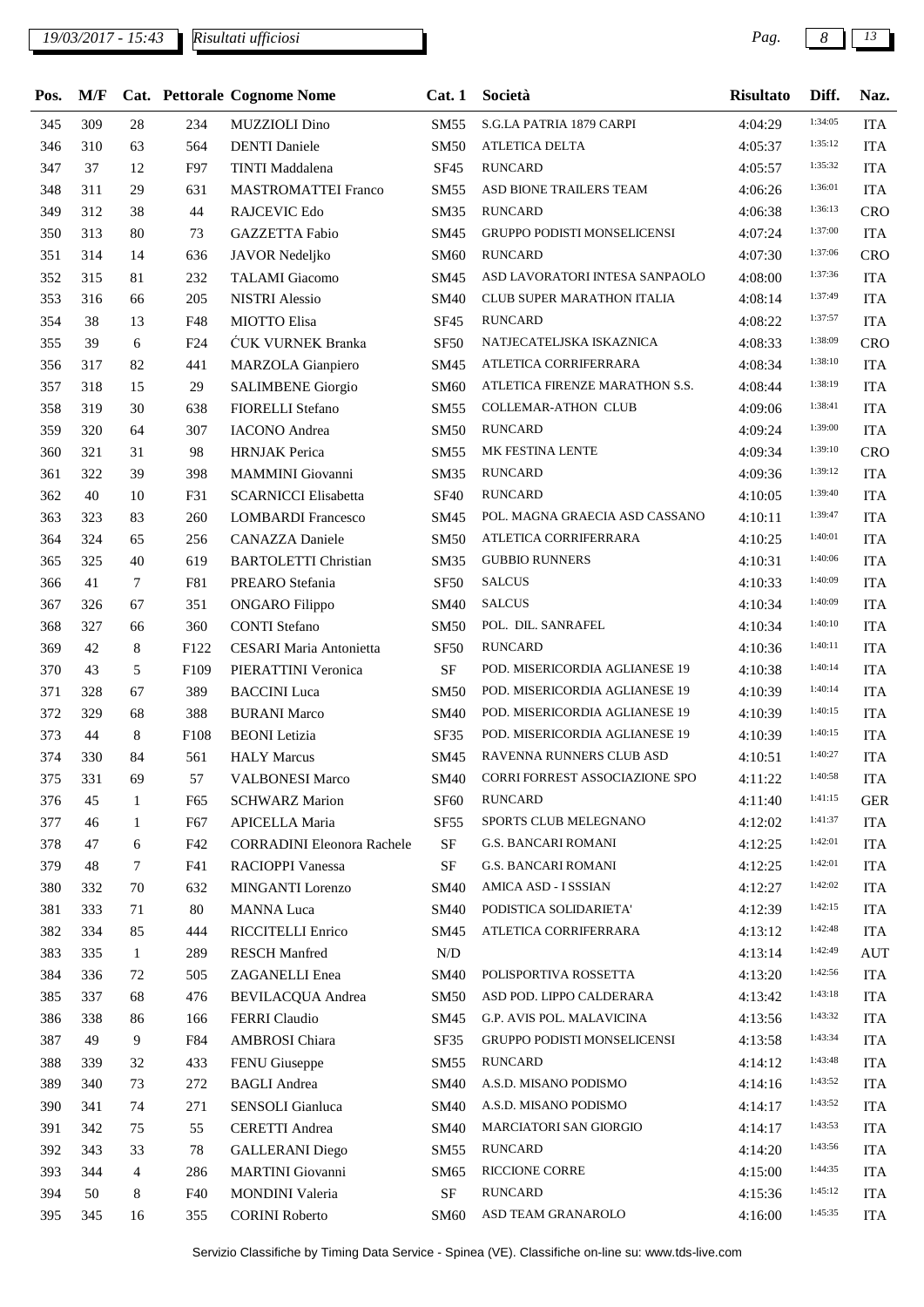## *19/03/2017 - 15:43 Pag. 8 13*

| Pos. | M/F |                 |                  | <b>Cat. Pettorale Cognome Nome</b> | Cat.1            | Società                               | <b>Risultato</b> | Diff.   | Naz.       |
|------|-----|-----------------|------------------|------------------------------------|------------------|---------------------------------------|------------------|---------|------------|
| 345  | 309 | 28              | 234              | <b>MUZZIOLI</b> Dino               | SM55             | S.G.LA PATRIA 1879 CARPI              | 4:04:29          | 1:34:05 | <b>ITA</b> |
| 346  | 310 | 63              | 564              | <b>DENTI</b> Daniele               | <b>SM50</b>      | ATLETICA DELTA                        | 4:05:37          | 1:35:12 | <b>ITA</b> |
| 347  | 37  | 12              | F97              | <b>TINTI</b> Maddalena             | SF45             | <b>RUNCARD</b>                        | 4:05:57          | 1:35:32 | <b>ITA</b> |
| 348  | 311 | 29              | 631              | <b>MASTROMATTEI Franco</b>         | <b>SM55</b>      | ASD BIONE TRAILERS TEAM               | 4:06:26          | 1:36:01 | <b>ITA</b> |
| 349  | 312 | 38              | 44               | RAJCEVIC Edo                       | <b>SM35</b>      | <b>RUNCARD</b>                        | 4:06:38          | 1:36:13 | CRO        |
| 350  | 313 | 80              | 73               | GAZZETTA Fabio                     | SM45             | GRUPPO PODISTI MONSELICENSI           | 4:07:24          | 1:37:00 | <b>ITA</b> |
| 351  | 314 | 14              | 636              | JAVOR Nedeljko                     | <b>SM60</b>      | <b>RUNCARD</b>                        | 4:07:30          | 1:37:06 | CRO        |
| 352  | 315 | 81              | 232              | <b>TALAMI</b> Giacomo              | SM45             | ASD LAVORATORI INTESA SANPAOLO        | 4:08:00          | 1:37:36 | <b>ITA</b> |
| 353  | 316 | 66              | 205              | <b>NISTRI</b> Alessio              | <b>SM40</b>      | CLUB SUPER MARATHON ITALIA            | 4:08:14          | 1:37:49 | <b>ITA</b> |
| 354  | 38  | 13              | F48              | MIOTTO Elisa                       | SF45             | <b>RUNCARD</b>                        | 4:08:22          | 1:37:57 | <b>ITA</b> |
| 355  | 39  | 6               | F24              | ĆUK VURNEK Branka                  | <b>SF50</b>      | NATJECATELJSKA ISKAZNICA              | 4:08:33          | 1:38:09 | CRO        |
| 356  | 317 | 82              | 441              | MARZOLA Gianpiero                  | SM45             | ATLETICA CORRIFERRARA                 | 4:08:34          | 1:38:10 | <b>ITA</b> |
| 357  | 318 | 15              | 29               | <b>SALIMBENE</b> Giorgio           | <b>SM60</b>      | ATLETICA FIRENZE MARATHON S.S.        | 4:08:44          | 1:38:19 | <b>ITA</b> |
| 358  | 319 | 30              | 638              | FIORELLI Stefano                   | SM55             | <b>COLLEMAR-ATHON CLUB</b>            | 4:09:06          | 1:38:41 | <b>ITA</b> |
| 359  | 320 | 64              | 307              | <b>IACONO</b> Andrea               | <b>SM50</b>      | <b>RUNCARD</b>                        | 4:09:24          | 1:39:00 | <b>ITA</b> |
| 360  | 321 | 31              | 98               | <b>HRNJAK</b> Perica               | SM55             | MK FESTINA LENTE                      | 4:09:34          | 1:39:10 | CRO        |
| 361  | 322 | 39              | 398              | MAMMINI Giovanni                   | <b>SM35</b>      | <b>RUNCARD</b>                        | 4:09:36          | 1:39:12 | <b>ITA</b> |
| 362  | 40  | 10              | F31              | <b>SCARNICCI Elisabetta</b>        | <b>SF40</b>      | <b>RUNCARD</b>                        | 4:10:05          | 1:39:40 | <b>ITA</b> |
| 363  | 323 | 83              | 260              | <b>LOMBARDI Francesco</b>          | SM45             | POL. MAGNA GRAECIA ASD CASSANO        | 4:10:11          | 1:39:47 | <b>ITA</b> |
| 364  | 324 | 65              | 256              | CANAZZA Daniele                    | <b>SM50</b>      | ATLETICA CORRIFERRARA                 | 4:10:25          | 1:40:01 | <b>ITA</b> |
| 365  | 325 | 40              | 619              | <b>BARTOLETTI Christian</b>        | SM35             | <b>GUBBIO RUNNERS</b>                 | 4:10:31          | 1:40:06 | <b>ITA</b> |
| 366  | 41  | $7\phantom{.0}$ | F81              | PREARO Stefania                    | <b>SF50</b>      | <b>SALCUS</b>                         | 4:10:33          | 1:40:09 | <b>ITA</b> |
| 367  | 326 | 67              | 351              | <b>ONGARO</b> Filippo              | <b>SM40</b>      | <b>SALCUS</b>                         | 4:10:34          | 1:40:09 | <b>ITA</b> |
| 368  | 327 | 66              | 360              | <b>CONTI</b> Stefano               | <b>SM50</b>      | POL. DIL. SANRAFEL                    | 4:10:34          | 1:40:10 | <b>ITA</b> |
| 369  | 42  | 8               | F122             | CESARI Maria Antonietta            | <b>SF50</b>      | <b>RUNCARD</b>                        | 4:10:36          | 1:40:11 | <b>ITA</b> |
| 370  | 43  | 5               | F <sub>109</sub> | PIERATTINI Veronica                | $\rm SF$         | POD. MISERICORDIA AGLIANESE 19        | 4:10:38          | 1:40:14 | <b>ITA</b> |
| 371  | 328 | 67              | 389              | <b>BACCINI</b> Luca                | <b>SM50</b>      | POD. MISERICORDIA AGLIANESE 19        | 4:10:39          | 1:40:14 | <b>ITA</b> |
| 372  | 329 | 68              | 388              | <b>BURANI Marco</b>                | <b>SM40</b>      | POD. MISERICORDIA AGLIANESE 19        | 4:10:39          | 1:40:15 | <b>ITA</b> |
| 373  | 44  | 8               | F108             | <b>BEONI</b> Letizia               | <b>SF35</b>      | POD. MISERICORDIA AGLIANESE 19        | 4:10:39          | 1:40:15 | <b>ITA</b> |
| 374  | 330 | 84              | 561              | <b>HALY Marcus</b>                 | SM45             | RAVENNA RUNNERS CLUB ASD              | 4:10:51          | 1:40:27 | <b>ITA</b> |
| 375  | 331 | 69              | 57               | <b>VALBONESI Marco</b>             | SM40             | <b>CORRI FORREST ASSOCIAZIONE SPO</b> | 4:11:22          | 1:40:58 | <b>ITA</b> |
| 376  | 45  | 1               | F65              | <b>SCHWARZ Marion</b>              | SF <sub>60</sub> | <b>RUNCARD</b>                        | 4:11:40          | 1:41:15 | <b>GER</b> |
| 377  | 46  | 1               | F67              | APICELLA Maria                     | <b>SF55</b>      | SPORTS CLUB MELEGNANO                 | 4:12:02          | 1:41:37 | <b>ITA</b> |
| 378  | 47  | 6               | F42              | <b>CORRADINI Eleonora Rachele</b>  | $\rm{SF}$        | <b>G.S. BANCARI ROMANI</b>            | 4:12:25          | 1:42:01 | <b>ITA</b> |
| 379  | 48  | $\tau$          | F41              | RACIOPPI Vanessa                   | $\rm SF$         | <b>G.S. BANCARI ROMANI</b>            | 4:12:25          | 1:42:01 | <b>ITA</b> |
| 380  | 332 | 70              | 632              | MINGANTI Lorenzo                   | <b>SM40</b>      | AMICA ASD - I SSSIAN                  | 4:12:27          | 1:42:02 | <b>ITA</b> |
| 381  | 333 | 71              | 80               | <b>MANNA</b> Luca                  | <b>SM40</b>      | PODISTICA SOLIDARIETA'                | 4:12:39          | 1:42:15 | <b>ITA</b> |
| 382  | 334 | 85              | 444              | RICCITELLI Enrico                  | SM45             | ATLETICA CORRIFERRARA                 | 4:13:12          | 1:42:48 | <b>ITA</b> |
| 383  | 335 | $\mathbf{1}$    | 289              | <b>RESCH Manfred</b>               | $\rm N/D$        |                                       | 4:13:14          | 1:42:49 | <b>AUT</b> |
| 384  | 336 | 72              | 505              | ZAGANELLI Enea                     | <b>SM40</b>      | POLISPORTIVA ROSSETTA                 | 4:13:20          | 1:42:56 | <b>ITA</b> |
| 385  | 337 | 68              | 476              | <b>BEVILACQUA Andrea</b>           | <b>SM50</b>      | ASD POD. LIPPO CALDERARA              | 4:13:42          | 1:43:18 | <b>ITA</b> |
| 386  | 338 | 86              | 166              | FERRI Claudio                      | SM45             | G.P. AVIS POL. MALAVICINA             | 4:13:56          | 1:43:32 | <b>ITA</b> |
| 387  | 49  | 9               | F84              | <b>AMBROSI</b> Chiara              | SF35             | GRUPPO PODISTI MONSELICENSI           | 4:13:58          | 1:43:34 | <b>ITA</b> |
| 388  | 339 | 32              | 433              | FENU Giuseppe                      | SM55             | RUNCARD                               | 4:14:12          | 1:43:48 | <b>ITA</b> |
| 389  | 340 | 73              | 272              | <b>BAGLI</b> Andrea                | <b>SM40</b>      | A.S.D. MISANO PODISMO                 | 4:14:16          | 1:43:52 | <b>ITA</b> |
| 390  | 341 | 74              | 271              | SENSOLI Gianluca                   | <b>SM40</b>      | A.S.D. MISANO PODISMO                 | 4:14:17          | 1:43:52 | <b>ITA</b> |
| 391  | 342 | 75              | 55               | <b>CERETTI</b> Andrea              | <b>SM40</b>      | MARCIATORI SAN GIORGIO                | 4:14:17          | 1:43:53 | <b>ITA</b> |
| 392  | 343 | 33              | 78               | <b>GALLERANI</b> Diego             | SM55             | RUNCARD                               | 4:14:20          | 1:43:56 | <b>ITA</b> |
| 393  | 344 | $\overline{4}$  | 286              | <b>MARTINI</b> Giovanni            | SM65             | RICCIONE CORRE                        | 4:15:00          | 1:44:35 | <b>ITA</b> |
| 394  | 50  | 8               | F40              | MONDINI Valeria                    | $\rm{SF}$        | <b>RUNCARD</b>                        | 4:15:36          | 1:45:12 | <b>ITA</b> |
| 395  | 345 | 16              | 355              | <b>CORINI Roberto</b>              | <b>SM60</b>      | ASD TEAM GRANAROLO                    | 4:16:00          | 1:45:35 | <b>ITA</b> |
|      |     |                 |                  |                                    |                  |                                       |                  |         |            |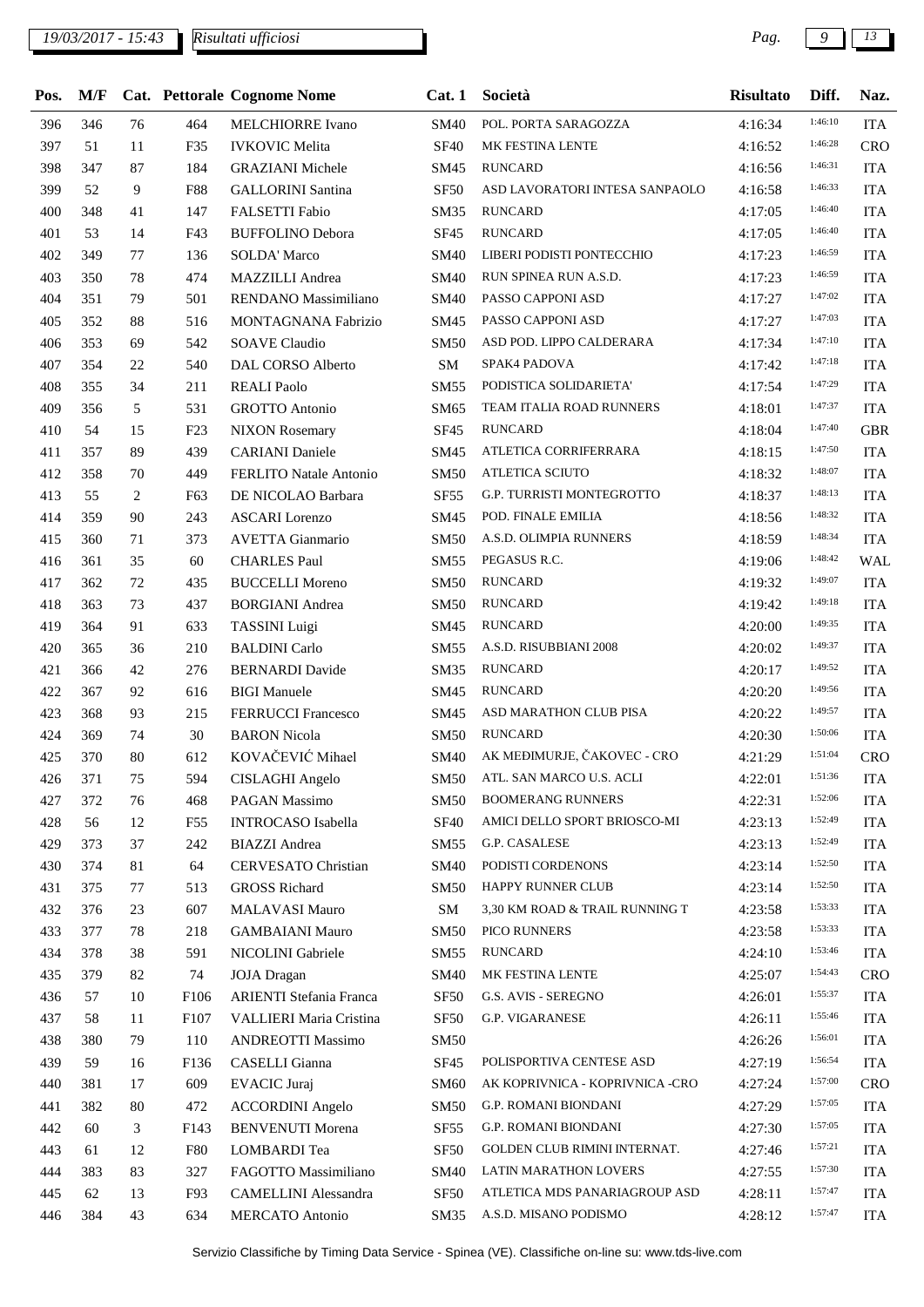## *19/03/2017 - 15:43 Pag. 9 13*

| Pos. | M/F |                |            | Cat. Pettorale Cognome Nome    | Cat.1            | Società                         | <b>Risultato</b> | Diff.   | Naz.       |
|------|-----|----------------|------------|--------------------------------|------------------|---------------------------------|------------------|---------|------------|
| 396  | 346 | 76             | 464        | <b>MELCHIORRE Ivano</b>        | <b>SM40</b>      | POL. PORTA SARAGOZZA            | 4:16:34          | 1:46:10 | <b>ITA</b> |
| 397  | 51  | 11             | F35        | <b>IVKOVIC</b> Melita          | <b>SF40</b>      | MK FESTINA LENTE                | 4:16:52          | 1:46:28 | <b>CRO</b> |
| 398  | 347 | 87             | 184        | <b>GRAZIANI</b> Michele        | SM45             | <b>RUNCARD</b>                  | 4:16:56          | 1:46:31 | <b>ITA</b> |
| 399  | 52  | 9              | <b>F88</b> | <b>GALLORINI</b> Santina       | <b>SF50</b>      | ASD LAVORATORI INTESA SANPAOLO  | 4:16:58          | 1:46:33 | <b>ITA</b> |
| 400  | 348 | 41             | 147        | FALSETTI Fabio                 | SM35             | <b>RUNCARD</b>                  | 4:17:05          | 1:46:40 | <b>ITA</b> |
| 401  | 53  | 14             | F43        | <b>BUFFOLINO Debora</b>        | SF45             | <b>RUNCARD</b>                  | 4:17:05          | 1:46:40 | <b>ITA</b> |
| 402  | 349 | 77             | 136        | <b>SOLDA' Marco</b>            | <b>SM40</b>      | LIBERI PODISTI PONTECCHIO       | 4:17:23          | 1:46:59 | <b>ITA</b> |
| 403  | 350 | 78             | 474        | MAZZILLI Andrea                | <b>SM40</b>      | RUN SPINEA RUN A.S.D.           | 4:17:23          | 1:46:59 | <b>ITA</b> |
| 404  | 351 | 79             | 501        | RENDANO Massimiliano           | <b>SM40</b>      | PASSO CAPPONI ASD               | 4:17:27          | 1:47:02 | <b>ITA</b> |
| 405  | 352 | 88             | 516        | MONTAGNANA Fabrizio            | SM45             | PASSO CAPPONI ASD               | 4:17:27          | 1:47:03 | <b>ITA</b> |
| 406  | 353 | 69             | 542        | <b>SOAVE Claudio</b>           | <b>SM50</b>      | ASD POD. LIPPO CALDERARA        | 4:17:34          | 1:47:10 | <b>ITA</b> |
| 407  | 354 | 22             | 540        | DAL CORSO Alberto              | ${\bf SM}$       | SPAK4 PADOVA                    | 4:17:42          | 1:47:18 | <b>ITA</b> |
| 408  | 355 | 34             | 211        | <b>REALI Paolo</b>             | <b>SM55</b>      | PODISTICA SOLIDARIETA'          | 4:17:54          | 1:47:29 | <b>ITA</b> |
| 409  | 356 | 5              | 531        | <b>GROTTO Antonio</b>          | SM65             | TEAM ITALIA ROAD RUNNERS        | 4:18:01          | 1:47:37 | <b>ITA</b> |
| 410  | 54  | 15             | F23        | <b>NIXON</b> Rosemary          | SF45             | <b>RUNCARD</b>                  | 4:18:04          | 1:47:40 | <b>GBR</b> |
| 411  | 357 | 89             | 439        | <b>CARIANI</b> Daniele         | SM45             | ATLETICA CORRIFERRARA           | 4:18:15          | 1:47:50 | <b>ITA</b> |
| 412  | 358 | 70             | 449        | FERLITO Natale Antonio         | <b>SM50</b>      | ATLETICA SCIUTO                 | 4:18:32          | 1:48:07 | <b>ITA</b> |
| 413  | 55  | $\overline{2}$ | F63        | DE NICOLAO Barbara             | <b>SF55</b>      | G.P. TURRISTI MONTEGROTTO       | 4:18:37          | 1:48:13 | <b>ITA</b> |
| 414  | 359 | 90             | 243        | <b>ASCARI</b> Lorenzo          | SM45             | POD. FINALE EMILIA              | 4:18:56          | 1:48:32 | <b>ITA</b> |
| 415  | 360 | 71             | 373        | <b>AVETTA Gianmario</b>        | <b>SM50</b>      | A.S.D. OLIMPIA RUNNERS          | 4:18:59          | 1:48:34 | <b>ITA</b> |
| 416  | 361 | 35             | 60         | <b>CHARLES Paul</b>            | <b>SM55</b>      | PEGASUS R.C.                    | 4:19:06          | 1:48:42 | <b>WAL</b> |
| 417  | 362 | 72             | 435        | <b>BUCCELLI Moreno</b>         | <b>SM50</b>      | <b>RUNCARD</b>                  | 4:19:32          | 1:49:07 | <b>ITA</b> |
| 418  | 363 | 73             | 437        | <b>BORGIANI</b> Andrea         | <b>SM50</b>      | <b>RUNCARD</b>                  | 4:19:42          | 1:49:18 | <b>ITA</b> |
| 419  | 364 | 91             | 633        | TASSINI Luigi                  | SM45             | <b>RUNCARD</b>                  | 4:20:00          | 1:49:35 | <b>ITA</b> |
| 420  | 365 | 36             | 210        | <b>BALDINI</b> Carlo           | <b>SM55</b>      | A.S.D. RISUBBIANI 2008          | 4:20:02          | 1:49:37 | <b>ITA</b> |
| 421  | 366 | 42             | 276        | <b>BERNARDI</b> Davide         | SM35             | <b>RUNCARD</b>                  | 4:20:17          | 1:49:52 | <b>ITA</b> |
| 422  | 367 | 92             | 616        | <b>BIGI</b> Manuele            | SM45             | <b>RUNCARD</b>                  | 4:20:20          | 1:49:56 | <b>ITA</b> |
| 423  | 368 | 93             | 215        | FERRUCCI Francesco             | SM45             | ASD MARATHON CLUB PISA          | 4:20:22          | 1:49:57 | <b>ITA</b> |
| 424  | 369 | 74             | 30         | <b>BARON</b> Nicola            | <b>SM50</b>      | <b>RUNCARD</b>                  | 4:20:30          | 1:50:06 | <b>ITA</b> |
| 425  | 370 | 80             | 612        | KOVAČEVIĆ Mihael               | SM40             | AK MEĐIMURJE, ČAKOVEC - CRO     | 4:21:29          | 1:51:04 | <b>CRO</b> |
| 426  | 371 | 75             | 594        | CISLAGHI Angelo                |                  | SM50 ATL. SAN MARCO U.S. ACLI   | 4:22:01          | 1:51:36 | <b>ITA</b> |
| 427  | 372 | 76             | 468        | PAGAN Massimo                  | SM50             | <b>BOOMERANG RUNNERS</b>        | 4:22:31          | 1:52:06 | <b>ITA</b> |
| 428  | 56  | 12             | F55        | <b>INTROCASO</b> Isabella      | <b>SF40</b>      | AMICI DELLO SPORT BRIOSCO-MI    | 4:23:13          | 1:52:49 | <b>ITA</b> |
| 429  | 373 | 37             | 242        | <b>BIAZZI</b> Andrea           | SM55             | G.P. CASALESE                   | 4:23:13          | 1:52:49 | <b>ITA</b> |
| 430  | 374 | 81             | 64         | CERVESATO Christian            | <b>SM40</b>      | PODISTI CORDENONS               | 4:23:14          | 1:52:50 | <b>ITA</b> |
| 431  | 375 | 77             | 513        | <b>GROSS Richard</b>           | <b>SM50</b>      | HAPPY RUNNER CLUB               | 4:23:14          | 1:52:50 | <b>ITA</b> |
| 432  | 376 | 23             | 607        | MALAVASI Mauro                 | SM               | 3,30 KM ROAD & TRAIL RUNNING T  | 4:23:58          | 1:53:33 | <b>ITA</b> |
| 433  | 377 | 78             | 218        | <b>GAMBAIANI Mauro</b>         | <b>SM50</b>      | PICO RUNNERS                    | 4:23:58          | 1:53:33 | <b>ITA</b> |
| 434  | 378 | 38             | 591        | NICOLINI Gabriele              | SM55             | <b>RUNCARD</b>                  | 4:24:10          | 1:53:46 | <b>ITA</b> |
| 435  | 379 | 82             | 74         | <b>JOJA</b> Dragan             | <b>SM40</b>      | MK FESTINA LENTE                | 4:25:07          | 1:54:43 | <b>CRO</b> |
| 436  | 57  | 10             | F106       | <b>ARIENTI Stefania Franca</b> | <b>SF50</b>      | G.S. AVIS - SEREGNO             | 4:26:01          | 1:55:37 | <b>ITA</b> |
| 437  | 58  | 11             | F107       | VALLIERI Maria Cristina        | <b>SF50</b>      | G.P. VIGARANESE                 | 4:26:11          | 1:55:46 | <b>ITA</b> |
| 438  | 380 | 79             | 110        | <b>ANDREOTTI Massimo</b>       | <b>SM50</b>      |                                 | 4:26:26          | 1:56:01 | <b>ITA</b> |
| 439  | 59  | 16             | F136       | CASELLI Gianna                 | SF <sub>45</sub> | POLISPORTIVA CENTESE ASD        | 4:27:19          | 1:56:54 | <b>ITA</b> |
| 440  | 381 | 17             | 609        | <b>EVACIC</b> Juraj            | SM60             | AK KOPRIVNICA - KOPRIVNICA -CRO | 4:27:24          | 1:57:00 | <b>CRO</b> |
| 441  | 382 | 80             | 472        | <b>ACCORDINI</b> Angelo        | <b>SM50</b>      | <b>G.P. ROMANI BIONDANI</b>     | 4:27:29          | 1:57:05 | <b>ITA</b> |
| 442  | 60  | 3              | F143       | <b>BENVENUTI Morena</b>        | SF <sub>55</sub> | <b>G.P. ROMANI BIONDANI</b>     | 4:27:30          | 1:57:05 | <b>ITA</b> |
| 443  | 61  | 12             | <b>F80</b> | LOMBARDI Tea                   | <b>SF50</b>      | GOLDEN CLUB RIMINI INTERNAT.    | 4:27:46          | 1:57:21 | <b>ITA</b> |
| 444  | 383 | 83             | 327        | FAGOTTO Massimiliano           | <b>SM40</b>      | LATIN MARATHON LOVERS           | 4:27:55          | 1:57:30 | <b>ITA</b> |
| 445  | 62  | 13             | F93        | <b>CAMELLINI</b> Alessandra    | <b>SF50</b>      | ATLETICA MDS PANARIAGROUP ASD   | 4:28:11          | 1:57:47 | <b>ITA</b> |
| 446  | 384 | 43             | 634        | <b>MERCATO</b> Antonio         | SM35             | A.S.D. MISANO PODISMO           | 4:28:12          | 1:57:47 | <b>ITA</b> |
|      |     |                |            |                                |                  |                                 |                  |         |            |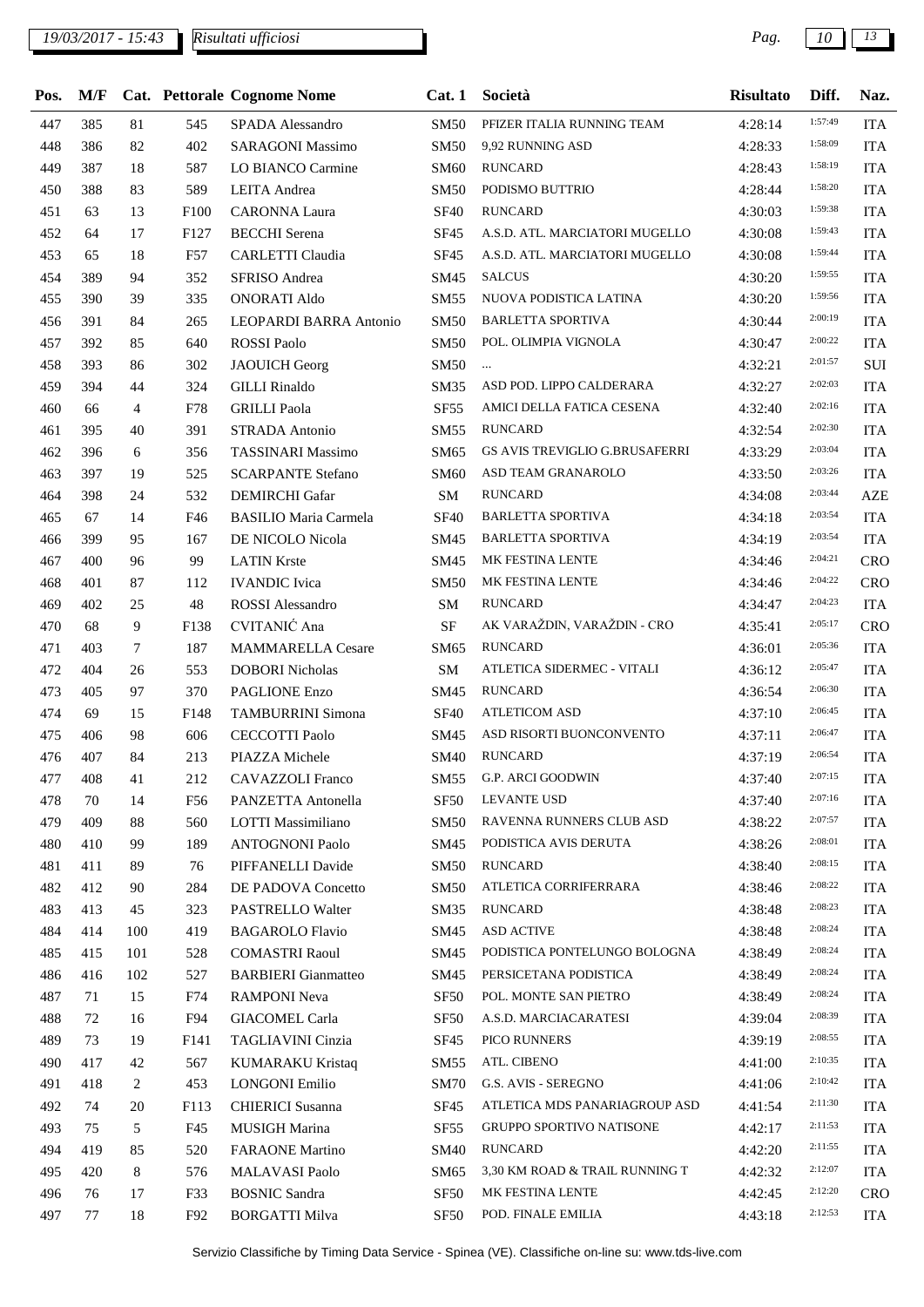| Pos. | M/F |        |                  | Cat. Pettorale Cognome Nome  | Cat.1            | Società                         | <b>Risultato</b> | Diff.   | Naz.       |
|------|-----|--------|------------------|------------------------------|------------------|---------------------------------|------------------|---------|------------|
| 447  | 385 | 81     | 545              | SPADA Alessandro             | <b>SM50</b>      | PFIZER ITALIA RUNNING TEAM      | 4:28:14          | 1:57:49 | <b>ITA</b> |
| 448  | 386 | 82     | 402              | <b>SARAGONI Massimo</b>      | <b>SM50</b>      | 9,92 RUNNING ASD                | 4:28:33          | 1:58:09 | <b>ITA</b> |
| 449  | 387 | 18     | 587              | LO BIANCO Carmine            | SM60             | <b>RUNCARD</b>                  | 4:28:43          | 1:58:19 | <b>ITA</b> |
| 450  | 388 | 83     | 589              | LEITA Andrea                 | <b>SM50</b>      | PODISMO BUTTRIO                 | 4:28:44          | 1:58:20 | <b>ITA</b> |
| 451  | 63  | 13     | F100             | <b>CARONNA Laura</b>         | <b>SF40</b>      | <b>RUNCARD</b>                  | 4:30:03          | 1:59:38 | <b>ITA</b> |
| 452  | 64  | 17     | F127             | <b>BECCHI</b> Serena         | SF45             | A.S.D. ATL. MARCIATORI MUGELLO  | 4:30:08          | 1:59:43 | <b>ITA</b> |
| 453  | 65  | 18     | F57              | CARLETTI Claudia             | <b>SF45</b>      | A.S.D. ATL. MARCIATORI MUGELLO  | 4:30:08          | 1:59:44 | <b>ITA</b> |
| 454  | 389 | 94     | 352              | <b>SFRISO</b> Andrea         | SM45             | <b>SALCUS</b>                   | 4:30:20          | 1:59:55 | <b>ITA</b> |
| 455  | 390 | 39     | 335              | <b>ONORATI Aldo</b>          | SM55             | NUOVA PODISTICA LATINA          | 4:30:20          | 1:59:56 | <b>ITA</b> |
| 456  | 391 | 84     | 265              | LEOPARDI BARRA Antonio       | <b>SM50</b>      | <b>BARLETTA SPORTIVA</b>        | 4:30:44          | 2:00:19 | <b>ITA</b> |
| 457  | 392 | 85     | 640              | <b>ROSSI</b> Paolo           | <b>SM50</b>      | POL. OLIMPIA VIGNOLA            | 4:30:47          | 2:00:22 | <b>ITA</b> |
| 458  | 393 | 86     | 302              | <b>JAOUICH Georg</b>         | <b>SM50</b>      | $\ldots$                        | 4:32:21          | 2:01:57 | SUI        |
| 459  | 394 | 44     | 324              | <b>GILLI</b> Rinaldo         | SM35             | ASD POD. LIPPO CALDERARA        | 4:32:27          | 2:02:03 | <b>ITA</b> |
| 460  | 66  | 4      | F78              | <b>GRILLI</b> Paola          | SF <sub>55</sub> | AMICI DELLA FATICA CESENA       | 4:32:40          | 2:02:16 | <b>ITA</b> |
| 461  | 395 | 40     | 391              | STRADA Antonio               | SM55             | <b>RUNCARD</b>                  | 4:32:54          | 2:02:30 | <b>ITA</b> |
| 462  | 396 | 6      | 356              | <b>TASSINARI Massimo</b>     | SM65             | GS AVIS TREVIGLIO G.BRUSAFERRI  | 4:33:29          | 2:03:04 | <b>ITA</b> |
| 463  | 397 | 19     | 525              | <b>SCARPANTE Stefano</b>     | SM60             | ASD TEAM GRANAROLO              | 4:33:50          | 2:03:26 | <b>ITA</b> |
| 464  | 398 | 24     | 532              | <b>DEMIRCHI</b> Gafar        | SM               | <b>RUNCARD</b>                  | 4:34:08          | 2:03:44 | <b>AZE</b> |
| 465  | 67  | 14     | F46              | <b>BASILIO Maria Carmela</b> | <b>SF40</b>      | <b>BARLETTA SPORTIVA</b>        | 4:34:18          | 2:03:54 | <b>ITA</b> |
| 466  | 399 | 95     | 167              | DE NICOLO Nicola             | SM45             | <b>BARLETTA SPORTIVA</b>        | 4:34:19          | 2:03:54 | <b>ITA</b> |
| 467  | 400 | 96     | 99               | <b>LATIN Krste</b>           | SM45             | MK FESTINA LENTE                | 4:34:46          | 2:04:21 | <b>CRO</b> |
| 468  | 401 | 87     | 112              | <b>IVANDIC</b> Ivica         | <b>SM50</b>      | MK FESTINA LENTE                | 4:34:46          | 2:04:22 | <b>CRO</b> |
| 469  | 402 | 25     | 48               | <b>ROSSI</b> Alessandro      | SM               | <b>RUNCARD</b>                  | 4:34:47          | 2:04:23 | <b>ITA</b> |
| 470  | 68  | 9      | F138             | CVITANIĆ Ana                 | SF               | AK VARAŽDIN, VARAŽDIN - CRO     | 4:35:41          | 2:05:17 | <b>CRO</b> |
| 471  | 403 | $\tau$ | 187              | <b>MAMMARELLA Cesare</b>     | SM65             | <b>RUNCARD</b>                  | 4:36:01          | 2:05:36 | <b>ITA</b> |
| 472  | 404 | 26     | 553              | <b>DOBORI</b> Nicholas       | SM               | ATLETICA SIDERMEC - VITALI      | 4:36:12          | 2:05:47 | <b>ITA</b> |
| 473  | 405 | 97     | 370              | PAGLIONE Enzo                | SM45             | <b>RUNCARD</b>                  | 4:36:54          | 2:06:30 | <b>ITA</b> |
| 474  | 69  | 15     | F148             | <b>TAMBURRINI Simona</b>     | <b>SF40</b>      | <b>ATLETICOM ASD</b>            | 4:37:10          | 2:06:45 | <b>ITA</b> |
| 475  | 406 | 98     | 606              | <b>CECCOTTI Paolo</b>        | SM45             | ASD RISORTI BUONCONVENTO        | 4:37:11          | 2:06:47 | <b>ITA</b> |
| 476  | 407 | 84     | 213              | PIAZZA Michele               | <b>SM40</b>      | <b>RUNCARD</b>                  | 4:37:19          | 2:06:54 | <b>ITA</b> |
| 477  | 408 | 41     | 212              | <b>CAVAZZOLI Franco</b>      |                  | SM55 G.P. ARCI GOODWIN          | 4:37:40          | 2:07:15 | <b>ITA</b> |
| 478  | 70  | 14     | F56              | PANZETTA Antonella           | SF50             | <b>LEVANTE USD</b>              | 4:37:40          | 2:07:16 | <b>ITA</b> |
| 479  | 409 | 88     | 560              | LOTTI Massimiliano           | <b>SM50</b>      | RAVENNA RUNNERS CLUB ASD        | 4:38:22          | 2:07:57 | <b>ITA</b> |
| 480  | 410 | 99     | 189              | <b>ANTOGNONI Paolo</b>       | SM45             | PODISTICA AVIS DERUTA           | 4:38:26          | 2:08:01 | <b>ITA</b> |
| 481  | 411 | 89     | 76               | PIFFANELLI Davide            | SM50             | <b>RUNCARD</b>                  | 4:38:40          | 2:08:15 | <b>ITA</b> |
| 482  | 412 | 90     | 284              | DE PADOVA Concetto           | <b>SM50</b>      | ATLETICA CORRIFERRARA           | 4:38:46          | 2:08:22 | <b>ITA</b> |
| 483  | 413 | 45     | 323              | PASTRELLO Walter             | SM35             | RUNCARD                         | 4:38:48          | 2:08:23 | <b>ITA</b> |
| 484  | 414 | 100    | 419              | <b>BAGAROLO Flavio</b>       | SM45             | <b>ASD ACTIVE</b>               | 4:38:48          | 2:08:24 | <b>ITA</b> |
| 485  | 415 | 101    | 528              | <b>COMASTRI Raoul</b>        | SM45             | PODISTICA PONTELUNGO BOLOGNA    | 4:38:49          | 2:08:24 | <b>ITA</b> |
| 486  | 416 | 102    | 527              | <b>BARBIERI</b> Gianmatteo   | SM45             | PERSICETANA PODISTICA           | 4:38:49          | 2:08:24 | <b>ITA</b> |
| 487  | 71  | 15     | F74              | <b>RAMPONI Neva</b>          | <b>SF50</b>      | POL. MONTE SAN PIETRO           | 4:38:49          | 2:08:24 | <b>ITA</b> |
| 488  | 72  | 16     | F94              | <b>GIACOMEL Carla</b>        | <b>SF50</b>      | A.S.D. MARCIACARATESI           | 4:39:04          | 2:08:39 | <b>ITA</b> |
| 489  | 73  | 19     | F <sub>141</sub> | TAGLIAVINI Cinzia            | SF <sub>45</sub> | PICO RUNNERS                    | 4:39:19          | 2:08:55 | <b>ITA</b> |
| 490  | 417 | 42     | 567              | <b>KUMARAKU Kristaq</b>      | SM55             | ATL. CIBENO                     | 4:41:00          | 2:10:35 | <b>ITA</b> |
| 491  | 418 | 2      | 453              | <b>LONGONI Emilio</b>        | <b>SM70</b>      | G.S. AVIS - SEREGNO             | 4:41:06          | 2:10:42 | <b>ITA</b> |
| 492  | 74  | 20     | F113             | <b>CHIERICI</b> Susanna      | <b>SF45</b>      | ATLETICA MDS PANARIAGROUP ASD   | 4:41:54          | 2:11:30 | <b>ITA</b> |
| 493  | 75  | 5      | F45              | MUSIGH Marina                | <b>SF55</b>      | <b>GRUPPO SPORTIVO NATISONE</b> | 4:42:17          | 2:11:53 | <b>ITA</b> |
| 494  | 419 | 85     | 520              | <b>FARAONE</b> Martino       | <b>SM40</b>      | <b>RUNCARD</b>                  | 4:42:20          | 2:11:55 | <b>ITA</b> |
| 495  | 420 | 8      | 576              | MALAVASI Paolo               | SM65             | 3,30 KM ROAD & TRAIL RUNNING T  | 4:42:32          | 2:12:07 | <b>ITA</b> |
| 496  | 76  | 17     | F33              | <b>BOSNIC Sandra</b>         | SF <sub>50</sub> | MK FESTINA LENTE                | 4:42:45          | 2:12:20 | <b>CRO</b> |
| 497  | 77  | 18     | F92              | <b>BORGATTI Milva</b>        | <b>SF50</b>      | POD. FINALE EMILIA              | 4:43:18          | 2:12:53 | <b>ITA</b> |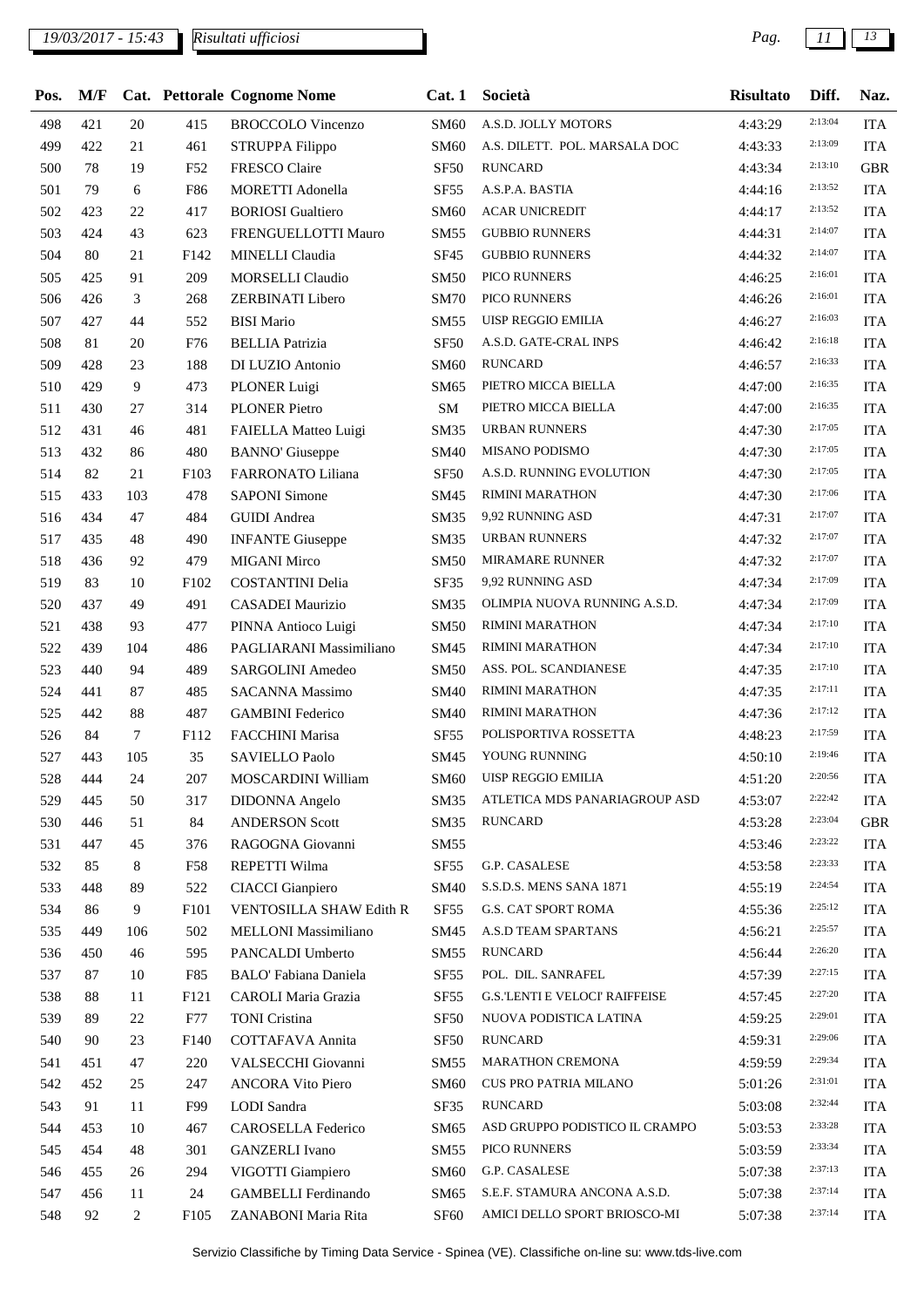## *19/03/2017 - 15:43 Pag. 11 13*

| Pos. | M/F |        |                  | Cat. Pettorale Cognome Nome                    | Cat.1            | Società                               | <b>Risultato</b> | Diff.   | Naz.       |
|------|-----|--------|------------------|------------------------------------------------|------------------|---------------------------------------|------------------|---------|------------|
| 498  | 421 | 20     | 415              | <b>BROCCOLO Vincenzo</b>                       | SM60             | A.S.D. JOLLY MOTORS                   | 4:43:29          | 2:13:04 | <b>ITA</b> |
| 499  | 422 | 21     | 461              | STRUPPA Filippo                                | <b>SM60</b>      | A.S. DILETT. POL. MARSALA DOC         | 4:43:33          | 2:13:09 | <b>ITA</b> |
| 500  | 78  | 19     | F52              | FRESCO Claire                                  | <b>SF50</b>      | <b>RUNCARD</b>                        | 4:43:34          | 2:13:10 | <b>GBR</b> |
| 501  | 79  | 6      | F86              | MORETTI Adonella                               | <b>SF55</b>      | A.S.P.A. BASTIA                       | 4:44:16          | 2:13:52 | <b>ITA</b> |
| 502  | 423 | 22     | 417              | <b>BORIOSI</b> Gualtiero                       | <b>SM60</b>      | <b>ACAR UNICREDIT</b>                 | 4:44:17          | 2:13:52 | <b>ITA</b> |
| 503  | 424 | 43     | 623              | FRENGUELLOTTI Mauro                            | SM55             | <b>GUBBIO RUNNERS</b>                 | 4:44:31          | 2:14:07 | <b>ITA</b> |
| 504  | 80  | 21     | F142             | MINELLI Claudia                                | <b>SF45</b>      | <b>GUBBIO RUNNERS</b>                 | 4:44:32          | 2:14:07 | <b>ITA</b> |
| 505  | 425 | 91     | 209              | <b>MORSELLI Claudio</b>                        | <b>SM50</b>      | PICO RUNNERS                          | 4:46:25          | 2:16:01 | <b>ITA</b> |
| 506  | 426 | 3      | 268              | ZERBINATI Libero                               | <b>SM70</b>      | PICO RUNNERS                          | 4:46:26          | 2:16:01 | <b>ITA</b> |
| 507  | 427 | 44     | 552              | <b>BISI Mario</b>                              | SM55             | UISP REGGIO EMILIA                    | 4:46:27          | 2:16:03 | <b>ITA</b> |
| 508  | 81  | 20     | F76              | <b>BELLIA</b> Patrizia                         | <b>SF50</b>      | A.S.D. GATE-CRAL INPS                 | 4:46:42          | 2:16:18 | <b>ITA</b> |
| 509  | 428 | 23     | 188              | DI LUZIO Antonio                               | SM60             | <b>RUNCARD</b>                        | 4:46:57          | 2:16:33 | <b>ITA</b> |
| 510  | 429 | 9      | 473              | PLONER Luigi                                   | SM65             | PIETRO MICCA BIELLA                   | 4:47:00          | 2:16:35 | <b>ITA</b> |
| 511  | 430 | 27     | 314              | <b>PLONER Pietro</b>                           | ${\bf SM}$       | PIETRO MICCA BIELLA                   | 4:47:00          | 2:16:35 | <b>ITA</b> |
| 512  | 431 | 46     | 481              | FAIELLA Matteo Luigi                           | SM35             | <b>URBAN RUNNERS</b>                  | 4:47:30          | 2:17:05 | <b>ITA</b> |
| 513  | 432 | 86     | 480              | <b>BANNO'</b> Giuseppe                         | <b>SM40</b>      | MISANO PODISMO                        | 4:47:30          | 2:17:05 | <b>ITA</b> |
| 514  | 82  | 21     | F103             | <b>FARRONATO Liliana</b>                       | <b>SF50</b>      | A.S.D. RUNNING EVOLUTION              | 4:47:30          | 2:17:05 | <b>ITA</b> |
| 515  | 433 | 103    | 478              | <b>SAPONI Simone</b>                           | SM45             | <b>RIMINI MARATHON</b>                | 4:47:30          | 2:17:06 | <b>ITA</b> |
| 516  | 434 | 47     | 484              | <b>GUIDI</b> Andrea                            | SM35             | 9,92 RUNNING ASD                      | 4:47:31          | 2:17:07 | <b>ITA</b> |
| 517  | 435 | 48     | 490              | <b>INFANTE Giuseppe</b>                        | SM35             | URBAN RUNNERS                         | 4:47:32          | 2:17:07 | <b>ITA</b> |
| 518  | 436 | 92     | 479              | <b>MIGANI Mirco</b>                            | <b>SM50</b>      | <b>MIRAMARE RUNNER</b>                | 4:47:32          | 2:17:07 | <b>ITA</b> |
| 519  | 83  | 10     | F102             | <b>COSTANTINI Delia</b>                        | SF35             | 9,92 RUNNING ASD                      | 4:47:34          | 2:17:09 | <b>ITA</b> |
| 520  | 437 | 49     | 491              | CASADEI Maurizio                               | SM35             | OLIMPIA NUOVA RUNNING A.S.D.          | 4:47:34          | 2:17:09 | <b>ITA</b> |
| 521  | 438 | 93     |                  |                                                | <b>SM50</b>      | <b>RIMINI MARATHON</b>                |                  | 2:17:10 | <b>ITA</b> |
| 522  | 439 | 104    | 477              | PINNA Antioco Luigi<br>PAGLIARANI Massimiliano |                  | <b>RIMINI MARATHON</b>                | 4:47:34          | 2:17:10 | <b>ITA</b> |
|      |     |        | 486              |                                                | SM45             | ASS. POL. SCANDIANESE                 | 4:47:34          | 2:17:10 |            |
| 523  | 440 | 94     | 489              | SARGOLINI Amedeo                               | <b>SM50</b>      | <b>RIMINI MARATHON</b>                | 4:47:35          | 2:17:11 | <b>ITA</b> |
| 524  | 441 | 87     | 485              | SACANNA Massimo                                | <b>SM40</b>      |                                       | 4:47:35          | 2:17:12 | <b>ITA</b> |
| 525  | 442 | 88     | 487              | <b>GAMBINI</b> Federico                        | <b>SM40</b>      | RIMINI MARATHON                       | 4:47:36          | 2:17:59 | <b>ITA</b> |
| 526  | 84  | $\tau$ | F112             | FACCHINI Marisa                                | SF <sub>55</sub> | POLISPORTIVA ROSSETTA                 | 4:48:23          | 2:19:46 | <b>ITA</b> |
| 527  | 443 | 105    | 35               | SAVIELLO Paolo                                 | SM45             | YOUNG RUNNING                         | 4:50:10          | 2:20:56 | <b>ITA</b> |
| 528  | 444 | 24     | 207              | MOSCARDINI William                             |                  | SM60 UISP REGGIO EMILIA               | 4:51:20          |         | <b>ITA</b> |
| 529  | 445 | 50     | 317              | DIDONNA Angelo                                 | SM35             | ATLETICA MDS PANARIAGROUP ASD         | 4:53:07          | 2:22:42 | <b>ITA</b> |
| 530  | 446 | 51     | 84               | <b>ANDERSON Scott</b>                          | SM35             | <b>RUNCARD</b>                        | 4:53:28          | 2:23:04 | <b>GBR</b> |
| 531  | 447 | 45     | 376              | RAGOGNA Giovanni                               | SM55             |                                       | 4:53:46          | 2:23:22 | <b>ITA</b> |
| 532  | 85  | 8      | F58              | REPETTI Wilma                                  | SF55             | <b>G.P. CASALESE</b>                  | 4:53:58          | 2:23:33 | <b>ITA</b> |
| 533  | 448 | 89     | 522              | <b>CIACCI</b> Gianpiero                        | SM40             | S.S.D.S. MENS SANA 1871               | 4:55:19          | 2:24:54 | <b>ITA</b> |
| 534  | 86  | 9      | F101             | VENTOSILLA SHAW Edith R                        | SF <sub>55</sub> | G.S. CAT SPORT ROMA                   | 4:55:36          | 2:25:12 | <b>ITA</b> |
| 535  | 449 | 106    | 502              | MELLONI Massimiliano                           | SM45             | A.S.D TEAM SPARTANS                   | 4:56:21          | 2:25:57 | <b>ITA</b> |
| 536  | 450 | 46     | 595              | PANCALDI Umberto                               | SM55             | <b>RUNCARD</b>                        | 4:56:44          | 2:26:20 | <b>ITA</b> |
| 537  | 87  | 10     | F85              | <b>BALO' Fabiana Daniela</b>                   | SF <sub>55</sub> | POL. DIL. SANRAFEL                    | 4:57:39          | 2:27:15 | <b>ITA</b> |
| 538  | 88  | 11     | F121             | CAROLI Maria Grazia                            | SF55             | <b>G.S. LENTI E VELOCI' RAIFFEISE</b> | 4:57:45          | 2:27:20 | <b>ITA</b> |
| 539  | 89  | 22     | F77              | <b>TONI</b> Cristina                           | <b>SF50</b>      | NUOVA PODISTICA LATINA                | 4:59:25          | 2:29:01 | <b>ITA</b> |
| 540  | 90  | 23     | F140             | COTTAFAVA Annita                               | SF <sub>50</sub> | <b>RUNCARD</b>                        | 4:59:31          | 2:29:06 | <b>ITA</b> |
| 541  | 451 | 47     | 220              | VALSECCHI Giovanni                             | <b>SM55</b>      | MARATHON CREMONA                      | 4:59:59          | 2:29:34 | <b>ITA</b> |
| 542  | 452 | 25     | 247              | <b>ANCORA Vito Piero</b>                       | SM60             | CUS PRO PATRIA MILANO                 | 5:01:26          | 2:31:01 | <b>ITA</b> |
| 543  | 91  | 11     | F99              | LODI Sandra                                    | SF35             | <b>RUNCARD</b>                        | 5:03:08          | 2:32:44 | <b>ITA</b> |
| 544  | 453 | 10     | 467              | CAROSELLA Federico                             | SM65             | ASD GRUPPO PODISTICO IL CRAMPO        | 5:03:53          | 2:33:28 | <b>ITA</b> |
| 545  | 454 | 48     | 301              | <b>GANZERLI</b> Ivano                          | SM55             | PICO RUNNERS                          | 5:03:59          | 2:33:34 | <b>ITA</b> |
| 546  | 455 | 26     | 294              | VIGOTTI Giampiero                              | <b>SM60</b>      | G.P. CASALESE                         | 5:07:38          | 2:37:13 | <b>ITA</b> |
| 547  | 456 | 11     | 24               | <b>GAMBELLI</b> Ferdinando                     | SM65             | S.E.F. STAMURA ANCONA A.S.D.          | 5:07:38          | 2:37:14 | <b>ITA</b> |
| 548  | 92  | 2      | F <sub>105</sub> | ZANABONI Maria Rita                            | SF <sub>60</sub> | AMICI DELLO SPORT BRIOSCO-MI          | 5:07:38          | 2:37:14 | <b>ITA</b> |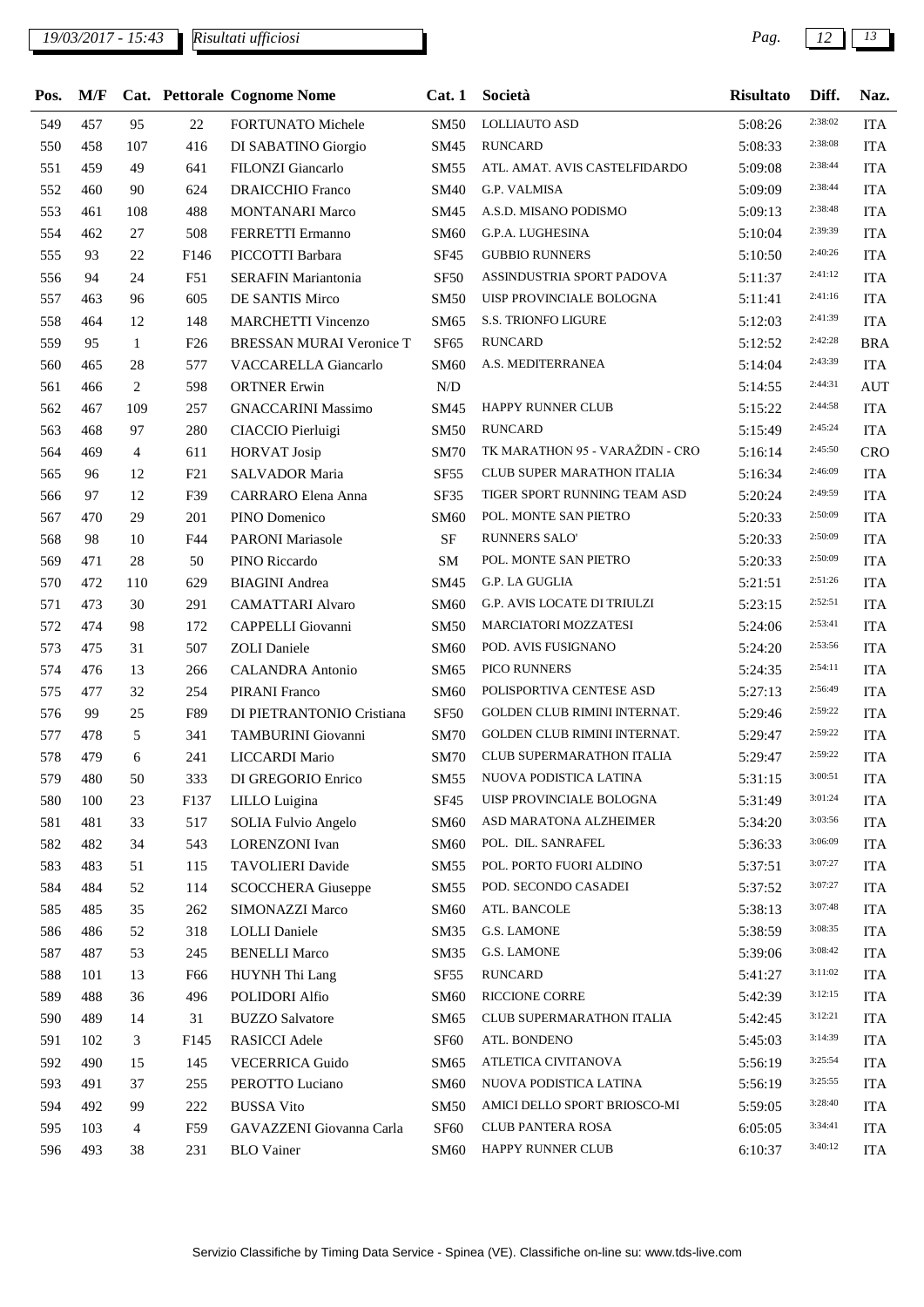| Pos. | M/F |              |                  | Cat. Pettorale Cognome Nome | Cat.1            | Società                           | <b>Risultato</b> | Diff.   | Naz.       |
|------|-----|--------------|------------------|-----------------------------|------------------|-----------------------------------|------------------|---------|------------|
| 549  | 457 | 95           | 22               | <b>FORTUNATO Michele</b>    | <b>SM50</b>      | <b>LOLLIAUTO ASD</b>              | 5:08:26          | 2:38:02 | <b>ITA</b> |
| 550  | 458 | 107          | 416              | DI SABATINO Giorgio         | SM45             | <b>RUNCARD</b>                    | 5:08:33          | 2:38:08 | <b>ITA</b> |
| 551  | 459 | 49           | 641              | FILONZI Giancarlo           | SM55             | ATL. AMAT. AVIS CASTELFIDARDO     | 5:09:08          | 2:38:44 | <b>ITA</b> |
| 552  | 460 | 90           | 624              | <b>DRAICCHIO Franco</b>     | SM40             | G.P. VALMISA                      | 5:09:09          | 2:38:44 | <b>ITA</b> |
| 553  | 461 | 108          | 488              | <b>MONTANARI Marco</b>      | SM45             | A.S.D. MISANO PODISMO             | 5:09:13          | 2:38:48 | <b>ITA</b> |
| 554  | 462 | 27           | 508              | FERRETTI Ermanno            | <b>SM60</b>      | G.P.A. LUGHESINA                  | 5:10:04          | 2:39:39 | <b>ITA</b> |
| 555  | 93  | 22           | F <sub>146</sub> | PICCOTTI Barbara            | SF45             | <b>GUBBIO RUNNERS</b>             | 5:10:50          | 2:40:26 | <b>ITA</b> |
| 556  | 94  | 24           | F51              | SERAFIN Mariantonia         | <b>SF50</b>      | ASSINDUSTRIA SPORT PADOVA         | 5:11:37          | 2:41:12 | <b>ITA</b> |
| 557  | 463 | 96           | 605              | DE SANTIS Mirco             | <b>SM50</b>      | UISP PROVINCIALE BOLOGNA          | 5:11:41          | 2:41:16 | <b>ITA</b> |
| 558  | 464 | 12           | 148              | <b>MARCHETTI Vincenzo</b>   | SM65             | S.S. TRIONFO LIGURE               | 5:12:03          | 2:41:39 | <b>ITA</b> |
| 559  | 95  | $\mathbf{1}$ | F26              | BRESSAN MURAI Veronice T    | <b>SF65</b>      | <b>RUNCARD</b>                    | 5:12:52          | 2:42:28 | <b>BRA</b> |
| 560  | 465 | 28           | 577              | <b>VACCARELLA Giancarlo</b> | SM60             | A.S. MEDITERRANEA                 | 5:14:04          | 2:43:39 | <b>ITA</b> |
| 561  | 466 | 2            | 598              | <b>ORTNER Erwin</b>         | N/D              |                                   | 5:14:55          | 2:44:31 | <b>AUT</b> |
| 562  | 467 | 109          | 257              | <b>GNACCARINI Massimo</b>   | SM45             | HAPPY RUNNER CLUB                 | 5:15:22          | 2:44:58 | <b>ITA</b> |
| 563  | 468 | 97           | 280              | CIACCIO Pierluigi           | <b>SM50</b>      | <b>RUNCARD</b>                    | 5:15:49          | 2:45:24 | <b>ITA</b> |
| 564  | 469 | 4            | 611              | <b>HORVAT Josip</b>         | <b>SM70</b>      | TK MARATHON 95 - VARAŽDIN - CRO   | 5:16:14          | 2:45:50 | <b>CRO</b> |
| 565  | 96  | 12           | F21              | SALVADOR Maria              | <b>SF55</b>      | <b>CLUB SUPER MARATHON ITALIA</b> | 5:16:34          | 2:46:09 | <b>ITA</b> |
| 566  | 97  | 12           | F39              | <b>CARRARO</b> Elena Anna   | SF35             | TIGER SPORT RUNNING TEAM ASD      | 5:20:24          | 2:49:59 | <b>ITA</b> |
| 567  | 470 | 29           | 201              | PINO Domenico               | SM60             | POL. MONTE SAN PIETRO             | 5:20:33          | 2:50:09 | <b>ITA</b> |
| 568  | 98  | 10           | F44              | <b>PARONI Mariasole</b>     | $\rm{SF}$        | RUNNERS SALO'                     | 5:20:33          | 2:50:09 | <b>ITA</b> |
| 569  | 471 | 28           | 50               | PINO Riccardo               | <b>SM</b>        | POL. MONTE SAN PIETRO             | 5:20:33          | 2:50:09 | <b>ITA</b> |
| 570  | 472 | 110          | 629              | <b>BIAGINI</b> Andrea       | SM45             | G.P. LA GUGLIA                    | 5:21:51          | 2:51:26 | <b>ITA</b> |
| 571  | 473 | 30           | 291              | <b>CAMATTARI Alvaro</b>     | SM60             | G.P. AVIS LOCATE DI TRIULZI       | 5:23:15          | 2:52:51 | <b>ITA</b> |
| 572  | 474 | 98           | 172              | CAPPELLI Giovanni           | <b>SM50</b>      | MARCIATORI MOZZATESI              | 5:24:06          | 2:53:41 | <b>ITA</b> |
| 573  | 475 | 31           | 507              | <b>ZOLI</b> Daniele         | SM60             | POD. AVIS FUSIGNANO               | 5:24:20          | 2:53:56 | <b>ITA</b> |
| 574  | 476 | 13           | 266              | <b>CALANDRA</b> Antonio     | SM65             | PICO RUNNERS                      | 5:24:35          | 2:54:11 | <b>ITA</b> |
| 575  | 477 | 32           | 254              | <b>PIRANI</b> Franco        | SM60             | POLISPORTIVA CENTESE ASD          | 5:27:13          | 2:56:49 | <b>ITA</b> |
| 576  | 99  | 25           | F89              | DI PIETRANTONIO Cristiana   | <b>SF50</b>      | GOLDEN CLUB RIMINI INTERNAT.      | 5:29:46          | 2:59:22 | <b>ITA</b> |
| 577  | 478 | 5            | 341              | <b>TAMBURINI</b> Giovanni   | <b>SM70</b>      | GOLDEN CLUB RIMINI INTERNAT.      | 5:29:47          | 2:59:22 | <b>ITA</b> |
| 578  | 479 | 6            | 241              | LICCARDI Mario              | <b>SM70</b>      | CLUB SUPERMARATHON ITALIA         | 5:29:47          | 2:59:22 | <b>ITA</b> |
| 579  | 480 | 50           | 333              | DI GREGORIO Enrico          |                  | SM55 NUOVA PODISTICA LATINA       | 5:31:15          | 3:00:51 | <b>ITA</b> |
| 580  | 100 | 23           | F137             | LILLO Luigina               | SF <sub>45</sub> | UISP PROVINCIALE BOLOGNA          | 5:31:49          | 3:01:24 | ITA        |
| 581  | 481 | 33           | 517              | SOLIA Fulvio Angelo         | <b>SM60</b>      | ASD MARATONA ALZHEIMER            | 5:34:20          | 3:03:56 | <b>ITA</b> |
| 582  | 482 | 34           | 543              | <b>LORENZONI</b> Ivan       | SM60             | POL. DIL. SANRAFEL                | 5:36:33          | 3:06:09 | <b>ITA</b> |
| 583  | 483 | 51           | 115              | TAVOLIERI Davide            | SM55             | POL. PORTO FUORI ALDINO           | 5:37:51          | 3:07:27 | <b>ITA</b> |
| 584  | 484 | 52           | 114              | <b>SCOCCHERA</b> Giuseppe   | SM55             | POD. SECONDO CASADEI              | 5:37:52          | 3:07:27 | <b>ITA</b> |
| 585  | 485 | 35           | 262              | SIMONAZZI Marco             | <b>SM60</b>      | ATL. BANCOLE                      | 5:38:13          | 3:07:48 | <b>ITA</b> |
| 586  | 486 | 52           | 318              | <b>LOLLI</b> Daniele        | SM35             | G.S. LAMONE                       | 5:38:59          | 3:08:35 | <b>ITA</b> |
| 587  | 487 | 53           | 245              | <b>BENELLI Marco</b>        | SM35             | G.S. LAMONE                       | 5:39:06          | 3:08:42 | <b>ITA</b> |
| 588  | 101 | 13           | F66              | HUYNH Thi Lang              | SF <sub>55</sub> | <b>RUNCARD</b>                    | 5:41:27          | 3:11:02 | <b>ITA</b> |
| 589  | 488 | 36           | 496              | POLIDORI Alfio              | <b>SM60</b>      | RICCIONE CORRE                    | 5:42:39          | 3:12:15 | <b>ITA</b> |
| 590  | 489 | 14           | 31               | <b>BUZZO Salvatore</b>      | SM65             | CLUB SUPERMARATHON ITALIA         | 5:42:45          | 3:12:21 | ITA        |
| 591  | 102 | 3            | F <sub>145</sub> | RASICCI Adele               | SF <sub>60</sub> | ATL. BONDENO                      | 5:45:03          | 3:14:39 | <b>ITA</b> |
| 592  | 490 | 15           | 145              | <b>VECERRICA Guido</b>      | SM65             | ATLETICA CIVITANOVA               | 5:56:19          | 3:25:54 | <b>ITA</b> |
| 593  | 491 | 37           | 255              | PEROTTO Luciano             | <b>SM60</b>      | NUOVA PODISTICA LATINA            | 5:56:19          | 3:25:55 | <b>ITA</b> |
| 594  | 492 | 99           | 222              | <b>BUSSA Vito</b>           | <b>SM50</b>      | AMICI DELLO SPORT BRIOSCO-MI      | 5:59:05          | 3:28:40 | <b>ITA</b> |
| 595  | 103 | 4            | F59              | GAVAZZENI Giovanna Carla    | SF <sub>60</sub> | CLUB PANTERA ROSA                 | 6:05:05          | 3:34:41 | <b>ITA</b> |
| 596  | 493 | 38           | 231              | <b>BLO</b> Vainer           | <b>SM60</b>      | HAPPY RUNNER CLUB                 | 6:10:37          | 3:40:12 | <b>ITA</b> |
|      |     |              |                  |                             |                  |                                   |                  |         |            |